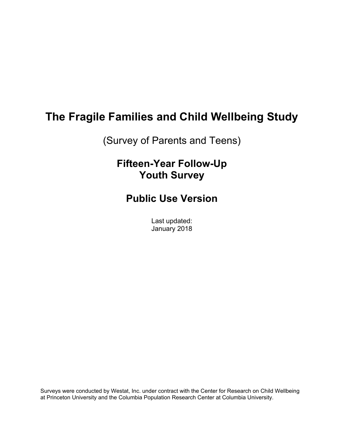# **The Fragile Families and Child Wellbeing Study**

(Survey of Parents and Teens)

# **Fifteen-Year Follow-Up Youth Survey**

**Public Use Version** 

Last updated: January 2018

Surveys were conducted by Westat, Inc. under contract with the Center for Research on Child Wellbeing at Princeton University and the Columbia Population Research Center at Columbia University.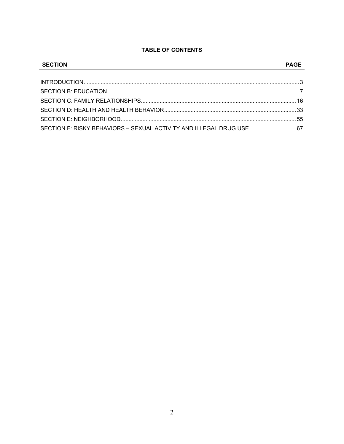# **TABLE OF CONTENTS**

| <b>SECTION</b>                                                        |  |
|-----------------------------------------------------------------------|--|
|                                                                       |  |
|                                                                       |  |
|                                                                       |  |
|                                                                       |  |
|                                                                       |  |
|                                                                       |  |
| SECTION F: RISKY BEHAVIORS - SEXUAL ACTIVITY AND ILLEGAL DRUG USE  67 |  |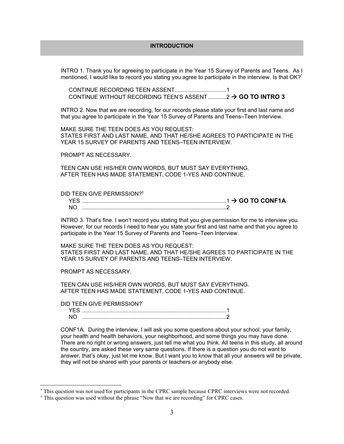### **INTRODUCTION**

INTRO 1. Thank you for agreeing to participate in the Year 15 Survey of Parents and Teens. As I mentioned, I would like to record you stating you agree to participate in the interview. Is that OK?<sup>\*</sup>

 CONTINUE RECORDING TEEN ASSENT ................................. 1 CONTINUE WITHOUT RECORDING TEEN'S ASSENT ............. 2 > GO TO INTRO 3

INTRO 2. Now that we are recording, for our records please state your first and last name and that you agree to participate in the Year 15 Survey of Parents and Teens–Teen Interview.

MAKE SURE THE TEEN DOES AS YOU REQUEST: STATES FIRST AND LAST NAME, AND THAT HE/SHE AGREES TO PARTICIPATE IN THE YEAR 15 SURVEY OF PARENTS AND TEENS–TEEN INTERVIEW.

PROMPT AS NECESSARY.

TEEN CAN USE HIS/HER OWN WORDS, BUT MUST SAY EVERYTHING. AFTER TEEN HAS MADE STATEMENT, CODE 1-YES AND CONTINUE.

DID TEEN GIVE PERMISSION?†

|  | $\rightarrow$ GO TO CONF1A |
|--|----------------------------|
|  |                            |

INTRO 3. That's fine. I won't record you stating that you give permission for me to interview you. However, for our records I need to hear you state your first and last name and that you agree to participate in the Year 15 Survey of Parents and Teens–Teen Interview.

MAKE SURE THE TEEN DOES AS YOU REQUEST: STATES FIRST AND LAST NAME, AND THAT HE/SHE AGREES TO PARTICIPATE IN THE YEAR 15 SURVEY OF PARENTS AND TEENS–TEEN INTERVIEW.

PROMPT AS NECESSARY.

TEEN CAN USE HIS/HER OWN WORDS, BUT MUST SAY EVERYTHING. AFTER TEEN HAS MADE STATEMENT, CODE 1-YES AND CONTINUE.

DID TEEN GIVE PERMISSION?\*

 $\overline{a}$ 

 YES ............................................................................................. 1 NO ............................................................................................. 2

CONF1A. During the interview, I will ask you some questions about your school, your family, your health and health behaviors, your neighborhood, and some things you may have done. There are no right or wrong answers, just tell me what you think. All teens in this study, all around the country, are asked these very same questions. If there is a question you do not want to answer, that's okay, just let me know. But I want you to know that all your answers will be private, they will not be shared with your parents or teachers or anybody else.

<sup>\*</sup> This question was not used for participants in the CPRC sample because CPRC interviews were not recorded.

<sup>&</sup>lt;sup>†</sup> This question was used without the phrase "Now that we are recording" for CPRC cases.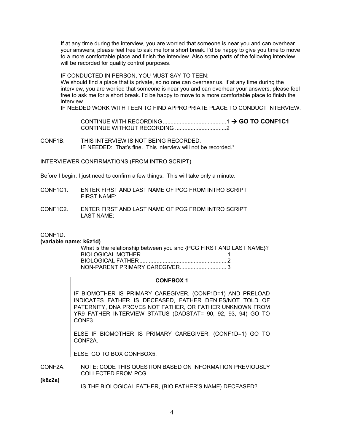If at any time during the interview, you are worried that someone is near you and can overhear your answers, please feel free to ask me for a short break. I'd be happy to give you time to move to a more comfortable place and finish the interview. Also some parts of the following interview will be recorded for quality control purposes.

IF CONDUCTED IN PERSON, YOU MUST SAY TO TEEN:

We should find a place that is private, so no one can overhear us. If at any time during the interview, you are worried that someone is near you and can overhear your answers, please feel free to ask me for a short break. I'd be happy to move to a more comfortable place to finish the interview.

IF NEEDED WORK WITH TEEN TO FIND APPROPRIATE PLACE TO CONDUCT INTERVIEW.

 CONTINUE WITH RECORDING ......................................... 1  **GO TO CONF1C1** CONTINUE WITHOUT RECORDING ................................. 2

CONF1B. THIS INTERVIEW IS NOT BEING RECORDED. IF NEEDED: That's fine. This interview will not be recorded.\*

INTERVIEWER CONFIRMATIONS (FROM INTRO SCRIPT)

Before I begin, I just need to confirm a few things. This will take only a minute.

- CONF1C1. ENTER FIRST AND LAST NAME OF PCG FROM INTRO SCRIPT FIRST NAME:
- CONF1C2. ENTER FIRST AND LAST NAME OF PCG FROM INTRO SCRIPT LAST NAME:

CONF1D.

#### **(variable name: k6z1d)**

| What is the relationship between you and {PCG FIRST AND LAST NAME}? |  |
|---------------------------------------------------------------------|--|
|                                                                     |  |
|                                                                     |  |
|                                                                     |  |

#### **CONFBOX 1**

IF BIOMOTHER IS PRIMARY CAREGIVER, (CONF1D=1) AND PRELOAD INDICATES FATHER IS DECEASED, FATHER DENIES/NOT TOLD OF PATERNITY, DNA PROVES NOT FATHER, OR FATHER UNKNOWN FROM YR9 FATHER INTERVIEW STATUS (DADSTAT= 90, 92, 93, 94) GO TO CONF3.

ELSE IF BIOMOTHER IS PRIMARY CAREGIVER, (CONF1D=1) GO TO CONF2A.

ELSE, GO TO BOX CONFBOX5.

CONF2A. NOTE: CODE THIS QUESTION BASED ON INFORMATION PREVIOUSLY COLLECTED FROM PCG

**(k6z2a)** 

IS THE BIOLOGICAL FATHER, {BIO FATHER'S NAME} DECEASED?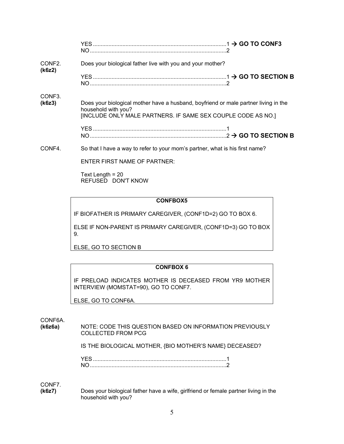| CONF <sub>2</sub> .<br>(k6z2) | Does your biological father live with you and your mother?                                                 |  |
|-------------------------------|------------------------------------------------------------------------------------------------------------|--|
|                               |                                                                                                            |  |
| CONF <sub>3</sub> .           |                                                                                                            |  |
| (k6z3)                        | Does your biological mother have a husband, boyfriend or male partner living in the<br>household with you? |  |
|                               | [INCLUDE ONLY MALE PARTNERS. IF SAME SEX COUPLE CODE AS NO.]                                               |  |
|                               |                                                                                                            |  |
|                               |                                                                                                            |  |
| CONF4.                        | So that I have a way to refer to your mom's partner, what is his first name?                               |  |

ENTER FIRST NAME OF PARTNER:

Text Length = 20 REFUSED DON'T KNOW

## **CONFBOX5**

IF BIOFATHER IS PRIMARY CAREGIVER, (CONF1D=2) GO TO BOX 6.

ELSE IF NON-PARENT IS PRIMARY CAREGIVER, (CONF1D=3) GO TO BOX 9.

ELSE, GO TO SECTION B

## **CONFBOX 6**

IF PRELOAD INDICATES MOTHER IS DECEASED FROM YR9 MOTHER INTERVIEW (MOMSTAT=90), GO TO CONF7.

ELSE, GO TO CONF6A.

CONF6A.

**(k6z6a)** NOTE: CODE THIS QUESTION BASED ON INFORMATION PREVIOUSLY COLLECTED FROM PCG

IS THE BIOLOGICAL MOTHER, {BIO MOTHER'S NAME} DECEASED?

CONF7.

**(k6z7)** Does your biological father have a wife, girlfriend or female partner living in the household with you?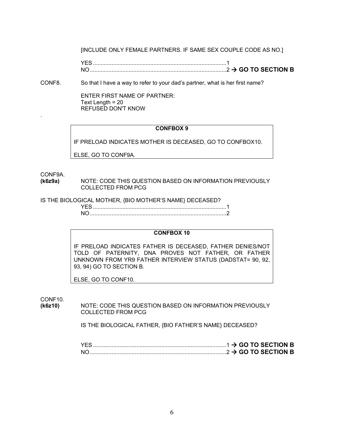[INCLUDE ONLY FEMALE PARTNERS. IF SAME SEX COUPLE CODE AS NO.]

 YES ...................................................................................... 1 NO ........................................................................................ 2  **GO TO SECTION B**

CONF8. So that I have a way to refer to your dad's partner, what is her first name?

ENTER FIRST NAME OF PARTNER: Text Length = 20 REFUSED DON'T KNOW

#### **CONFBOX 9**

IF PRELOAD INDICATES MOTHER IS DECEASED, GO TO CONFBOX10.

ELSE, GO TO CONF9A.

CONF9A.

.

**(k6z9a)** NOTE: CODE THIS QUESTION BASED ON INFORMATION PREVIOUSLY COLLECTED FROM PCG

IS THE BIOLOGICAL MOTHER, {BIO MOTHER'S NAME} DECEASED?

 YES ...................................................................................... 1 NO ........................................................................................ 2

#### **CONFBOX 10**

IF PRELOAD INDICATES FATHER IS DECEASED, FATHER DENIES/NOT TOLD OF PATERNITY, DNA PROVES NOT FATHER, OR FATHER UNKNOWN FROM YR9 FATHER INTERVIEW STATUS (DADSTAT= 90, 92, 93, 94) GO TO SECTION B.

ELSE, GO TO CONF10.

CONF10.

**(k6z10)** NOTE: CODE THIS QUESTION BASED ON INFORMATION PREVIOUSLY COLLECTED FROM PCG

IS THE BIOLOGICAL FATHER, {BIO FATHER'S NAME} DECEASED?

|                                                   |  |  | $.1 \rightarrow$ GO TO SECTION B |
|---------------------------------------------------|--|--|----------------------------------|
| $\ldots$ $\ldots$ 2 $\rightarrow$ GO TO SECTION B |  |  |                                  |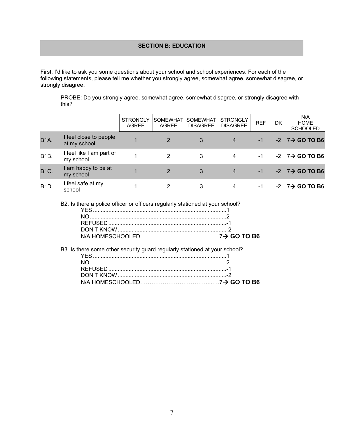## **SECTION B: EDUCATION**

First, I'd like to ask you some questions about your school and school experiences. For each of the following statements, please tell me whether you strongly agree, somewhat agree, somewhat disagree, or strongly disagree.

PROBE: Do you strongly agree, somewhat agree, somewhat disagree, or strongly disagree with this?

|                   |                                        | <b>STRONGLY</b><br>AGREE | <b>SOMEWHAT</b><br><b>AGREE</b> | <b>SOMEWHAT</b><br><b>DISAGREE</b> | <b>STRONGLY</b><br><b>DISAGREE</b> | <b>REF</b> | <b>DK</b> | N/A<br><b>HOME</b><br><b>SCHOOLED</b> |
|-------------------|----------------------------------------|--------------------------|---------------------------------|------------------------------------|------------------------------------|------------|-----------|---------------------------------------|
| <b>B1A.</b>       | I feel close to people<br>at my school | 1                        | 2                               | 3                                  | $\overline{4}$                     | $-1$       |           | $-2$ $7\rightarrow$ GO TO B6          |
| B <sub>1</sub> B. | I feel like I am part of<br>my school  |                          | 2                               | 3                                  | 4                                  | -1         |           | $-2$ $7\rightarrow$ GO TO B6          |
| <b>B1C.</b>       | I am happy to be at<br>my school       |                          | 2                               | 3                                  | $\overline{4}$                     | $-1$       |           | $-2$ $7\rightarrow$ GO TO B6          |
| <b>B1D.</b>       | I feel safe at my<br>school            |                          | 2                               | 3                                  | 4                                  | -1         |           | $-2$ $7\rightarrow$ GO TO B6          |

B2. Is there a police officer or officers regularly stationed at your school?

| B3. Is there some other security guard regularly stationed at your school? |  |
|----------------------------------------------------------------------------|--|
|                                                                            |  |
|                                                                            |  |
|                                                                            |  |
|                                                                            |  |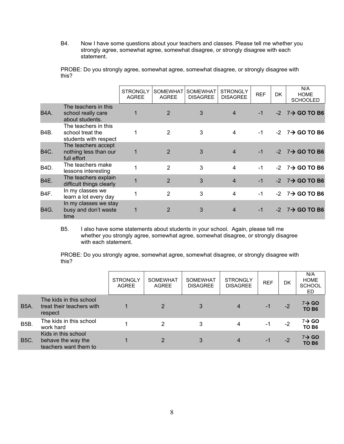B4. Now I have some questions about your teachers and classes. Please tell me whether you strongly agree, somewhat agree, somewhat disagree, or strongly disagree with each statement.

PROBE: Do you strongly agree, somewhat agree, somewhat disagree, or strongly disagree with this?

|                   |                                                                   | <b>STRONGLY</b><br><b>AGREE</b> | <b>SOMEWHAT</b><br><b>AGREE</b> | <b>SOMEWHAT</b><br><b>DISAGREE</b> | <b>STRONGLY</b><br><b>DISAGREE</b> | <b>REF</b> | <b>DK</b> | N/A<br><b>HOME</b><br><b>SCHOOLED</b> |
|-------------------|-------------------------------------------------------------------|---------------------------------|---------------------------------|------------------------------------|------------------------------------|------------|-----------|---------------------------------------|
| B4A.              | The teachers in this<br>school really care<br>about students.     | $\mathbf{1}$                    | $\overline{2}$                  | 3                                  | $\overline{4}$                     | $-1$       |           | $-2$ $7\rightarrow$ GO TO B6          |
| B4B.              | The teachers in this<br>school treat the<br>students with respect |                                 | 2                               | 3                                  | 4                                  | -1         |           | $-2$ $7\rightarrow$ GO TO B6          |
| <b>B4C.</b>       | The teachers accept<br>nothing less than our<br>full effort       | 1                               | $\overline{2}$                  | 3                                  | $\overline{4}$                     | $-1$       |           | $-2$ $7\rightarrow$ GO TO B6          |
| B <sub>4</sub> D. | The teachers make<br>lessons interesting                          |                                 | 2                               | 3                                  | $\overline{4}$                     | $-1$       | $-2$      | $7\rightarrow$ GO TO B6               |
| B4E.              | The teachers explain<br>difficult things clearly                  |                                 | $\overline{2}$                  | 3                                  | $\overline{4}$                     | $-1$       |           | $-2$ $7\rightarrow$ GO TO B6          |
| B <sub>4</sub> F. | In my classes we<br>learn a lot every day                         | 1                               | $\overline{2}$                  | 3                                  | 4                                  | $-1$       | $-2$      | 7→ GO TO B6                           |
| <b>B4G.</b>       | In my classes we stay<br>busy and don't waste<br>time             |                                 | 2                               | 3                                  | 4                                  | $-1$       | $-2$      | $7\rightarrow$ GO TO B6               |

B5. I also have some statements about students in your school. Again, please tell me whether you strongly agree, somewhat agree, somewhat disagree, or strongly disagree with each statement.

PROBE: Do you strongly agree, somewhat agree, somewhat disagree, or strongly disagree with this?

|                   |                                                                    | <b>STRONGLY</b><br><b>AGREE</b> | <b>SOMEWHAT</b><br><b>AGREE</b> | <b>SOMEWHAT</b><br><b>DISAGREE</b> | <b>STRONGLY</b><br><b>DISAGREE</b> | <b>REF</b> | DK   | N/A<br><b>HOME</b><br><b>SCHOOL</b><br>ED. |
|-------------------|--------------------------------------------------------------------|---------------------------------|---------------------------------|------------------------------------|------------------------------------|------------|------|--------------------------------------------|
| <b>B5A.</b>       | The kids in this school<br>treat their teachers with<br>respect    |                                 | $\overline{2}$                  | 3                                  | 4                                  | -1         | $-2$ | $7 \rightarrow$ GO<br>TO B <sub>6</sub>    |
| B <sub>5</sub> B. | The kids in this school<br>work hard                               |                                 | 2                               | 3                                  | 4                                  | -1         | $-2$ | $7 \rightarrow$ GO<br>TO B6                |
| <b>B5C.</b>       | Kids in this school<br>behave the way the<br>teachers want them to |                                 | 2                               | 3                                  | 4                                  | -1         | $-2$ | $7 \rightarrow$ GO<br>TO B <sub>6</sub>    |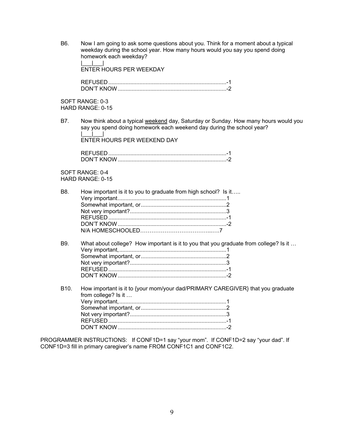B6. Now I am going to ask some questions about you. Think for a moment about a typical weekday during the school year. How many hours would you say you spend doing homework each weekday?  $\| \cdot \|$ 

ENTER HOURS PER WEEKDAY

 REFUSED ............................................................................ -1 DON'T KNOW ...................................................................... -2

SOFT RANGE: 0-3 HARD RANGE: 0-15

B7. Now think about a typical weekend day, Saturday or Sunday. How many hours would you say you spend doing homework each weekend day during the school year?  $\Box$ 

ENTER HOURS PER WEEKEND DAY

 REFUSED ............................................................................ -1 DON'T KNOW ...................................................................... -2

SOFT RANGE: 0-4 HARD RANGE: 0-15

| B8. | How important is it to you to graduate from high school? Is it |
|-----|----------------------------------------------------------------|
|     |                                                                |
|     |                                                                |
|     |                                                                |
|     |                                                                |
|     |                                                                |
|     |                                                                |
|     |                                                                |
|     |                                                                |

- B9. What about college? How important is it to you that you graduate from college? Is it ... Very important, ..................................................................... 1 Somewhat important, or ....................................................... 2 Not very important? .............................................................. 3 REFUSED ............................................................................ -1 DON'T KNOW ...................................................................... -2
- B10. How important is it to {your mom/your dad/PRIMARY CAREGIVER} that you graduate from college? Is it … Very important, ..................................................................... 1 Somewhat important, or ....................................................... 2 Not very important? .............................................................. 3 REFUSED ............................................................................ -1 DON'T KNOW ...................................................................... -2

PROGRAMMER INSTRUCTIONS: If CONF1D=1 say "your mom". If CONF1D=2 say "your dad". If CONF1D=3 fill in primary caregiver's name FROM CONF1C1 and CONF1C2.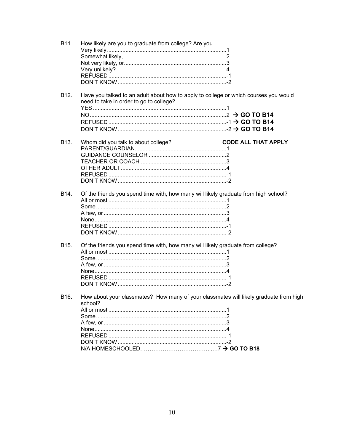| B <sub>11</sub> . | How likely are you to graduate from college? Are you                                                                            |                            |
|-------------------|---------------------------------------------------------------------------------------------------------------------------------|----------------------------|
| B <sub>12</sub> . | Have you talked to an adult about how to apply to college or which courses you would<br>need to take in order to go to college? |                            |
| B <sub>13</sub> . | Whom did you talk to about college?                                                                                             | <b>CODE ALL THAT APPLY</b> |
| B <sub>14</sub> . | Of the friends you spend time with, how many will likely graduate from high school?                                             |                            |
| B <sub>15</sub> . | Of the friends you spend time with, how many will likely graduate from college?                                                 |                            |
| B <sub>16</sub> . | How about your classmates? How many of your classmates will likely graduate from high<br>school?                                |                            |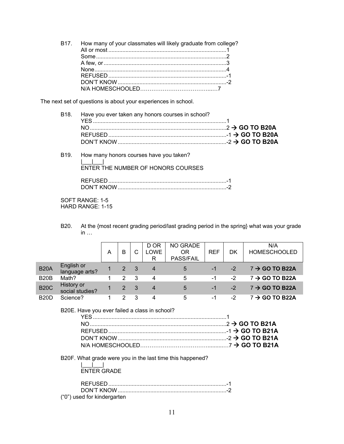B17. How many of your classmates will likely graduate from college? All or most ............................................................................ 1 Some .................................................................................... 2 A few, or ............................................................................... 3 None ..................................................................................... 4 REFUSED ............................................................................ -1 DON'T KNOW ...................................................................... -2 N/A HOMESCHOOLED………………………………...…7

The next set of questions is about your experiences in school.

- B18. Have you ever taken any honors courses in school? YES ...................................................................................... 1 NO ........................................................................................ 2  **GO TO B20A** REFUSED ............................................................................ -1  **GO TO B20A** DON'T KNOW ...................................................................... -2  **GO TO B20A**
- B19. How many honors courses have you taken? |\_\_\_|\_\_\_| ENTER THE NUMBER OF HONORS COURSES REFUSED ............................................................................ -1

SOFT RANGE: 1-5 HARD RANGE: 1-15

B20. At the {most recent grading period/last grading period in the spring} what was your grade in …

|             |                               | Α | B | С  | D OR<br>LOWE<br>R | <b>NO GRADE</b><br>OR<br>PASS/FAIL | <b>REF</b> | DK   | N/A<br><b>HOMESCHOOLED</b> |
|-------------|-------------------------------|---|---|----|-------------------|------------------------------------|------------|------|----------------------------|
| <b>B20A</b> | English or<br>language arts?  |   | 2 | -3 | 4                 | 5                                  | $-1$       | $-2$ | $7 \rightarrow$ GO TO B22A |
| <b>B20B</b> | Math?                         |   | 2 | -3 | 4                 | 5                                  | -1         | -2   | $7 \rightarrow$ GO TO B22A |
| <b>B20C</b> | History or<br>social studies? |   | 2 | -3 | 4                 | 5                                  | $-1$       | $-2$ | $7 \rightarrow$ GO TO B22A |
| <b>B20D</b> | Science?                      |   | 2 | 3  | 4                 | 5                                  | -1         | $-2$ | $7 \rightarrow$ GO TO B22A |

#### B20E. Have you ever failed a class in school?

B20F. What grade were you in the last time this happened?

| <b>ENTER GRADE</b> |  |
|--------------------|--|

| ("0") used for kindergarten |  |
|-----------------------------|--|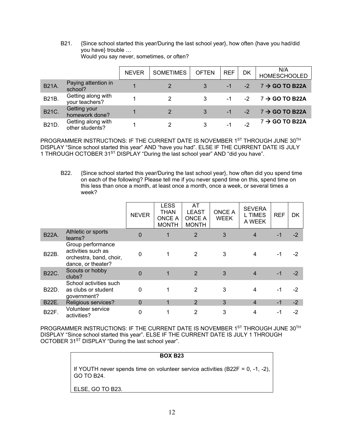B21. {Since school started this year/During the last school year}, how often {have you had/did you have} trouble … Would you say never, sometimes, or often?

|              |                                       | <b>NEVER</b> | <b>SOMETIMES</b> | <b>OFTEN</b> | <b>REF</b> | DK   | N/A<br><b>HOMESCHOOLED</b> |
|--------------|---------------------------------------|--------------|------------------|--------------|------------|------|----------------------------|
| <b>B21A.</b> | Paying attention in<br>school?        |              |                  |              |            | $-2$ | $7 \rightarrow$ GO TO B22A |
| B21B.        | Getting along with<br>your teachers?  |              |                  | 3            |            | $-2$ | $7 \rightarrow$ GO TO B22A |
| <b>B21C.</b> | <b>Getting your</b><br>homework done? |              | 2                | 3            |            | $-2$ | $7 \rightarrow$ GO TO B22A |
| B21D.        | Getting along with<br>other students? |              |                  |              |            | -2   | $7 \rightarrow$ GO TO B22A |

PROGRAMMER INSTRUCTIONS: IF THE CURRENT DATE IS NOVEMBER 1ST THROUGH JUNE 30TH DISPLAY "Since school started this year" AND "have you had". ELSE IF THE CURRENT DATE IS JULY 1 THROUGH OCTOBER 31<sup>ST</sup> DISPLAY "During the last school year" AND "did you have".

B22. {Since school started this year/During the last school year}, how often did you spend time on each of the following? Please tell me if you never spend time on this, spend time on this less than once a month, at least once a month, once a week, or several times a week?

|              |                                                                                          | <b>NEVER</b>   | <b>LESS</b><br><b>THAN</b><br><b>ONCE A</b><br><b>MONTH</b> | AT<br><b>LEAST</b><br><b>ONCE A</b><br><b>MONTH</b> | <b>ONCE A</b><br><b>WEEK</b> | <b>SEVERA</b><br><b>L TIMES</b><br>A WEEK | <b>REF</b> | DK   |
|--------------|------------------------------------------------------------------------------------------|----------------|-------------------------------------------------------------|-----------------------------------------------------|------------------------------|-------------------------------------------|------------|------|
| <b>B22A.</b> | Athletic or sports<br>teams?                                                             | $\overline{0}$ |                                                             | $\overline{2}$                                      | 3                            | $\overline{4}$                            | -1         | $-2$ |
| <b>B22B.</b> | Group performance<br>activities such as<br>orchestra, band, choir,<br>dance, or theater? | 0              |                                                             | 2                                                   | 3                            | 4                                         | -1         | $-2$ |
| <b>B22C.</b> | Scouts or hobby<br>clubs?                                                                | 0              |                                                             | 2                                                   | 3                            | $\overline{4}$                            | $-1$       | $-2$ |
| <b>B22D.</b> | School activities such<br>as clubs or student<br>government?                             | 0              |                                                             | $\mathbf{2}$                                        | 3                            |                                           | $-1$       | $-2$ |
| B22E.        | Religious services?                                                                      | $\mathbf{0}$   |                                                             | $\overline{2}$                                      | 3                            | $\overline{4}$                            | $-1$       | $-2$ |
| <b>B22F.</b> | Volunteer service<br>activities?                                                         | 0              |                                                             | 2                                                   | 3                            |                                           | -1         | -2   |

PROGRAMMER INSTRUCTIONS: IF THE CURRENT DATE IS NOVEMBER 1ST THROUGH JUNE 30TH DISPLAY "Since school started this year". ELSE IF THE CURRENT DATE IS JULY 1 THROUGH OCTOBER 31<sup>ST</sup> DISPLAY "During the last school year".

| <b>BOX B23</b>                                                                                       |
|------------------------------------------------------------------------------------------------------|
| If YOUTH never spends time on volunteer service activities (B22F = 0, -1, -2), $\vert$<br>GO TO B24. |
| ELSE, GO TO B23.                                                                                     |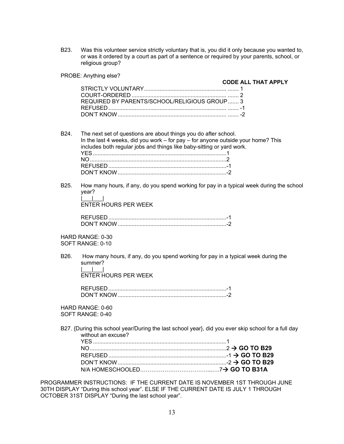B23. Was this volunteer service strictly voluntary that is, you did it only because you wanted to, or was it ordered by a court as part of a sentence or required by your parents, school, or religious group?

PROBE: Anything else?

**CODE ALL THAT APPLY** 

| REQUIRED BY PARENTS/SCHOOL/RELIGIOUS GROUP 3 |  |
|----------------------------------------------|--|
|                                              |  |
|                                              |  |
|                                              |  |

- B24. The next set of questions are about things you do after school. In the last 4 weeks, did you work – for pay – for anyone outside your home? This includes both regular jobs and things like baby-sitting or yard work. YES ...................................................................................... 1 NO ........................................................................................ 2 REFUSED ............................................................................ -1 DON'T KNOW ...................................................................... -2
- B25. How many hours, if any, do you spend working for pay in a typical week during the school year? |\_\_\_|\_\_\_<u>|\_\_</u>\_|\_\_\_|

ENTER HOURS PER WEEK

| DON'T KNOW |  |
|------------|--|

HARD RANGE: 0-30 SOFT RANGE: 0-10

B26. How many hours, if any, do you spend working for pay in a typical week during the summer? |\_\_\_|\_\_\_|

ENTER HOURS PER WEEK

| $\cap$ N'T KNL. |  |
|-----------------|--|

HARD RANGE: 0-60 SOFT RANGE: 0-40

B27. {During this school year/During the last school year}, did you ever skip school for a full day without an excuse?

PROGRAMMER INSTRUCTIONS: IF THE CURRENT DATE IS NOVEMBER 1ST THROUGH JUNE 30TH DISPLAY "During this school year". ELSE IF THE CURRENT DATE IS JULY 1 THROUGH OCTOBER 31ST DISPLAY "During the last school year".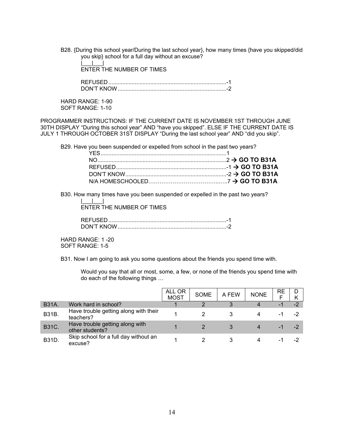B28. {During this school year/During the last school year}, how many times {have you skipped/did you skip} school for a full day without an excuse?

 $|\cdot|$ ENTER THE NUMBER OF TIMES

 REFUSED ............................................................................ -1 DON'T KNOW ...................................................................... -2

HARD RANGE: 1-90 SOFT RANGE: 1-10

PROGRAMMER INSTRUCTIONS: IF THE CURRENT DATE IS NOVEMBER 1ST THROUGH JUNE 30TH DISPLAY "During this school year" AND "have you skipped". ELSE IF THE CURRENT DATE IS JULY 1 THROUGH OCTOBER 31ST DISPLAY "During the last school year" AND "did you skip".

B29. Have you been suspended or expelled from school in the past two years?

B30. How many times have you been suspended or expelled in the past two years?

ENTER THE NUMBER OF TIMES

| <b>DON'T KNOW</b> |  |
|-------------------|--|

HARD RANGE: 1 -20 SOFT RANGE: 1-5

|\_\_\_|\_\_\_|

B31. Now I am going to ask you some questions about the friends you spend time with.

Would you say that all or most, some, a few, or none of the friends you spend time with do each of the following things …

|              |                                                    | ALL OR<br><b>MOST</b> | <b>SOME</b> | A FEW | <b>NONE</b> | RE  | D    |
|--------------|----------------------------------------------------|-----------------------|-------------|-------|-------------|-----|------|
| <b>B31A</b>  | Work hard in school?                               |                       | ∩           |       |             | -1  | $-2$ |
| <b>B31B.</b> | Have trouble getting along with their<br>teachers? |                       |             |       |             |     | -2   |
| <b>B31C.</b> | Have trouble getting along with<br>other students? |                       |             |       |             |     |      |
| <b>B31D.</b> | Skip school for a full day without an<br>excuse?   |                       |             |       |             | - 1 | -2   |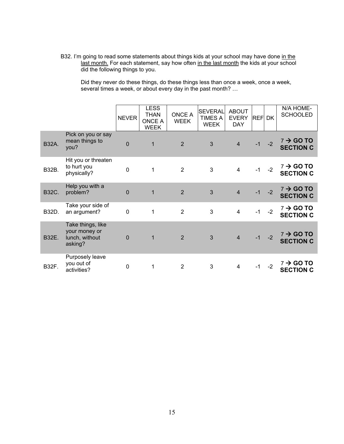B32. I'm going to read some statements about things kids at your school may have done in the last month. For each statement, say how often in the last month the kids at your school did the following things to you.

Did they never do these things, do these things less than once a week, once a week, several times a week, or about every day in the past month? ...

|              |                                                                 | <b>NEVER</b>   | <b>LESS</b><br><b>THAN</b><br><b>ONCE A</b><br><b>WEEK</b> | ONCE A<br><b>WEEK</b> | <b>SEVERAL</b><br><b>TIMES A</b><br><b>WEEK</b> | <b>ABOUT</b><br><b>EVERY</b><br><b>DAY</b> | <b>REF DK</b> |      | N/A HOME-<br><b>SCHOOLED</b>              |
|--------------|-----------------------------------------------------------------|----------------|------------------------------------------------------------|-----------------------|-------------------------------------------------|--------------------------------------------|---------------|------|-------------------------------------------|
| <b>B32A.</b> | Pick on you or say<br>mean things to<br>you?                    | $\overline{0}$ | $\mathbf{1}$                                               | $\overline{2}$        | 3                                               | $\overline{4}$                             | $-1$          | $-2$ | $7 \rightarrow$ GO TO<br><b>SECTION C</b> |
| B32B.        | Hit you or threaten<br>to hurt you<br>physically?               | $\overline{0}$ | 1                                                          | $\overline{2}$        | 3                                               | $\overline{4}$                             | $-1$          | $-2$ | $7 \rightarrow$ GO TO<br><b>SECTION C</b> |
| <b>B32C.</b> | Help you with a<br>problem?                                     | $\overline{0}$ | $\mathbf{1}$                                               | $\overline{2}$        | 3                                               | $\overline{4}$                             | $-1$          | $-2$ | $7 \rightarrow$ GO TO<br><b>SECTION C</b> |
| B32D.        | Take your side of<br>an argument?                               | $\mathbf 0$    | 1                                                          | $\overline{2}$        | 3                                               | $\overline{4}$                             | $-1$          | $-2$ | $7 \rightarrow$ GO TO<br><b>SECTION C</b> |
| B32E.        | Take things, like<br>your money or<br>lunch, without<br>asking? | $\Omega$       | $\mathbf{1}$                                               | 2                     | 3                                               | $\overline{4}$                             | $-1$          | $-2$ | $7 \rightarrow$ GO TO<br><b>SECTION C</b> |
| <b>B32F.</b> | Purposely leave<br>you out of<br>activities?                    | $\mathbf 0$    | 1                                                          | $\overline{2}$        | 3                                               | 4                                          | $-1$          | $-2$ | 7 → GO TO<br><b>SECTION C</b>             |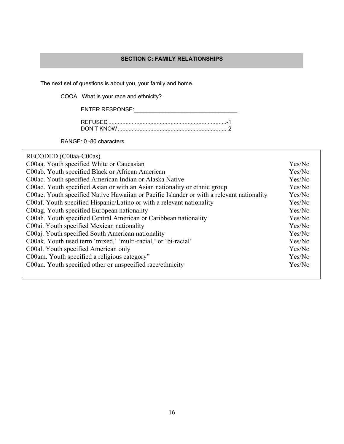## **SECTION C: FAMILY RELATIONSHIPS**

The next set of questions is about you, your family and home.

COOA. What is your race and ethnicity?

| <b>ENTER RESPONSE:</b> |  |
|------------------------|--|
|                        |  |

| DON'T KNOW |  |  |
|------------|--|--|

RANGE: 0 -80 characters

RECODED (C00aa-C00as)

| C00aa. Youth specified White or Caucasian                                                 | Yes/No |
|-------------------------------------------------------------------------------------------|--------|
| C00ab. Youth specified Black or African American                                          | Yes/No |
| C00ac. Youth specified American Indian or Alaska Native                                   | Yes/No |
| C00ad. Youth specified Asian or with an Asian nationality or ethnic group                 | Yes/No |
| C00ae. Youth specified Native Hawaiian or Pacific Islander or with a relevant nationality | Yes/No |
| C00af. Youth specified Hispanic/Latino or with a relevant nationality                     | Yes/No |
| C00ag. Youth specified European nationality                                               | Yes/No |
| C00ah. Youth specified Central American or Caribbean nationality                          | Yes/No |
| C00ai. Youth specified Mexican nationality                                                | Yes/No |
| C00aj. Youth specified South American nationality                                         | Yes/No |
| C00ak. Youth used term 'mixed,' 'multi-racial,' or 'bi-racial'                            | Yes/No |
| C00al. Youth specified American only                                                      | Yes/No |
| C00am. Youth specified a religious category"                                              | Yes/No |
| C00an. Youth specified other or unspecified race/ethnicity                                | Yes/No |
|                                                                                           |        |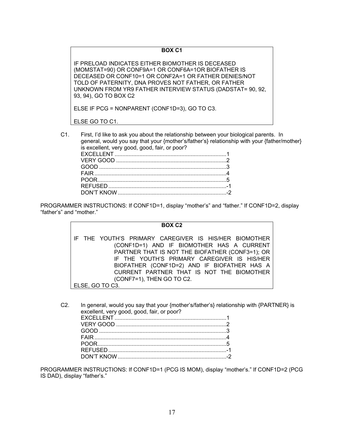## **BOX C1**

IF PRELOAD INDICATES EITHER BIOMOTHER IS DECEASED (MOMSTAT=90) OR CONF9A=1 OR CONF6A=1OR BIOFATHER IS DECEASED OR CONF10=1 OR CONF2A=1 OR FATHER DENIES/NOT TOLD OF PATERNITY, DNA PROVES NOT FATHER, OR FATHER UNKNOWN FROM YR9 FATHER INTERVIEW STATUS (DADSTAT= 90, 92, 93, 94), GO TO BOX C2

ELSE IF PCG = NONPARENT (CONF1D=3), GO TO C3.

ELSE GO TO C1.

C1. First, I'd like to ask you about the relationship between your biological parents. In general, would you say that your {mother's/father's} relationship with your {father/mother} is excellent, very good, good, fair, or poor?

PROGRAMMER INSTRUCTIONS: If CONF1D=1, display "mother's" and "father." If CONF1D=2, display "father's" and "mother."

#### **BOX C2**

IF THE YOUTH'S PRIMARY CAREGIVER IS HIS/HER BIOMOTHER (CONF1D=1) AND IF BIOMOTHER HAS A CURRENT PARTNER THAT IS NOT THE BIOFATHER (CONF3=1); OR IF THE YOUTH'S PRIMARY CAREGIVER IS HIS/HER BIOFATHER (CONF1D=2) AND IF BIOFATHER HAS A CURRENT PARTNER THAT IS NOT THE BIOMOTHER (CONF7=1), THEN GO TO C2.

ELSE, GO TO C3.

C2. In general, would you say that your {mother's/father's} relationship with {PARTNER} is excellent, very good, good, fair, or poor?

PROGRAMMER INSTRUCTIONS: If CONF1D=1 (PCG IS MOM), display "mother's." If CONF1D=2 (PCG IS DAD), display "father's."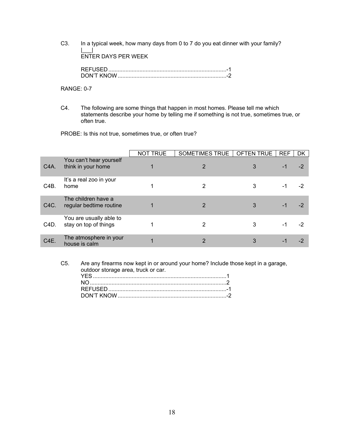C3. In a typical week, how many days from 0 to 7 do you eat dinner with your family? |\_\_\_| ENTER DAYS PER WEEK

| DON'T KNOW |  |
|------------|--|

RANGE: 0-7

C4. The following are some things that happen in most homes. Please tell me which statements describe your home by telling me if something is not true, sometimes true, or often true.

PROBE: Is this not true, sometimes true, or often true?

|                   |                                                  | <b>NOT TRUE</b> | SOMETIMES TRUE   OFTEN TRUE |   | <b>REF</b> | DK   |
|-------------------|--------------------------------------------------|-----------------|-----------------------------|---|------------|------|
| C <sub>4</sub> A. | You can't hear yourself<br>think in your home    |                 | 2                           | 3 | -1         | $-2$ |
| C <sub>4</sub> B. | It's a real zoo in your<br>home                  |                 | 2                           | 3 | -1         | -2   |
| C <sub>4</sub> C. | The children have a<br>regular bedtime routine   |                 | 2                           | 3 | -1         |      |
| C4D.              | You are usually able to<br>stay on top of things |                 | 2                           | 3 | -1         | -2   |
| C <sub>4</sub> E  | The atmosphere in your<br>house is calm          |                 | 2                           | 3 | - 1        |      |

C5. Are any firearms now kept in or around your home? Include those kept in a garage, outdoor storage area, truck or car.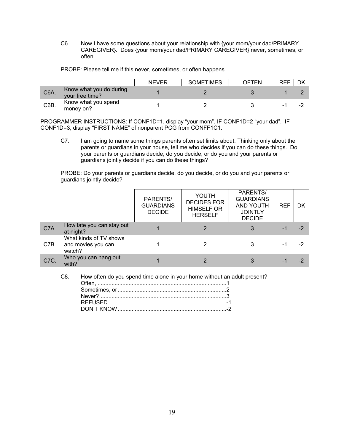C6. Now I have some questions about your relationship with {your mom/your dad/PRIMARY CAREGIVER}. Does {your mom/your dad/PRIMARY CAREGIVER} never, sometimes, or often ….

PROBE: Please tell me if this never, sometimes, or often happens

|                   |                                            | <b>NEVER</b> | <b>SOMETIMES</b> | OFTEN | <b>REF</b> |                          |
|-------------------|--------------------------------------------|--------------|------------------|-------|------------|--------------------------|
| C <sub>6</sub> A. | Know what you do during<br>your free time? |              |                  |       | -          | $\overline{\phantom{a}}$ |
| C6B.              | Know what you spend<br>money on?           |              |                  |       | -          | $\overline{\phantom{a}}$ |

PROGRAMMER INSTRUCTIONS: If CONF1D=1, display "your mom". IF CONF1D=2 "your dad". IF CONF1D=3, display "FIRST NAME" of nonparent PCG from CONFF1C1.

C7. I am going to name some things parents often set limits about. Thinking only about the parents or guardians in your house, tell me who decides if you can do these things. Do your parents or guardians decide, do you decide, or do you and your parents or guardians jointly decide if you can do these things?

PROBE: Do your parents or guardians decide, do you decide, or do you and your parents or guardians jointly decide?

|      |                                                        | PARENTS/<br><b>GUARDIANS</b><br><b>DECIDE</b> | YOUTH<br><b>DECIDES FOR</b><br><b>HIMSELF OR</b><br><b>HERSELF</b> | PARENTS/<br><b>GUARDIANS</b><br><b>AND YOUTH</b><br><b>JOINTLY</b><br><b>DECIDE</b> | <b>REF</b> | DK   |
|------|--------------------------------------------------------|-----------------------------------------------|--------------------------------------------------------------------|-------------------------------------------------------------------------------------|------------|------|
| C7A. | How late you can stay out<br>at night?                 |                                               | $\mathcal{P}$                                                      | 3                                                                                   | -1         | $-2$ |
| C7B. | What kinds of TV shows<br>and movies you can<br>watch? |                                               | 2                                                                  |                                                                                     | -1         | -2   |
| C7C. | Who you can hang out<br>with?                          |                                               | 2                                                                  | 3                                                                                   | -1         | -2   |

C8. How often do you spend time alone in your home without an adult present?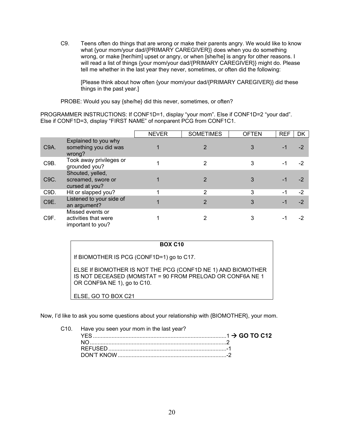C9. Teens often do things that are wrong or make their parents angry. We would like to know what {your mom/your dad/{PRIMARY CAREGIVER}} does when you do something wrong, or make [her/him] upset or angry, or when [she/he] is angry for other reasons. I will read a list of things {your mom/your dad/{PRIMARY CAREGIVER}} might do. Please tell me whether in the last year they never, sometimes, or often did the following:

[Please think about how often {your mom/your dad/{PRIMARY CAREGIVER}} did these things in the past year.]

PROBE: Would you say {she/he} did this never, sometimes, or often?

PROGRAMMER INSTRUCTIONS: If CONF1D=1, display "your mom". Else if CONF1D=2 "your dad". Else if CONF1D=3, display "FIRST NAME" of nonparent PCG from CONF1C1.

|                   |                                                               | <b>NEVER</b> | <b>SOMETIMES</b> | <b>OFTEN</b> | <b>REF</b> | DK   |
|-------------------|---------------------------------------------------------------|--------------|------------------|--------------|------------|------|
| C <sub>9</sub> A. | Explained to you why<br>something you did was<br>wrong?       |              |                  |              | -1         | $-2$ |
| C9B.              | Took away privileges or<br>grounded you?                      |              | 2                | 3            | -1         | -2   |
| C <sub>9</sub> C. | Shouted, yelled,<br>screamed, swore or<br>cursed at you?      |              | 2                |              | -1         | $-2$ |
| C9D.              | Hit or slapped you?                                           |              | 2                | 3            | -1         | $-2$ |
| C9E.              | Listened to your side of<br>an argument?                      |              | 2                | 3            |            | $-2$ |
| C <sub>9F</sub>   | Missed events or<br>activities that were<br>important to you? |              |                  |              |            |      |

If BIOMOTHER IS PCG (CONF1D=1) go to C17.

ELSE If BIOMOTHER IS NOT THE PCG (CONF1D NE 1) AND BIOMOTHER IS NOT DECEASED (MOMSTAT = 90 FROM PRELOAD OR CONF6A NE 1 OR CONF9A NE 1), go to C10.

ELSE, GO TO BOX C21

Now, I'd like to ask you some questions about your relationship with {BIOMOTHER}, your mom.

C10. Have you seen your mom in the last year?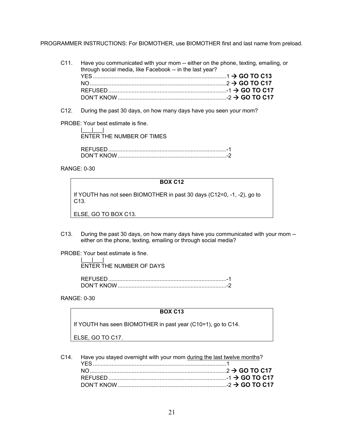PROGRAMMER INSTRUCTIONS: For BIOMOTHER, use BIOMOTHER first and last name from preload.

C11. Have you communicated with your mom -- either on the phone, texting, emailing, or through social media, like Facebook -- in the last year? YES ...................................................................................... 1  **GO TO C13** NO ........................................................................................ 2  **GO TO C17** REFUSED ............................................................................ -1  **GO TO C17** DON'T KNOW ...................................................................... -2  **GO TO C17**

C12. During the past 30 days, on how many days have you seen your mom?

PROBE: Your best estimate is fine.

 |\_\_\_|\_\_\_| ENTER THE NUMBER OF TIMES

| DON'T KNOW |  |
|------------|--|

RANGE: 0-30

#### **BOX C12**

If YOUTH has not seen BIOMOTHER in past 30 days (C12=0, -1, -2), go to C13.

ELSE, GO TO BOX C13.

C13. During the past 30 days, on how many days have you communicated with your mom - either on the phone, texting, emailing or through social media?

PROBE: Your best estimate is fine.

 $\|u\|_{\infty}=\|u\|_{\infty}=\|u\|_{\infty}$ ENTER THE NUMBER OF DAYS

| -       |  |
|---------|--|
| יות זרי |  |

RANGE: 0-30

#### **BOX C13**

If YOUTH has seen BIOMOTHER in past year (C10=1), go to C14.

ELSE, GO TO C17.

| C14. Have you stayed overnight with your mom during the last twelve months? |  |
|-----------------------------------------------------------------------------|--|
|                                                                             |  |
|                                                                             |  |
|                                                                             |  |
|                                                                             |  |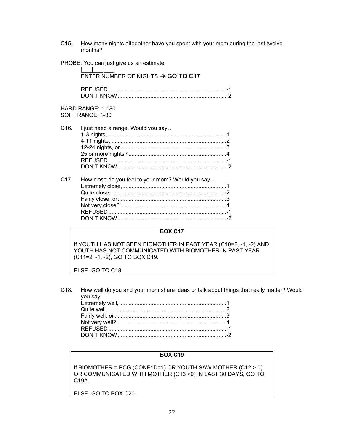C15. How many nights altogether have you spent with your mom during the last twelve months?

PROBE: You can just give us an estimate.

|                   | ENTER NUMBER OF NIGHTS $\rightarrow$ GO TO C17   |
|-------------------|--------------------------------------------------|
|                   |                                                  |
|                   | HARD RANGE: 1-180<br>SOFT RANGE: 1-30            |
| C <sub>16</sub> . | I just need a range. Would you say               |
| C17.              | How close do you feel to your mom? Would you say |

#### **BOX C17**

If YOUTH HAS NOT SEEN BIOMOTHER IN PAST YEAR (C10=2, -1, -2) AND YOUTH HAS NOT COMMUNICATED WITH BIOMOTHER IN PAST YEAR (C11=2, -1, -2), GO TO BOX C19.

ELSE, GO TO C18.

C18. How well do you and your mom share ideas or talk about things that really matter? Would you say…

# **BOX C19**

If BIOMOTHER = PCG (CONF1D=1) OR YOUTH SAW MOTHER (C12 > 0) OR COMMUNICATED WITH MOTHER (C13 >0) IN LAST 30 DAYS, GO TO C19A.

ELSE, GO TO BOX C20.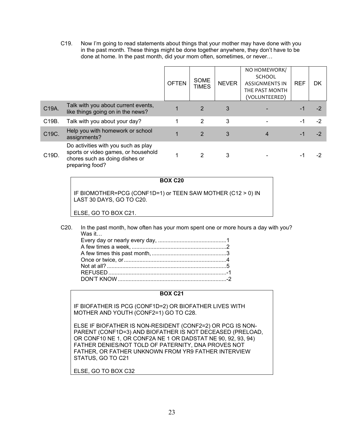C19. Now I'm going to read statements about things that your mother may have done with you in the past month. These things might be done together anywhere, they don't have to be done at home. In the past month, did your mom often, sometimes, or never…

|       |                                                                                                                                 | <b>OFTEN</b> | <b>SOME</b><br><b>TIMES</b> | <b>NEVER</b> | NO HOMEWORK/<br><b>SCHOOL</b><br><b>ASSIGNMENTS IN</b><br>THE PAST MONTH<br>(VOLUNTEERED) | <b>REF</b> | DK   |
|-------|---------------------------------------------------------------------------------------------------------------------------------|--------------|-----------------------------|--------------|-------------------------------------------------------------------------------------------|------------|------|
| C19A. | Talk with you about current events,<br>like things going on in the news?                                                        |              | 2                           | 3            |                                                                                           |            |      |
| C19B. | Talk with you about your day?                                                                                                   |              | 2                           | 3            |                                                                                           | -1         | -2   |
| C19C. | Help you with homework or school<br>assignments?                                                                                |              | 2                           | 3            | 4                                                                                         |            | $-2$ |
| C19D. | Do activities with you such as play<br>sports or video games, or household<br>chores such as doing dishes or<br>preparing food? |              | 2                           | 3            |                                                                                           |            |      |

**BOX C20** 

IF BIOMOTHER=PCG (CONF1D=1) or TEEN SAW MOTHER (C12 > 0) IN LAST 30 DAYS, GO TO C20.

ELSE, GO TO BOX C21.

C20. In the past month, how often has your mom spent one or more hours a day with you? Was it…

#### **BOX C21**

IF BIOFATHER IS PCG (CONF1D=2) OR BIOFATHER LIVES WITH MOTHER AND YOUTH (CONF2=1) GO TO C28.

ELSE IF BIOFATHER IS NON-RESIDENT (CONF2=2) OR PCG IS NON-PARENT (CONF1D=3) AND BIOFATHER IS NOT DECEASED (PRELOAD, OR CONF10 NE 1, OR CONF2A NE 1 OR DADSTAT NE 90, 92, 93, 94) FATHER DENIES/NOT TOLD OF PATERNITY, DNA PROVES NOT FATHER, OR FATHER UNKNOWN FROM YR9 FATHER INTERVIEW STATUS, GO TO C21

ELSE, GO TO BOX C32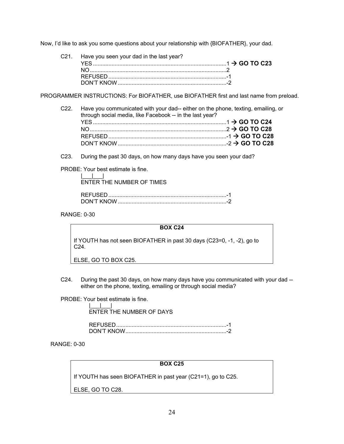Now, I'd like to ask you some questions about your relationship with {BIOFATHER}, your dad.

C21. Have you seen your dad in the last year? YES ...................................................................................... 1  **GO TO C23** NO ........................................................................................ 2 REFUSED ............................................................................ -1 DON'T KNOW ...................................................................... -2

PROGRAMMER INSTRUCTIONS: For BIOFATHER, use BIOFATHER first and last name from preload.

| C22. Have you communicated with your dad-- either on the phone, texting, emailing, or<br>through social media, like Facebook -- in the last year? |  |
|---------------------------------------------------------------------------------------------------------------------------------------------------|--|
|                                                                                                                                                   |  |
|                                                                                                                                                   |  |
|                                                                                                                                                   |  |
|                                                                                                                                                   |  |

C23. During the past 30 days, on how many days have you seen your dad?

PROBE: Your best estimate is fine.

 |\_\_\_|\_\_\_| ENTER THE NUMBER OF TIMES

| $N'$ KNO |  |
|----------|--|

RANGE: 0-30

#### **BOX C24**

If YOUTH has not seen BIOFATHER in past 30 days (C23=0, -1, -2), go to C24.

ELSE, GO TO BOX C25.

C24. During the past 30 days, on how many days have you communicated with your dad - either on the phone, texting, emailing or through social media?

PROBE: Your best estimate is fine.

 |\_\_\_|\_\_\_| ENTER THE NUMBER OF DAYS

| NUIT KNOW |  |
|-----------|--|

RANGE: 0-30

## **BOX C25**

If YOUTH has seen BIOFATHER in past year (C21=1), go to C25.

ELSE, GO TO C28.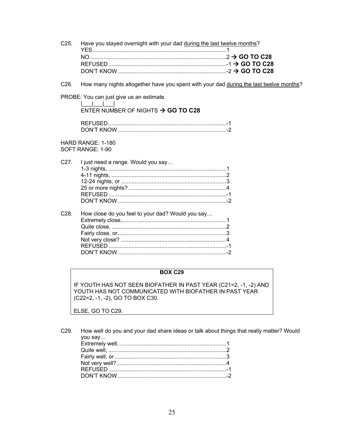| C25. Have you stayed overnight with your dad during the last twelve months? |  |  |
|-----------------------------------------------------------------------------|--|--|
|                                                                             |  |  |
|                                                                             |  |  |
|                                                                             |  |  |
|                                                                             |  |  |

How many nights altogether have you spent with your dad during the last twelve months? C<sub>26</sub>

PROBE: You can just give us an estimate.

### $\mathbb{R}^n$  and  $\mathbb{R}^n$  and  $\mathbb{R}^n$ ENTER NUMBER OF NIGHTS  $\rightarrow$  GO TO C28

| <b>REFUSED</b> |  |
|----------------|--|
| DON'T KNOW     |  |

HARD RANGE: 1-180

SOFT RANGE: 1-90

|  | C27. I just need a range. Would you say |  |
|--|-----------------------------------------|--|
|  |                                         |  |
|  |                                         |  |
|  |                                         |  |
|  |                                         |  |
|  |                                         |  |
|  |                                         |  |
|  |                                         |  |

#### C<sub>28</sub> How close do you feel to your dad? Would you say...

## **BOX C29**

IF YOUTH HAS NOT SEEN BIOFATHER IN PAST YEAR (C21=2, -1, -2) AND YOUTH HAS NOT COMMUNICATED WITH BIOFATHER IN PAST YEAR (C22=2, -1, -2), GO TO BOX C30.

ELSE, GO TO C29.

|         | C29. How well do you and your dad share ideas or talk about things that really matter? Would |  |
|---------|----------------------------------------------------------------------------------------------|--|
| you say |                                                                                              |  |
|         |                                                                                              |  |
|         |                                                                                              |  |
|         |                                                                                              |  |
|         |                                                                                              |  |
|         |                                                                                              |  |
|         |                                                                                              |  |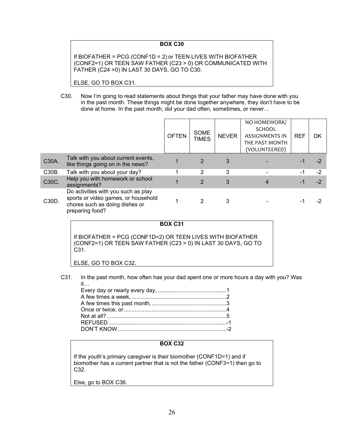#### **BOX C30**

If BIOFATHER = PCG (CONF1D = 2) or TEEN LIVES WITH BIOFATHER (CONF2=1) OR TEEN SAW FATHER (C23 > 0) OR COMMUNICATED WITH FATHER (C24 >0) IN LAST 30 DAYS, GO TO C30.

ELSE, GO TO BOX C31.

C30. Now I'm going to read statements about things that your father may have done with you in the past month. These things might be done together anywhere, they don't have to be done at home. In the past month, did your dad often, sometimes, or never…

|       |                                                                                                                                 | <b>OFTEN</b> | <b>SOME</b><br><b>TIMES</b> | <b>NEVER</b> | NO HOMEWORK/<br><b>SCHOOL</b><br><b>ASSIGNMENTS IN</b><br>THE PAST MONTH<br>(VOLUNTEERED) | <b>REF</b> | DK   |
|-------|---------------------------------------------------------------------------------------------------------------------------------|--------------|-----------------------------|--------------|-------------------------------------------------------------------------------------------|------------|------|
| C30A. | Talk with you about current events,<br>like things going on in the news?                                                        |              | $\overline{2}$              | 3            |                                                                                           |            | -2   |
| C30B. | Talk with you about your day?                                                                                                   |              | 2                           | 3            |                                                                                           | -1         | $-2$ |
| C30C. | Help you with homework or school<br>assignments?                                                                                |              | $\overline{2}$              | 3            |                                                                                           |            | $-2$ |
| C30D. | Do activities with you such as play<br>sports or video games, or household<br>chores such as doing dishes or<br>preparing food? |              | 2                           | 3            |                                                                                           |            |      |

## **BOX C31**

If BIOFATHER = PCG (CONF1D=2) OR TEEN LIVES WITH BIOFATHER (CONF2=1) OR TEEN SAW FATHER (C23 > 0) IN LAST 30 DAYS, GO TO C31.

ELSE, GO TO BOX C32.

C31. In the past month, how often has your dad spent one or more hours a day with you? Was

#### **BOX C32**

If the youth's primary caregiver is their biomother (CONF1D=1) and if biomother has a current partner that is not the father (CONF3=1) then go to C32.

Else, go to BOX C36.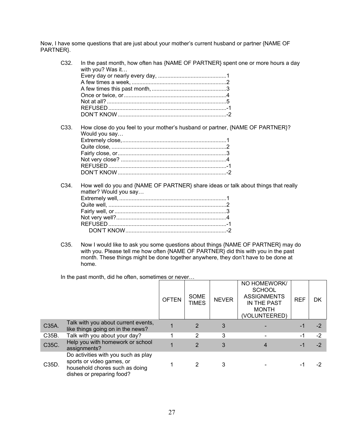Now, I have some questions that are just about your mother's current husband or partner {NAME OF PARTNER}.

C32. In the past month, how often has {NAME OF PARTNER} spent one or more hours a day with you? Was it… Every day or nearly every day, ............................................ 1 A few times a week, ............................................................. 2 A few times this past month, ................................................ 3 Once or twice, or .................................................................. 4 Not at all? ............................................................................. 5 REFUSED ............................................................................ -1 DON'T KNOW ...................................................................... -2 C33. How close do you feel to your mother's husband or partner, {NAME OF PARTNER}? Would you say… Extremely close, ................................................................... 1 Quite close, .......................................................................... 2 Fairly close, or ...................................................................... 3 Not very close? .................................................................... 4 REFUSED ............................................................................ -1 DON'T KNOW ...................................................................... -2 C34. How well do you and {NAME OF PARTNER} share ideas or talk about things that really matter? Would you say… Extremely well, ..................................................................... 1 Quite well, ............................................................................ 2

C35. Now I would like to ask you some questions about things {NAME OF PARTNER} may do with you. Please tell me how often {NAME OF PARTNER} did this with you in the past month. These things might be done together anywhere, they don't have to be done at home.

In the past month, did he often, sometimes or never…

|       |                                                                                                                                 | <b>OFTEN</b> | SOME<br><b>TIMES</b> | <b>NEVER</b> | NO HOMEWORK/<br><b>SCHOOL</b><br><b>ASSIGNMENTS</b><br>IN THE PAST<br><b>MONTH</b><br>(VOLUNTEERED) | <b>REF</b> | DK   |
|-------|---------------------------------------------------------------------------------------------------------------------------------|--------------|----------------------|--------------|-----------------------------------------------------------------------------------------------------|------------|------|
| C35A. | Talk with you about current events,<br>like things going on in the news?                                                        |              | 2                    | 3            |                                                                                                     |            | $-2$ |
| C35B. | Talk with you about your day?                                                                                                   |              |                      | 3            |                                                                                                     | -1         | $-2$ |
| C35C. | Help you with homework or school<br>assignments?                                                                                |              | $\mathcal{P}$        | 3            |                                                                                                     | -1         | $-2$ |
| C35D. | Do activities with you such as play<br>sports or video games, or<br>household chores such as doing<br>dishes or preparing food? |              |                      | 3            |                                                                                                     |            | -2   |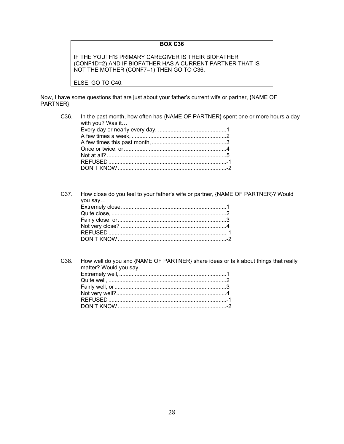#### **BOX C36**

IF THE YOUTH'S PRIMARY CAREGIVER IS THEIR BIOFATHER (CONF1D=2) AND IF BIOFATHER HAS A CURRENT PARTNER THAT IS NOT THE MOTHER (CONF7=1) THEN GO TO C36.

ELSE, GO TO C40.

Now, I have some questions that are just about your father's current wife or partner, {NAME OF PARTNER}.

| C36. | In the past month, how often has {NAME OF PARTNER} spent one or more hours a day<br>with you? Was it |
|------|------------------------------------------------------------------------------------------------------|
|      |                                                                                                      |
|      |                                                                                                      |
|      |                                                                                                      |
|      |                                                                                                      |
|      |                                                                                                      |
|      |                                                                                                      |
|      |                                                                                                      |

C37. How close do you feel to your father's wife or partner, {NAME OF PARTNER}? Would you say… Extremely close, ................................................................... 1 Quite close, .......................................................................... 2 Fairly close, or ...................................................................... 3 Not very close? .................................................................... 4 REFUSED ............................................................................ -1 DON'T KNOW ...................................................................... -2

| C38. How well do you and {NAME OF PARTNER} share ideas or talk about things that really<br>matter? Would you say |
|------------------------------------------------------------------------------------------------------------------|
|                                                                                                                  |
|                                                                                                                  |
|                                                                                                                  |
|                                                                                                                  |
|                                                                                                                  |
|                                                                                                                  |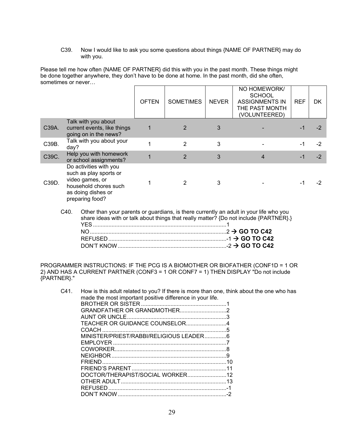C39. Now I would like to ask you some questions about things {NAME OF PARTNER} may do with you.

Please tell me how often {NAME OF PARTNER} did this with you in the past month. These things might be done together anywhere, they don't have to be done at home. In the past month, did she often, sometimes or never…

|       |                                                                                                                                       | <b>OFTEN</b> | <b>SOMETIMES</b> | <b>NEVER</b> | NO HOMEWORK/<br><b>SCHOOL</b><br><b>ASSIGNMENTS IN</b><br>THE PAST MONTH<br>(VOLUNTEERED) | <b>REF</b> | DK   |
|-------|---------------------------------------------------------------------------------------------------------------------------------------|--------------|------------------|--------------|-------------------------------------------------------------------------------------------|------------|------|
| C39A. | Talk with you about<br>current events, like things<br>going on in the news?                                                           | 1            | 2                | 3            |                                                                                           | -1         |      |
| C39B. | Talk with you about your<br>day?                                                                                                      |              | $\mathfrak{p}$   | 3            |                                                                                           | -1         | $-2$ |
| C39C. | Help you with homework<br>or school assignments?                                                                                      |              | $\overline{2}$   | 3            | 4                                                                                         |            | $-2$ |
| C39D. | Do activities with you<br>such as play sports or<br>video games, or<br>household chores such<br>as doing dishes or<br>preparing food? |              | 2                | 3            |                                                                                           | -1         |      |

C40. Other than your parents or guardians, is there currently an adult in your life who you share ideas with or talk about things that really matter? {Do not include {PARTNER}.} YES ...................................................................................... 1 NO ........................................................................................ 2  **GO TO C42** REFUSED ............................................................................ -1  **GO TO C42** DON'T KNOW ...................................................................... -2  **GO TO C42**

PROGRAMMER INSTRUCTIONS: IF THE PCG IS A BIOMOTHER OR BIOFATHER (CONF1D = 1 OR 2) AND HAS A CURRENT PARTNER (CONF3 = 1 OR CONF7 = 1) THEN DISPLAY "Do not include {PARTNER}."

| C41. | How is this adult related to you? If there is more than one, think about the one who has |  |
|------|------------------------------------------------------------------------------------------|--|
|      | made the most important positive difference in your life.                                |  |
|      |                                                                                          |  |
|      |                                                                                          |  |
|      |                                                                                          |  |
|      |                                                                                          |  |
|      |                                                                                          |  |
|      | MINISTER/PRIEST/RABBI/RELIGIOUS LEADER6                                                  |  |
|      |                                                                                          |  |
|      |                                                                                          |  |
|      |                                                                                          |  |
|      |                                                                                          |  |
|      |                                                                                          |  |
|      |                                                                                          |  |
|      |                                                                                          |  |
|      |                                                                                          |  |
|      |                                                                                          |  |
|      |                                                                                          |  |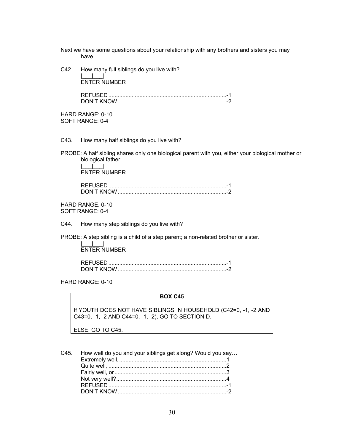Next we have some questions about your relationship with any brothers and sisters you may have.

C42. How many full siblings do you live with?

 $\|u\|_{\infty}=\|u\|_{\infty}=\|u\|_{\infty}$ ENTER NUMBER

> REFUSED ............................................................................ -1 DON'T KNOW ...................................................................... -2

HARD RANGE: 0-10 SOFT RANGE: 0-4

C43. How many half siblings do you live with?

PROBE: A half sibling shares only one biological parent with you, either your biological mother or biological father.

 $\|u\|_{\infty}=\|u\|_{\infty}=\|u\|_{\infty}$ ENTER NUMBER

> REFUSED ............................................................................ -1 DON'T KNOW ...................................................................... -2

HARD RANGE: 0-10 SOFT RANGE: 0-4

C44. How many step siblings do you live with?

PROBE: A step sibling is a child of a step parent; a non-related brother or sister.

 |\_\_\_|\_\_\_| ENTER NUMBER

> REFUSED ............................................................................ -1 DON'T KNOW ...................................................................... -2

HARD RANGE: 0-10

### **BOX C45**

If YOUTH DOES NOT HAVE SIBLINGS IN HOUSEHOLD (C42=0, -1, -2 AND C43=0, -1, -2 AND C44=0, -1, -2), GO TO SECTION D.

ELSE, GO TO C45.

C45. How well do you and your siblings get along? Would you say…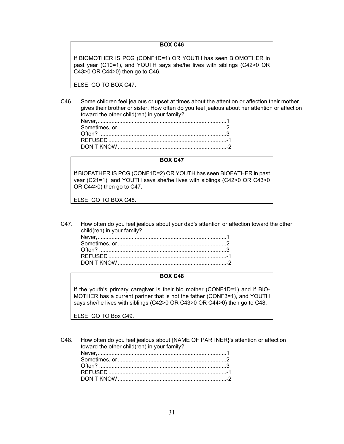#### **BOX C46**

If BIOMOTHER IS PCG (CONF1D=1) OR YOUTH has seen BIOMOTHER in past year (C10=1), and YOUTH says she/he lives with siblings (C42>0 OR C43>0 OR C44>0) then go to C46.

ELSE, GO TO BOX C47.

C46. Some children feel jealous or upset at times about the attention or affection their mother gives their brother or sister. How often do you feel jealous about her attention or affection toward the other child(ren) in your family?

#### **BOX C47**

If BIOFATHER IS PCG (CONF1D=2) OR YOUTH has seen BIOFATHER in past year (C21=1), and YOUTH says she/he lives with siblings (C42>0 OR C43>0 OR C44>0) then go to C47.

ELSE, GO TO BOX C48.

C47. How often do you feel jealous about your dad's attention or affection toward the other child(ren) in your family?

#### **BOX C48**

If the youth's primary caregiver is their bio mother (CONF1D=1) and if BIO-MOTHER has a current partner that is not the father (CONF3=1), and YOUTH says she/he lives with siblings (C42>0 OR C43>0 OR C44>0) then go to C48.

ELSE, GO TO Box C49.

C48. How often do you feel jealous about {NAME OF PARTNER}'s attention or affection toward the other child(ren) in your family?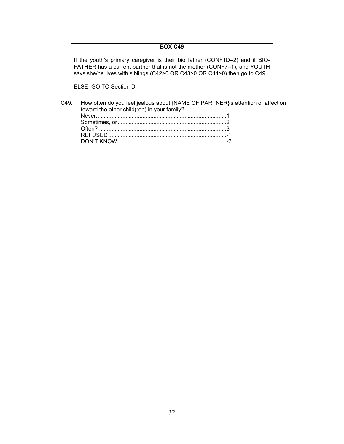## **BOX C49**

If the youth's primary caregiver is their bio father (CONF1D=2) and if BIO-FATHER has a current partner that is not the mother (CONF7=1), and YOUTH says she/he lives with siblings (C42>0 OR C43>0 OR C44>0) then go to C49.

ELSE, GO TO Section D.

| toward the other child(ren) in your family? | C49. How often do you feel jealous about {NAME OF PARTNER}'s attention or affection |
|---------------------------------------------|-------------------------------------------------------------------------------------|
|                                             |                                                                                     |
|                                             |                                                                                     |
|                                             |                                                                                     |
|                                             |                                                                                     |
|                                             |                                                                                     |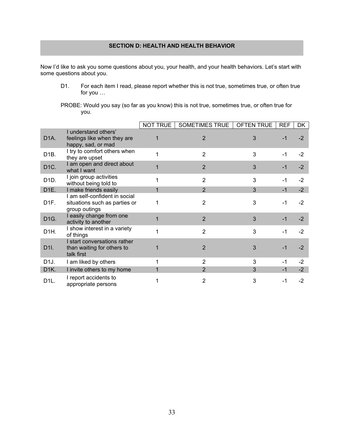# **SECTION D: HEALTH AND HEALTH BEHAVIOR**

Now I'd like to ask you some questions about you, your health, and your health behaviors. Let's start with some questions about you.

- D1. For each item I read, please report whether this is not true, sometimes true, or often true for you …
- PROBE: Would you say (so far as you know) this is not true, sometimes true, or often true for you.

|                   |                                                                                 | NOT TRUE | SOMETIMES TRUE | <b>OFTEN TRUE</b> | <b>REF</b> | DK   |
|-------------------|---------------------------------------------------------------------------------|----------|----------------|-------------------|------------|------|
| D <sub>1</sub> A. | I understand others'<br>feelings like when they are<br>happy, sad, or mad       |          | $\overline{2}$ | 3                 | $-1$       | $-2$ |
| D <sub>1</sub> B. | I try to comfort others when<br>they are upset                                  | 1        | $\overline{2}$ | 3                 | -1         | $-2$ |
| D <sub>1C</sub> . | I am open and direct about<br>what I want                                       |          | $\overline{2}$ | 3                 | $-1$       | $-2$ |
| D <sub>1</sub> D. | I join group activities<br>without being told to                                | 1        | $\overline{2}$ | 3                 | $-1$       | $-2$ |
| D <sub>1E</sub> . | I make friends easily                                                           |          | $\overline{2}$ | 3                 | $-1$       | $-2$ |
| D <sub>1</sub> F. | I am self-confident in social<br>situations such as parties or<br>group outings | 1        | $\overline{2}$ | 3                 | -1         | $-2$ |
| D <sub>1</sub> G. | I easily change from one<br>activity to another                                 |          | $\overline{2}$ | 3                 | $-1$       | $-2$ |
| D <sub>1</sub> H. | I show interest in a variety<br>of things                                       | 1        | $\overline{2}$ | 3                 | $-1$       | $-2$ |
| D <sub>1</sub> I. | I start conversations rather<br>than waiting for others to<br>talk first        |          | $\overline{2}$ | 3                 | $-1$       | $-2$ |
| D <sub>1</sub> J. | I am liked by others                                                            | 1        | $\overline{2}$ | 3                 | $-1$       | $-2$ |
| D <sub>1</sub> K. | I invite others to my home                                                      |          | $\overline{2}$ | 3                 | $-1$       | $-2$ |
| D <sub>1</sub> L. | I report accidents to<br>appropriate persons                                    |          | $\overline{2}$ | 3                 | -1         | $-2$ |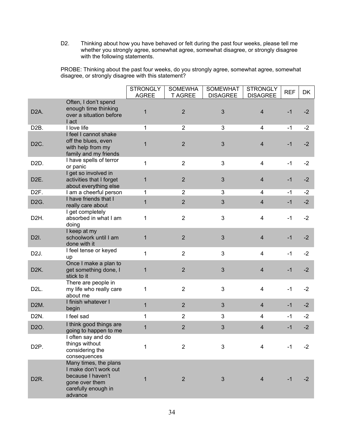D2. Thinking about how you have behaved or felt during the past four weeks, please tell me whether you strongly agree, somewhat agree, somewhat disagree, or strongly disagree with the following statements.

PROBE: Thinking about the past four weeks, do you strongly agree, somewhat agree, somewhat disagree, or strongly disagree with this statement?

|                   |                                                                                                                         | <b>STRONGLY</b><br><b>AGREE</b> | <b>SOMEWHA</b><br><b>T AGREE</b> | <b>SOMEWHAT</b><br><b>DISAGREE</b> | <b>STRONGLY</b><br><b>DISAGREE</b> | <b>REF</b> | DK   |
|-------------------|-------------------------------------------------------------------------------------------------------------------------|---------------------------------|----------------------------------|------------------------------------|------------------------------------|------------|------|
| D <sub>2</sub> A. | Often, I don't spend<br>enough time thinking<br>over a situation before<br>I act                                        | $\mathbf{1}$                    | $\overline{2}$                   | 3                                  | $\overline{4}$                     | $-1$       | $-2$ |
| D <sub>2</sub> B. | I love life                                                                                                             | 1                               | $\overline{2}$                   | 3                                  | 4                                  | $-1$       | $-2$ |
| D <sub>2</sub> C. | I feel I cannot shake<br>off the blues, even<br>with help from my<br>family and my friends                              | 1                               | $\overline{2}$                   | 3                                  | $\overline{4}$                     | $-1$       | $-2$ |
| D <sub>2</sub> D. | I have spells of terror<br>or panic                                                                                     | $\mathbf{1}$                    | $\overline{2}$                   | 3                                  | $\overline{4}$                     | $-1$       | $-2$ |
| D <sub>2</sub> E. | I get so involved in<br>activities that I forget<br>about everything else                                               | 1                               | $\overline{2}$                   | 3                                  | $\overline{4}$                     | $-1$       | $-2$ |
| D <sub>2</sub> F. | I am a cheerful person                                                                                                  | 1                               | $\overline{2}$                   | 3                                  | 4                                  | -1         | $-2$ |
| D <sub>2</sub> G. | I have friends that I<br>really care about                                                                              | $\mathbf{1}$                    | $\overline{2}$                   | 3                                  | $\overline{4}$                     | $-1$       | $-2$ |
| D <sub>2</sub> H. | I get completely<br>absorbed in what I am<br>doing                                                                      | 1                               | $\overline{2}$                   | 3                                  | $\overline{4}$                     | $-1$       | $-2$ |
| D2I.              | I keep at my<br>schoolwork until I am<br>done with it                                                                   | 1                               | $\overline{2}$                   | 3                                  | $\overline{4}$                     | $-1$       | $-2$ |
| D <sub>2</sub> J. | I feel tense or keyed<br>up                                                                                             | $\mathbf{1}$                    | $\overline{2}$                   | 3                                  | $\overline{4}$                     | $-1$       | $-2$ |
| D <sub>2</sub> K. | Once I make a plan to<br>get something done, I<br>stick to it                                                           | $\mathbf 1$                     | $\overline{2}$                   | 3                                  | $\overline{4}$                     | $-1$       | $-2$ |
| D <sub>2</sub> L. | There are people in<br>my life who really care<br>about me                                                              | 1                               | $\overline{2}$                   | 3                                  | $\overline{4}$                     | $-1$       | $-2$ |
| D <sub>2</sub> M. | I finish whatever I<br>begin                                                                                            | $\mathbf{1}$                    | $\overline{2}$                   | 3                                  | $\overline{4}$                     | $-1$       | $-2$ |
| D <sub>2</sub> N. | I feel sad                                                                                                              | $\mathbf{1}$                    | $\overline{2}$                   | 3                                  | 4                                  | $-1$       | $-2$ |
| D2O.              | I think good things are<br>going to happen to me                                                                        | $\mathbf{1}$                    | $\overline{2}$                   | $\mathfrak{S}$                     | 4                                  | $-1$       | $-2$ |
| D <sub>2</sub> P. | I often say and do<br>things without<br>considering the<br>consequences                                                 | 1                               | $\overline{2}$                   | 3                                  | $\overline{4}$                     | $-1$       | $-2$ |
| D <sub>2R</sub>   | Many times, the plans<br>I make don't work out<br>because I haven't<br>gone over them<br>carefully enough in<br>advance | 1                               | $\overline{2}$                   | $\mathfrak{S}$                     | $\overline{4}$                     | $-1$       | $-2$ |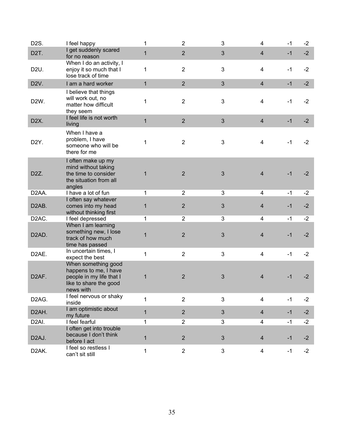| D <sub>2</sub> S.  | I feel happy                                                                                                                       | 1            | $\overline{2}$ | 3              | 4                       | $-1$ | $-2$ |
|--------------------|------------------------------------------------------------------------------------------------------------------------------------|--------------|----------------|----------------|-------------------------|------|------|
| D <sub>2</sub> T.  | I get suddenly scared<br>for no reason                                                                                             | $\mathbf 1$  | $\overline{2}$ | $\mathfrak{S}$ | $\overline{4}$          | $-1$ | $-2$ |
| D <sub>2</sub> U.  | When I do an activity, I<br>enjoy it so much that I<br>lose track of time                                                          | 1            | $\overline{2}$ | 3              | $\overline{\mathbf{4}}$ | $-1$ | $-2$ |
| D <sub>2V</sub> .  | I am a hard worker                                                                                                                 | $\mathbf{1}$ | $\overline{2}$ | 3              | $\overline{4}$          | $-1$ | $-2$ |
| D <sub>2</sub> W.  | I believe that things<br>will work out, no<br>matter how difficult<br>they seem                                                    | 1            | $\overline{2}$ | 3              | $\overline{\mathbf{4}}$ | $-1$ | $-2$ |
| D <sub>2X</sub> .  | I feel life is not worth<br>living                                                                                                 | $\mathbf{1}$ | $\overline{2}$ | 3              | $\overline{4}$          | $-1$ | $-2$ |
| D <sub>2</sub> Y.  | When I have a<br>problem, I have<br>someone who will be<br>there for me                                                            | 1            | $\overline{2}$ | 3              | $\overline{4}$          | $-1$ | $-2$ |
| D <sub>2</sub> Z.  | I often make up my<br>mind without taking<br>the time to consider<br>the situation from all<br>angles                              | $\mathbf 1$  | $\overline{2}$ | 3              | $\overline{4}$          | $-1$ | $-2$ |
| D <sub>2</sub> AA. | I have a lot of fun                                                                                                                | $\mathbf{1}$ | $\overline{2}$ | 3              | $\overline{4}$          | $-1$ | $-2$ |
| D <sub>2</sub> AB. | I often say whatever<br>comes into my head<br>without thinking first                                                               | 1            | $\overline{2}$ | 3              | $\overline{4}$          | $-1$ | $-2$ |
| D <sub>2</sub> AC. | I feel depressed                                                                                                                   | 1            | $\overline{2}$ | $\mathbf{3}$   | 4                       | $-1$ | $-2$ |
| D <sub>2</sub> AD. | When I am learning<br>something new, I lose<br>track of how much<br>time has passed                                                | 1            | $\overline{2}$ | $\mathfrak{B}$ | $\overline{4}$          | $-1$ | $-2$ |
| D <sub>2</sub> AE. | In uncertain times, I                                                                                                              | $\mathbf{1}$ | $\overline{2}$ | 3              | $\overline{4}$          | $-1$ | $-2$ |
| D <sub>2</sub> AF. | expect the best<br>When something good<br>happens to me, I have<br>people in my life that I<br>like to share the good<br>news with | 1            | $\overline{2}$ | $\mathfrak{B}$ | $\overline{4}$          | $-1$ | $-2$ |
| D <sub>2</sub> AG. | I feel nervous or shaky<br>inside                                                                                                  | 1            | $\overline{2}$ | 3              | $\overline{4}$          | $-1$ | $-2$ |
| D <sub>2</sub> AH. | I am optimistic about<br>my future                                                                                                 | $\mathbf{1}$ | $\overline{2}$ | 3              | $\overline{4}$          | $-1$ | $-2$ |
| D <sub>2</sub> AI. | I feel fearful                                                                                                                     | 1            | $\overline{2}$ | 3              | 4                       | -1   | $-2$ |
| D <sub>2</sub> AJ. | I often get into trouble<br>because I don't think<br>before I act                                                                  | $\mathbf{1}$ | $\overline{2}$ | $\mathfrak{S}$ | $\overline{4}$          | $-1$ | $-2$ |
| D <sub>2</sub> AK. | I feel so restless I<br>can't sit still                                                                                            | $\mathbf{1}$ | $\overline{2}$ | 3              | $\overline{4}$          | $-1$ | $-2$ |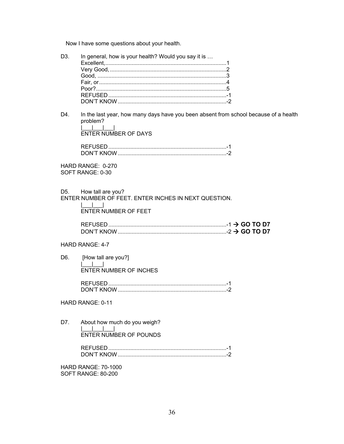Now I have some questions about your health.

| D3.                                              | In general, how is your health? Would you say it is                                                                             |
|--------------------------------------------------|---------------------------------------------------------------------------------------------------------------------------------|
| D4.                                              | In the last year, how many days have you been absent from school because of a health<br>problem?<br><b>ENTER NUMBER OF DAYS</b> |
|                                                  |                                                                                                                                 |
| HARD RANGE: 0-270<br>SOFT RANGE: 0-30            |                                                                                                                                 |
|                                                  | D5. How tall are you?<br>ENTER NUMBER OF FEET. ENTER INCHES IN NEXT QUESTION.<br><b>ENTER NUMBER OF FEET</b>                    |
|                                                  |                                                                                                                                 |
| HARD RANGE: 4-7                                  |                                                                                                                                 |
| D <sub>6</sub>                                   | [How tall are you?]                                                                                                             |
|                                                  | <b>ENTER NUMBER OF INCHES</b>                                                                                                   |
|                                                  |                                                                                                                                 |
| HARD RANGE: 0-11                                 |                                                                                                                                 |
| D7.                                              | About how much do you weigh?<br><b>ENTER NUMBER OF POUNDS</b>                                                                   |
|                                                  |                                                                                                                                 |
| <b>HARD RANGE: 70-1000</b><br>SOFT RANGE: 80-200 |                                                                                                                                 |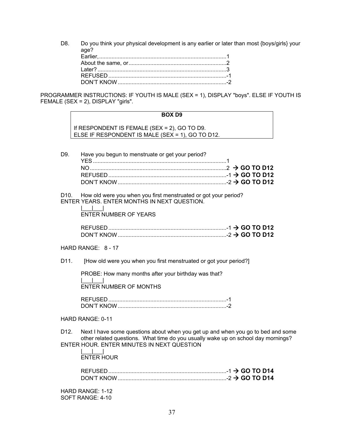D8. Do you think your physical development is any earlier or later than most {boys/girls} your age?

PROGRAMMER INSTRUCTIONS: IF YOUTH IS MALE (SEX = 1), DISPLAY "boys". ELSE IF YOUTH IS FEMALE (SEX = 2), DISPLAY "girls".

|      | <b>BOX D9</b>                                                                                                                                       |
|------|-----------------------------------------------------------------------------------------------------------------------------------------------------|
|      | If RESPONDENT IS FEMALE (SEX = 2), GO TO D9.<br>ELSE IF RESPONDENT IS MALE (SEX = 1), GO TO D12.                                                    |
| D9.  | Have you begun to menstruate or get your period?                                                                                                    |
|      | D10. How old were you when you first menstruated or got your period?<br>ENTER YEARS. ENTER MONTHS IN NEXT QUESTION.<br><b>ENTER NUMBER OF YEARS</b> |
|      |                                                                                                                                                     |
|      | HARD RANGE: 8 - 17                                                                                                                                  |
| D11. | [How old were you when you first menstruated or got your period?]                                                                                   |
|      | PROBE: How many months after your birthday was that?<br><b>ENTER NUMBER OF MONTHS</b>                                                               |

 REFUSED ............................................................................ -1 DON'T KNOW ...................................................................... -2

#### HARD RANGE: 0-11

D12. Next I have some questions about when you get up and when you go to bed and some other related questions. What time do you usually wake up on school day mornings? ENTER HOUR. ENTER MINUTES IN NEXT QUESTION

 $\Box$ ENTER HOUR

| REFUSED    |  |  |
|------------|--|--|
| DON'T KNOW |  |  |

HARD RANGE: 1-12 SOFT RANGE: 4-10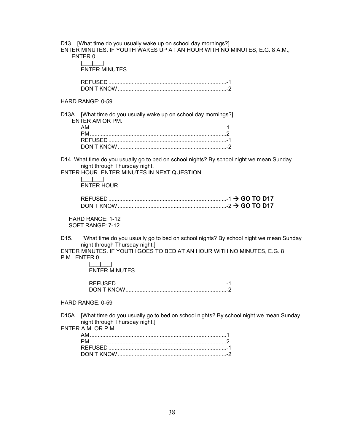D13. [What time do you usually wake up on school day mornings?] ENTER MINUTES. IF YOUTH WAKES UP AT AN HOUR WITH NO MINUTES, E.G. 8 A.M., ENTER 0.

 |\_\_\_|\_\_\_| ENTER MINUTES

 REFUSED ............................................................................ -1 DON'T KNOW ...................................................................... -2

## HARD RANGE: 0-59

D13A. [What time do you usually wake up on school day mornings?] ENTER AM OR PM.

D14. What time do you usually go to bed on school nights? By school night we mean Sunday night through Thursday night.

ENTER HOUR. ENTER MINUTES IN NEXT QUESTION  $\Box$ 

# ENTER HOUR

| <b>REFUSED</b>                        |  |  |
|---------------------------------------|--|--|
| $\frac{1}{2}$ GO TO D17<br>DON'T KNOW |  |  |

 HARD RANGE: 1-12 SOFT RANGE: 7-12

D15. [What time do you usually go to bed on school nights? By school night we mean Sunday night through Thursday night.]

ENTER MINUTES. IF YOUTH GOES TO BED AT AN HOUR WITH NO MINUTES, E.G. 8 P.M., ENTER 0.

 |\_\_\_|\_\_\_| ENTER MINUTES

| DON'T KNOW |  |
|------------|--|

HARD RANGE: 0-59

D15A. [What time do you usually go to bed on school nights? By school night we mean Sunday night through Thursday night.]

ENTER A.M. OR P.M.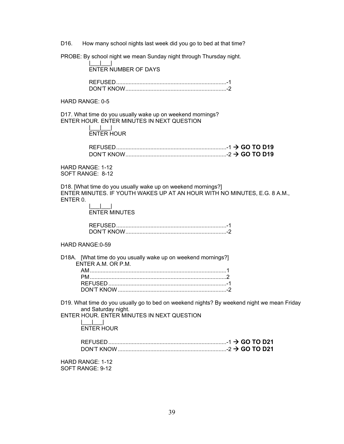D16. How many school nights last week did you go to bed at that time?

PROBE: By school night we mean Sunday night through Thursday night.

 $| \qquad | \qquad |$ ENTER NUMBER OF DAYS

 REFUSED ....................................................................... -1 DON'T KNOW ................................................................. -2

HARD RANGE: 0-5

D17. What time do you usually wake up on weekend mornings? ENTER HOUR. ENTER MINUTES IN NEXT QUESTION

 |\_\_\_|\_\_\_| ENTER HOUR

| DON'T KNOW |  |  |
|------------|--|--|

HARD RANGE: 1-12 SOFT RANGE: 8-12

D18. [What time do you usually wake up on weekend mornings?] ENTER MINUTES. IF YOUTH WAKES UP AT AN HOUR WITH NO MINUTES, E.G. 8 A.M., ENTER 0.

 |\_\_\_|\_\_\_| ENTER MINUTES

| DON'T KNOW |  |
|------------|--|

HARD RANGE:0-59

| D18A. [What time do you usually wake up on weekend mornings?] |  |
|---------------------------------------------------------------|--|
| ENTER A.M. OR P.M.                                            |  |
|                                                               |  |
|                                                               |  |
|                                                               |  |
|                                                               |  |

D19. What time do you usually go to bed on weekend nights? By weekend night we mean Friday and Saturday night.

ENTER HOUR. ENTER MINUTES IN NEXT QUESTION

 |\_\_\_|\_\_\_| ENTER HOUR

| <b>REFUSED</b> |  |  |  |
|----------------|--|--|--|
| DON'T KNOW     |  |  |  |

HARD RANGE: 1-12 SOFT RANGE: 9-12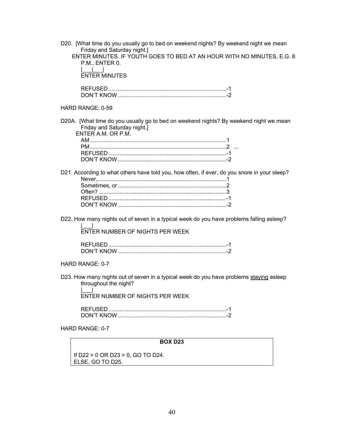| <b>BOX D23</b>                                                                                                                                                                                                                                    |
|---------------------------------------------------------------------------------------------------------------------------------------------------------------------------------------------------------------------------------------------------|
| HARD RANGE: 0-7                                                                                                                                                                                                                                   |
|                                                                                                                                                                                                                                                   |
| D23. How many nights out of seven in a typical week do you have problems staying asleep<br>throughout the night?<br>$\mathbf{1}$ and $\mathbf{1}$ and $\mathbf{1}$<br>ENTER NUMBER OF NIGHTS PER WEEK                                             |
| HARD RANGE: 0-7                                                                                                                                                                                                                                   |
|                                                                                                                                                                                                                                                   |
| D22. How many nights out of seven in a typical week do you have problems falling asleep?<br>ENTER NUMBER OF NIGHTS PER WEEK                                                                                                                       |
| D21. According to what others have told you, how often, if ever, do you snore in your sleep?                                                                                                                                                      |
| D20A. [What time do you usually go to bed on weekend nights? By weekend night we mean<br>Friday and Saturday night.]<br>ENTER A.M. OR P.M.                                                                                                        |
| HARD RANGE: 0-59                                                                                                                                                                                                                                  |
|                                                                                                                                                                                                                                                   |
| D20. [What time do you usually go to bed on weekend nights? By weekend night we mean<br>Friday and Saturday night.]<br>ENTER MINUTES. IF YOUTH GOES TO BED AT AN HOUR WITH NO MINUTES, E.G. 8<br>P.M., ENTER 0.<br>$\Box$<br><b>ENTER MINUTES</b> |

If D22 > 0 OR D23 > 0, GO TO D24. ELSE, GO TO D25.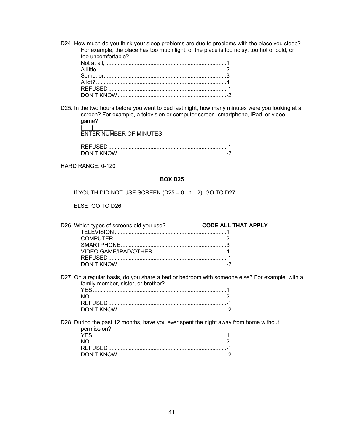D24. How much do you think your sleep problems are due to problems with the place you sleep? For example, the place has too much light, or the place is too noisy, too hot or cold, or too uncomfortable? Not at all, .............................................................................. 1

D25. In the two hours before you went to bed last night, how many minutes were you looking at a screen? For example, a television or computer screen, smartphone, iPad, or video game? |\_\_\_\_<u>|\_\_\_|\_\_\_|\_</u>\_\_|

ENTER NUMBER OF MINUTES

| ואדיואר |  |
|---------|--|

HARD RANGE: 0-120

#### **BOX D25**

If YOUTH DID NOT USE SCREEN (D25 = 0, -1, -2), GO TO D27.

ELSE, GO TO D26.

| D26. Which types of screens did you use? | <b>CODE ALL THAT APPLY</b> |
|------------------------------------------|----------------------------|
|                                          |                            |
|                                          |                            |
|                                          |                            |
|                                          |                            |
|                                          |                            |
|                                          |                            |

D27. On a regular basis, do you share a bed or bedroom with someone else? For example, with a family member, sister, or brother?

D28. During the past 12 months, have you ever spent the night away from home without permission? YES ...................................................................................... 1 NO ........................................................................................ 2 REFUSED ............................................................................ -1 DON'T KNOW ...................................................................... -2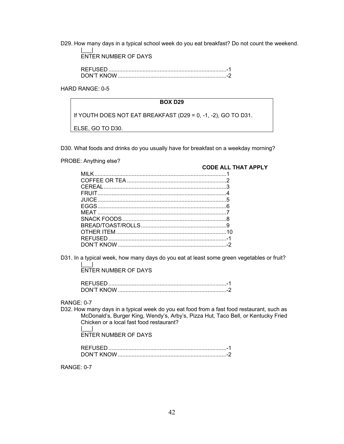D29. How many days in a typical school week do you eat breakfast? Do not count the weekend.

 |\_\_\_| ENTER NUMBER OF DAYS

| <b>DON'T KNOW</b> |  |
|-------------------|--|

HARD RANGE: 0-5

#### **BOX D29**

If YOUTH DOES NOT EAT BREAKFAST (D29 = 0, -1, -2), GO TO D31.

ELSE, GO TO D30.

D30. What foods and drinks do you usually have for breakfast on a weekday morning?

PROBE: Anything else?

**CODE ALL THAT APPLY**

| MII K    |  |
|----------|--|
|          |  |
| CEREAL 3 |  |
|          |  |
|          |  |
|          |  |
|          |  |
|          |  |
|          |  |
|          |  |
|          |  |
|          |  |
|          |  |

D31. In a typical week, how many days do you eat at least some green vegetables or fruit?

 |\_\_\_| ENTER NUMBER OF DAYS

RANGE: 0-7

D32. How many days in a typical week do you eat food from a fast food restaurant, such as McDonald's, Burger King, Wendy's, Arby's, Pizza Hut, Taco Bell, or Kentucky Fried Chicken or a local fast food restaurant? |\_\_\_|

ENTER NUMBER OF DAYS

| חוא דיוור |  |
|-----------|--|

RANGE: 0-7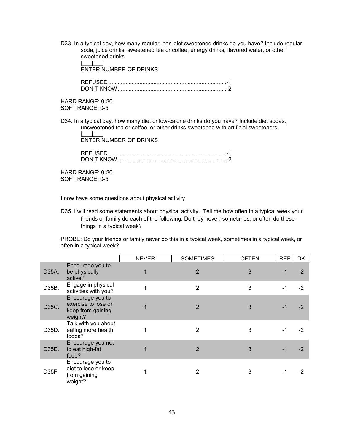D33. In a typical day, how many regular, non-diet sweetened drinks do you have? Include regular soda, juice drinks, sweetened tea or coffee, energy drinks, flavored water, or other sweetened drinks.  $\| \cdot \|$ 

ENTER NUMBER OF DRINKS

 REFUSED ............................................................................ -1 DON'T KNOW ...................................................................... -2

HARD RANGE: 0-20 SOFT RANGE: 0-5

D34. In a typical day, how many diet or low-calorie drinks do you have? Include diet sodas, unsweetened tea or coffee, or other drinks sweetened with artificial sweeteners.

 |\_\_\_|\_\_\_| ENTER NUMBER OF DRINKS

> REFUSED ............................................................................ -1 DON'T KNOW ...................................................................... -2

HARD RANGE: 0-20 SOFT RANGE: 0-5

I now have some questions about physical activity.

D35. I will read some statements about physical activity. Tell me how often in a typical week your friends or family do each of the following. Do they never, sometimes, or often do these things in a typical week?

PROBE: Do your friends or family never do this in a typical week, sometimes in a typical week, or often in a typical week?

|       |                                                                         | <b>NEVER</b> | <b>SOMETIMES</b> | <b>OFTEN</b> | <b>REF</b> | <b>DK</b> |
|-------|-------------------------------------------------------------------------|--------------|------------------|--------------|------------|-----------|
| D35A. | Encourage you to<br>be physically<br>active?                            |              | $\overline{2}$   | 3            | -1         | $-2$      |
| D35B. | Engage in physical<br>activities with you?                              |              | $\overline{2}$   | 3            | -1         | $-2$      |
| D35C. | Encourage you to<br>exercise to lose or<br>keep from gaining<br>weight? |              | $\overline{2}$   | 3            |            | $-2$      |
| D35D. | Talk with you about<br>eating more health<br>foods?                     |              | 2                | 3            |            | -2        |
| D35E. | Encourage you not<br>to eat high-fat<br>food?                           |              | $\overline{2}$   | 3            | $-1$       | $-2$      |
| D35F. | Encourage you to<br>diet to lose or keep<br>from gaining<br>weight?     |              | 2                | 3            | -1         | -2        |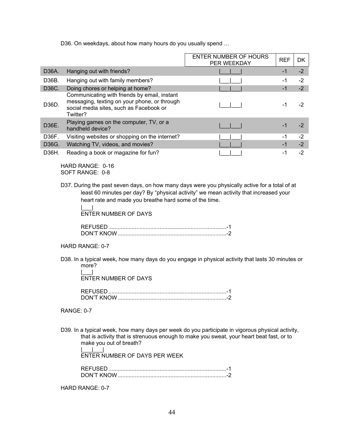D36. On weekdays, about how many hours do you usually spend …

|       |                                                                                                                                                     | ENTER NUMBER OF HOURS<br>PER WEEKDAY | <b>REF</b> | DK   |
|-------|-----------------------------------------------------------------------------------------------------------------------------------------------------|--------------------------------------|------------|------|
| D36A. | Hanging out with friends?                                                                                                                           |                                      | $-1$       | $-2$ |
| D36B. | Hanging out with family members?                                                                                                                    |                                      | -1         | $-2$ |
| D36C. | Doing chores or helping at home?                                                                                                                    |                                      | $-1$       | $-2$ |
| D36D. | Communicating with friends by email, instant<br>messaging, texting on your phone, or through<br>social media sites, such as Facebook or<br>Twitter? |                                      |            | -2   |
| D36E. | Playing games on the computer, TV, or a<br>handheld device?                                                                                         |                                      |            | $-2$ |
| D36F. | Visiting websites or shopping on the internet?                                                                                                      |                                      | $-1$       | $-2$ |
| D36G. | Watching TV, videos, and movies?                                                                                                                    |                                      | $-1$       | $-2$ |
| D36H. | Reading a book or magazine for fun?                                                                                                                 |                                      | -1         | $-2$ |

HARD RANGE: 0-16 SOFT RANGE: 0-8

D37. During the past seven days, on how many days were you physically active for a total of at least 60 minutes per day? By "physical activity" we mean activity that increased your heart rate and made you breathe hard some of the time.

 |\_\_\_| ENTER NUMBER OF DAYS

| <b>DON'T KNOW</b> |  |
|-------------------|--|

- HARD RANGE: 0-7
- D38. In a typical week, how many days do you engage in physical activity that lasts 30 minutes or more?

 |\_\_\_| ENTER NUMBER OF DAYS

| DON'T KNC |  |
|-----------|--|

- RANGE: 0-7
- D39. In a typical week, how many days per week do you participate in vigorous physical activity, that is activity that is strenuous enough to make you sweat, your heart beat fast, or to make you out of breath? |\_\_\_|\_\_\_|

ENTER NUMBER OF DAYS PER WEEK

| ואדיואר CNI |  |
|-------------|--|

HARD RANGE: 0-7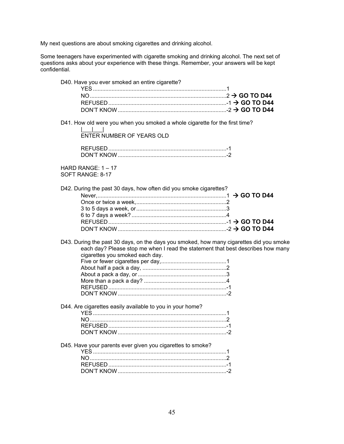My next questions are about smoking cigarettes and drinking alcohol.

Some teenagers have experimented with cigarette smoking and drinking alcohol. The next set of questions asks about your experience with these things. Remember, your answers will be kept confidential.

| D40. Have you ever smoked an entire cigarette? |  |
|------------------------------------------------|--|
|                                                |  |
|                                                |  |
|                                                |  |
|                                                |  |
|                                                |  |

D41. How old were you when you smoked a whole cigarette for the first time?

|\_\_\_|\_\_\_<u>|\_\_</u>\_|\_\_\_| ENTER NUMBER OF YEARS OLD

| <b>UON'T KNOW</b> |  |
|-------------------|--|

HARD RANGE:  $1 - 17$ SOFT RANGE: 8-17

D42. During the past 30 days, how often did you smoke cigarettes?

D43. During the past 30 days, on the days you smoked, how many cigarettes did you smoke each day? Please stop me when I read the statement that best describes how many cigarettes you smoked each day.

D44. Are cigarettes easily available to you in your home? YES ...................................................................................... 1 NO ........................................................................................ 2 REFUSED ............................................................................ -1 DON'T KNOW ...................................................................... -2

D45. Have your parents ever given you cigarettes to smoke? YES ...................................................................................... 1 NO ........................................................................................ 2 REFUSED ............................................................................ -1 DON'T KNOW ...................................................................... -2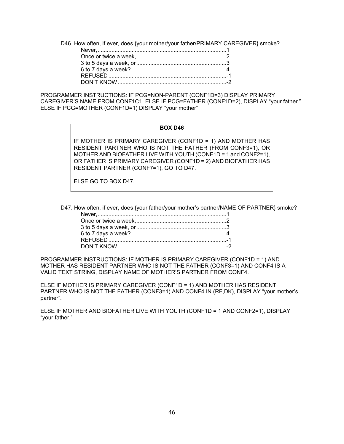D46. How often, if ever, does {your mother/your father/PRIMARY CAREGIVER} smoke?

PROGRAMMER INSTRUCTIONS: IF PCG=NON-PARENT (CONF1D=3) DISPLAY PRIMARY CAREGIVER'S NAME FROM CONF1C1. ELSE IF PCG=FATHER (CONF1D=2), DISPLAY "your father." ELSE IF PCG=MOTHER (CONF1D=1) DISPLAY "your mother"

#### **BOX D46**

IF MOTHER IS PRIMARY CAREGIVER (CONF1D = 1) AND MOTHER HAS RESIDENT PARTNER WHO IS NOT THE FATHER (FROM CONF3=1), OR MOTHER AND BIOFATHER LIVE WITH YOUTH (CONF1D = 1 and CONF2=1), OR FATHER IS PRIMARY CAREGIVER (CONF1D = 2) AND BIOFATHER HAS RESIDENT PARTNER (CONF7=1), GO TO D47.

ELSE GO TO BOX D47.

D47. How often, if ever, does {your father/your mother's partner/NAME OF PARTNER} smoke?

PROGRAMMER INSTRUCTIONS: IF MOTHER IS PRIMARY CAREGIVER (CONF1D = 1) AND MOTHER HAS RESIDENT PARTNER WHO IS NOT THE FATHER (CONF3=1) AND CONF4 IS A VALID TEXT STRING, DISPLAY NAME OF MOTHER'S PARTNER FROM CONF4.

ELSE IF MOTHER IS PRIMARY CAREGIVER (CONF1D = 1) AND MOTHER HAS RESIDENT PARTNER WHO IS NOT THE FATHER (CONF3=1) AND CONF4 IN (RF,DK), DISPLAY "your mother's partner".

ELSE IF MOTHER AND BIOFATHER LIVE WITH YOUTH (CONF1D = 1 AND CONF2=1), DISPLAY "your father."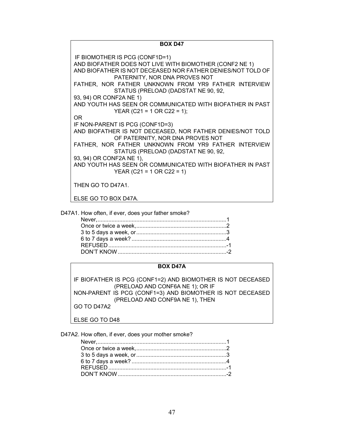**BOX D47** IF BIOMOTHER IS PCG (CONF1D=1) AND BIOFATHER DOES NOT LIVE WITH BIOMOTHER (CONF2 NE 1) AND BIOFATHER IS NOT DECEASED NOR FATHER DENIES/NOT TOLD OF PATERNITY, NOR DNA PROVES NOT FATHER, NOR FATHER UNKNOWN FROM YR9 FATHER INTERVIEW STATUS (PRELOAD (DADSTAT NE 90, 92, 93, 94) OR CONF2A NE 1) AND YOUTH HAS SEEN OR COMMUNICATED WITH BIOFATHER IN PAST YEAR (C21 = 1 OR C22 = 1); OR IF NON-PARENT IS PCG (CONF1D=3) AND BIOFATHER IS NOT DECEASED, NOR FATHER DENIES/NOT TOLD OF PATERNITY, NOR DNA PROVES NOT FATHER, NOR FATHER UNKNOWN FROM YR9 FATHER INTERVIEW STATUS (PRELOAD (DADSTAT NE 90, 92, 93, 94) OR CONF2A NE 1), AND YOUTH HAS SEEN OR COMMUNICATED WITH BIOFATHER IN PAST YEAR (C21 = 1 OR C22 = 1) THEN GO TO D47A1. ELSE GO TO BOX D47A.

D47A1. How often, if ever, does your father smoke?

#### **BOX D47A**

IF BIOFATHER IS PCG (CONF1=2) AND BIOMOTHER IS NOT DECEASED (PRELOAD AND CONF6A NE 1); OR IF NON-PARENT IS PCG (CONF1=3) AND BIOMOTHER IS NOT DECEASED (PRELOAD AND CONF9A NE 1), THEN GO TO D47A2

ELSE GO TO D48

D47A2. How often, if ever, does your mother smoke?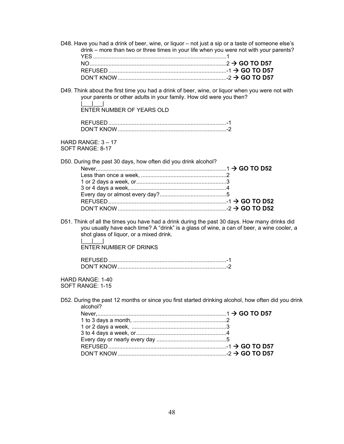- D48. Have you had a drink of beer, wine, or liquor not just a sip or a taste of someone else's drink – more than two or three times in your life when you were not with your parents? YES ...................................................................................... 1 NO ........................................................................................ 2  **GO TO D57** REFUSED ............................................................................ -1  **GO TO D57**
- DON'T KNOW ...................................................................... -2  **GO TO D57** D49. Think about the first time you had a drink of beer, wine, or liquor when you were not with
	- your parents or other adults in your family. How old were you then?

 |\_\_\_|\_\_\_| ENTER NUMBER OF YEARS OLD

| DON'T KNOW |  |
|------------|--|

HARD RANGE: 3 – 17 SOFT RANGE: 8-17

| D50. During the past 30 days, how often did you drink alcohol? |  |
|----------------------------------------------------------------|--|
|                                                                |  |
|                                                                |  |
|                                                                |  |
|                                                                |  |
|                                                                |  |
|                                                                |  |
|                                                                |  |

D51. Think of all the times you have had a drink during the past 30 days. How many drinks did you usually have each time? A "drink" is a glass of wine, a can of beer, a wine cooler, a shot glass of liquor, or a mixed drink.

 $\|u\|_{\infty}=\|u\|_{\infty}=\|u\|_{\infty}$ ENTER NUMBER OF DRINKS

HARD RANGE: 1-40 SOFT RANGE: 1-15

D52. During the past 12 months or since you first started drinking alcohol, how often did you drink alcohol?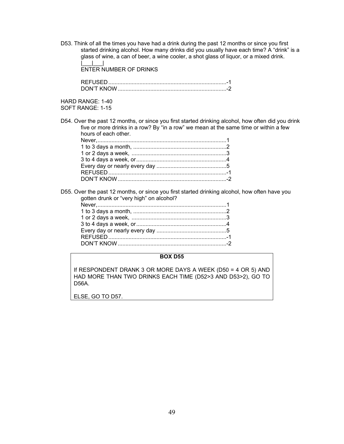D53. Think of all the times you have had a drink during the past 12 months or since you first started drinking alcohol. How many drinks did you usually have each time? A "drink" is a glass of wine, a can of beer, a wine cooler, a shot glass of liquor, or a mixed drink.  $\| \cdot \|$ 

ENTER NUMBER OF DRINKS

 REFUSED ............................................................................ -1 DON'T KNOW ...................................................................... -2

HARD RANGE: 1-40

SOFT RANGE: 1-15

D54. Over the past 12 months, or since you first started drinking alcohol, how often did you drink five or more drinks in a row? By "in a row" we mean at the same time or within a few hours of each other.

D55. Over the past 12 months, or since you first started drinking alcohol, how often have you gotten drunk or "very high" on alcohol?

#### **BOX D55**

If RESPONDENT DRANK 3 OR MORE DAYS A WEEK (D50 = 4 OR 5) AND HAD MORE THAN TWO DRINKS EACH TIME (D52>3 AND D53>2), GO TO D56A.

ELSE, GO TO D57.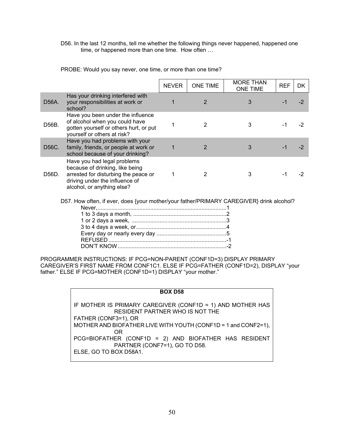D56. In the last 12 months, tell me whether the following things never happened, happened one time, or happened more than one time. How often ...

PROBE: Would you say never, one time, or more than one time?

|       |                                                                                                                                                                        | <b>NEVER</b> | <b>ONE TIME</b> | <b>MORE THAN</b><br><b>ONE TIME</b> | <b>REF</b> | <b>DK</b> |
|-------|------------------------------------------------------------------------------------------------------------------------------------------------------------------------|--------------|-----------------|-------------------------------------|------------|-----------|
| D56A. | Has your drinking interfered with<br>your responsibilities at work or<br>school?                                                                                       |              | 2               | 3                                   |            |           |
| D56B. | Have you been under the influence<br>of alcohol when you could have<br>gotten yourself or others hurt, or put<br>yourself or others at risk?                           |              | 2               | 3                                   |            | -2        |
| D56C. | Have you had problems with your<br>family, friends, or people at work or<br>school because of your drinking?                                                           | 1            | $\overline{2}$  | 3                                   | -1         |           |
| D56D. | Have you had legal problems<br>because of drinking, like being<br>arrested for disturbing the peace or<br>driving under the influence of<br>alcohol, or anything else? |              |                 | 3                                   |            |           |
|       | D57. How often, if ever, does {your mother/your father/PRIMARY CAREGIVER} drink alcohol?                                                                               |              |                 |                                     |            |           |
|       | $\lambda$ is $\Omega$ detected a monoth                                                                                                                                |              |                 |                                     |            |           |

PROGRAMMER INSTRUCTIONS: IF PCG=NON-PARENT (CONF1D=3) DISPLAY PRIMARY CAREGIVER'S FIRST NAME FROM CONF1C1. ELSE IF PCG=FATHER (CONF1D=2), DISPLAY "your father." ELSE IF PCG=MOTHER (CONF1D=1) DISPLAY "your mother."

| <b>BOX D58</b>                                                 |
|----------------------------------------------------------------|
|                                                                |
| IF MOTHER IS PRIMARY CAREGIVER (CONF1D = 1) AND MOTHER HAS     |
| RESIDENT PARTNER WHO IS NOT THE                                |
| FATHER (CONF3=1), OR                                           |
| MOTHER AND BIOFATHER LIVE WITH YOUTH (CONF1D = 1 and CONF2=1), |
| 0R                                                             |
| PCG=BIOFATHER (CONF1D = 2) AND BIOFATHER HAS RESIDENT          |
| PARTNER (CONF7=1), GO TO D58.                                  |
| ELSE, GO TO BOX D58A1.                                         |
|                                                                |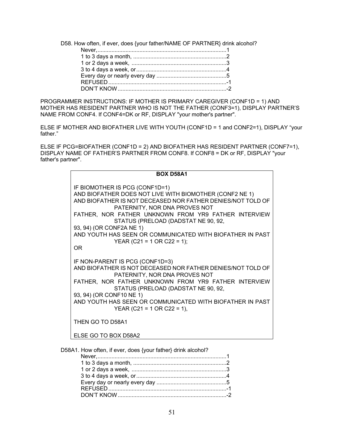D58. How often, if ever, does {your father/NAME OF PARTNER} drink alcohol?

PROGRAMMER INSTRUCTIONS: IF MOTHER IS PRIMARY CAREGIVER (CONF1D = 1) AND MOTHER HAS RESIDENT PARTNER WHO IS NOT THE FATHER (CONF3=1), DISPLAY PARTNER'S NAME FROM CONF4. If CONF4=DK or RF, DISPLAY "your mother's partner".

ELSE IF MOTHER AND BIOFATHER LIVE WITH YOUTH (CONF1D = 1 and CONF2=1), DISPLAY "your father."

ELSE IF PCG=BIOFATHER (CONF1D = 2) AND BIOFATHER HAS RESIDENT PARTNER (CONF7=1), DISPLAY NAME OF FATHER'S PARTNER FROM CONF8. If CONF8 = DK or RF, DISPLAY "your father's partner".

| <b>BOX D58A1</b>                                                                                                                                                                                                                                                                                                                                                                                                                  |
|-----------------------------------------------------------------------------------------------------------------------------------------------------------------------------------------------------------------------------------------------------------------------------------------------------------------------------------------------------------------------------------------------------------------------------------|
| IF BIOMOTHER IS PCG (CONF1D=1)<br>AND BIOFATHER DOES NOT LIVE WITH BIOMOTHER (CONF2 NE 1)<br>AND BIOFATHER IS NOT DECEASED NOR FATHER DENIES/NOT TOLD OF<br>PATERNITY, NOR DNA PROVES NOT<br>FATHER, NOR FATHER UNKNOWN FROM YR9 FATHER INTERVIEW<br>STATUS (PRELOAD (DADSTAT NE 90, 92,<br>93, 94) (OR CONF2A NE 1)<br>AND YOUTH HAS SEEN OR COMMUNICATED WITH BIOFATHER IN PAST<br>YEAR (C21 = 1 OR C22 = 1);<br>0 <sub>R</sub> |
| IF NON-PARENT IS PCG (CONF1D=3)<br>AND BIOFATHER IS NOT DECEASED NOR FATHER DENIES/NOT TOLD OF<br>PATERNITY, NOR DNA PROVES NOT<br>FATHER, NOR FATHER UNKNOWN FROM YR9 FATHER INTERVIEW<br>STATUS (PRELOAD (DADSTAT NE 90, 92,<br>93, 94) (OR CONF10 NE 1)<br>AND YOUTH HAS SEEN OR COMMUNICATED WITH BIOFATHER IN PAST<br>YEAR (C21 = 1 OR C22 = 1),                                                                             |
| THEN GO TO D58A1                                                                                                                                                                                                                                                                                                                                                                                                                  |
| ELSE GO TO BOX D58A2                                                                                                                                                                                                                                                                                                                                                                                                              |

D58A1. How often, if ever, does {your father} drink alcohol?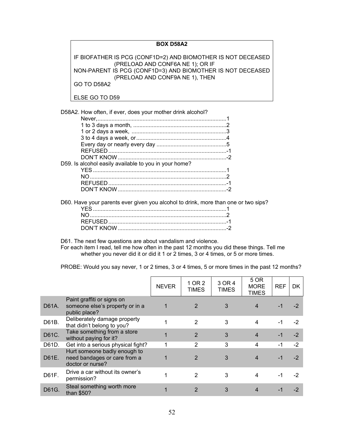# **BOX D58A2**

IF BIOFATHER IS PCG (CONF1D=2) AND BIOMOTHER IS NOT DECEASED (PRELOAD AND CONF6A NE 1); OR IF NON-PARENT IS PCG (CONF1D=3) AND BIOMOTHER IS NOT DECEASED (PRELOAD AND CONF9A NE 1), THEN GO TO D58A2

ELSE GO TO D59

D58A2. How often, if ever, does your mother drink alcohol?

| D59. Is alcohol easily available to you in your home? |  |
|-------------------------------------------------------|--|
|                                                       |  |
|                                                       |  |
|                                                       |  |
|                                                       |  |
|                                                       |  |

D60. Have your parents ever given you alcohol to drink, more than one or two sips?

D61. The next few questions are about vandalism and violence.

For each item I read, tell me how often in the past 12 months you did these things. Tell me whether you never did it or did it 1 or 2 times, 3 or 4 times, or 5 or more times.

PROBE: Would you say never, 1 or 2 times, 3 or 4 times, 5 or more times in the past 12 months?

|       |                                                                                  | <b>NEVER</b> | 1 OR 2<br><b>TIMES</b> | 3 OR 4<br><b>TIMES</b> | 5 OR<br><b>MORE</b><br>TIMES | <b>REF</b> | DK   |
|-------|----------------------------------------------------------------------------------|--------------|------------------------|------------------------|------------------------------|------------|------|
| D61A. | Paint graffiti or signs on<br>someone else's property or in a<br>public place?   |              | $\overline{2}$         | 3                      | 4                            | -1         | $-2$ |
| D61B. | Deliberately damage property<br>that didn't belong to you?                       |              | $\overline{2}$         | 3                      | 4                            | -1         | $-2$ |
| D61C. | Take something from a store<br>without paying for it?                            |              | $\overline{2}$         | 3                      | 4                            | $-1$       | $-2$ |
| D61D. | Get into a serious physical fight?                                               |              | 2                      | 3                      | 4                            | -1         | $-2$ |
| D61E. | Hurt someone badly enough to<br>need bandages or care from a<br>doctor or nurse? |              | $\overline{2}$         | 3                      | 4                            | -1         | $-2$ |
| D61F. | Drive a car without its owner's<br>permission?                                   |              | 2                      | 3                      | 4                            | -1         | -2   |
| D61G. | Steal something worth more<br>than \$50?                                         |              | 2                      | 3                      |                              |            | $-2$ |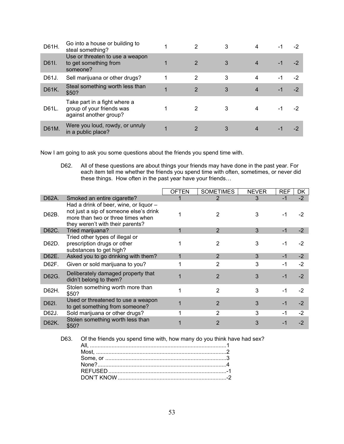| D61H. | Go into a house or building to<br>steal something?                                  |   | 2              | 3 | 4 | -1   |      |
|-------|-------------------------------------------------------------------------------------|---|----------------|---|---|------|------|
| D61I. | Use or threaten to use a weapon<br>to get something from<br>someone?                |   | 2              | 3 |   |      |      |
| D61J. | Sell marijuana or other drugs?                                                      |   | 2              | 3 | 4 | -1   | -2   |
| D61K. | Steal something worth less than<br>\$50?                                            | 1 | $\overline{2}$ | 3 | 4 | $-1$ | $-2$ |
| D61L. | Take part in a fight where a<br>group of your friends was<br>against another group? |   |                |   | 4 |      |      |
| D61M  | Were you loud, rowdy, or unruly<br>in a public place?                               |   |                |   |   |      |      |

Now I am going to ask you some questions about the friends you spend time with.

D62. All of these questions are about things your friends may have done in the past year. For each item tell me whether the friends you spend time with often, sometimes, or never did these things. How often in the past year have your friends…

|       |                                                                                                                                                           | <b>OFTEN</b> | <b>SOMETIMES</b> | <b>NEVER</b> | <b>REF</b> | DK   |
|-------|-----------------------------------------------------------------------------------------------------------------------------------------------------------|--------------|------------------|--------------|------------|------|
| D62A. | Smoked an entire cigarette?                                                                                                                               |              | 2                | 3            | $-1$       | $-2$ |
| D62B. | Had a drink of beer, wine, or liquor -<br>not just a sip of someone else's drink<br>more than two or three times when<br>they weren't with their parents? |              | 2                | 3            | -1         | -2   |
| D62C. | Tried marijuana?                                                                                                                                          |              | $\overline{2}$   | 3            | $-1$       | $-2$ |
| D62D. | Tried other types of illegal or<br>prescription drugs or other<br>substances to get high?                                                                 |              | 2                | 3            | -1         | $-2$ |
| D62E. | Asked you to go drinking with them?                                                                                                                       |              | $\mathfrak{p}$   | 3            | $-1$       | $-2$ |
| D62F. | Given or sold marijuana to you?                                                                                                                           |              | 2                | 3            | $-1$       | $-2$ |
| D62G. | Deliberately damaged property that<br>didn't belong to them?                                                                                              |              | 2                | 3            | -1         | $-2$ |
| D62H. | Stolen something worth more than<br>\$50?                                                                                                                 |              | $\overline{2}$   | 3            | -1         | -2   |
| D62I. | Used or threatened to use a weapon<br>to get something from someone?                                                                                      |              | $\mathfrak{p}$   | 3            | -1         | $-2$ |
| D62J. | Sold marijuana or other drugs?                                                                                                                            |              | 2                | 3            | -1         | -2   |
| D62K. | Stolen something worth less than<br>\$50?                                                                                                                 |              |                  | 3            |            | $-2$ |

D63. Of the friends you spend time with, how many do you think have had sex?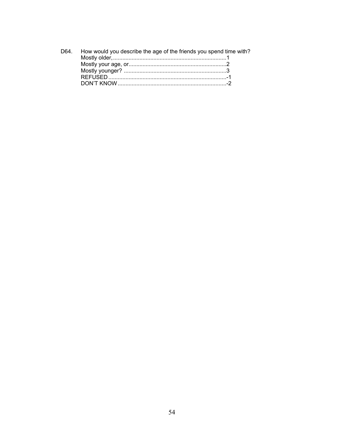| D64 | How would you describe the age of the friends you spend time with? |  |
|-----|--------------------------------------------------------------------|--|
|     |                                                                    |  |
|     |                                                                    |  |
|     |                                                                    |  |
|     |                                                                    |  |
|     |                                                                    |  |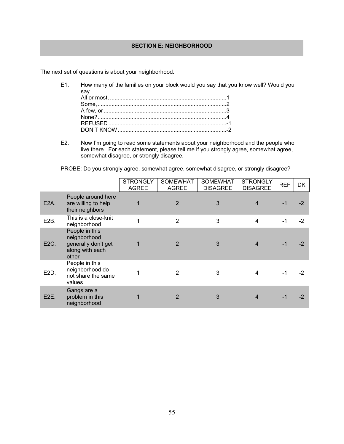## **SECTION E: NEIGHBORHOOD**

The next set of questions is about your neighborhood.

- E1. How many of the families on your block would you say that you know well? Would you say… All or most, ........................................................................... 1 Some, ................................................................................... 2 A few, or ............................................................................... 3 None? ................................................................................... 4 REFUSED ............................................................................ -1
	- DON'T KNOW ...................................................................... -2
- E2. Now I'm going to read some statements about your neighborhood and the people who live there. For each statement, please tell me if you strongly agree, somewhat agree, somewhat disagree, or strongly disagree.

PROBE: Do you strongly agree, somewhat agree, somewhat disagree, or strongly disagree?

|                   |                                                                                   | <b>STRONGLY</b><br><b>AGREE</b> | <b>SOMEWHAT</b><br><b>AGREE</b> | <b>SOMEWHAT</b><br><b>DISAGREE</b> | <b>STRONGLY</b><br><b>DISAGREE</b> | <b>REF</b> | <b>DK</b> |
|-------------------|-----------------------------------------------------------------------------------|---------------------------------|---------------------------------|------------------------------------|------------------------------------|------------|-----------|
| E <sub>2</sub> A. | People around here<br>are willing to help<br>their neighbors                      |                                 | $\overline{2}$                  | 3                                  | 4                                  | $-1$       | -2        |
| E <sub>2</sub> B. | This is a close-knit<br>neighborhood                                              |                                 | $\overline{2}$                  | 3                                  | 4                                  | -1         | $-2$      |
| E2C.              | People in this<br>neighborhood<br>generally don't get<br>along with each<br>other |                                 | $\overline{2}$                  | 3                                  | 4                                  | $-1$       | -2        |
| E <sub>2</sub> D. | People in this<br>neighborhood do<br>not share the same<br>values                 |                                 | 2                               | 3                                  | 4                                  | -1         | -2        |
| E <sub>2</sub> E. | Gangs are a<br>problem in this<br>neighborhood                                    |                                 | $\overline{2}$                  | 3                                  | 4                                  | $-1$       | -2        |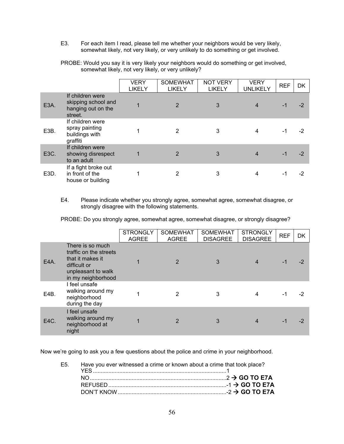E3. For each item I read, please tell me whether your neighbors would be very likely, somewhat likely, not very likely, or very unlikely to do something or get involved.

PROBE: Would you say it is very likely your neighbors would do something or get involved, somewhat likely, not very likely, or very unlikely?

|                   |                                                                          | VERY<br><b>LIKELY</b> | <b>SOMEWHAT</b><br><b>LIKELY</b> | <b>NOT VERY</b><br><b>LIKELY</b> | <b>VERY</b><br><b>UNLIKELY</b> | <b>REF</b> | <b>DK</b> |
|-------------------|--------------------------------------------------------------------------|-----------------------|----------------------------------|----------------------------------|--------------------------------|------------|-----------|
| E <sub>3</sub> A. | If children were<br>skipping school and<br>hanging out on the<br>street. |                       | $\overline{2}$                   | 3                                | 4                              | -1         | $-2$      |
| E3B.              | If children were<br>spray painting<br>buildings with<br>graffiti         |                       | 2                                | 3                                | 4                              | -1         | $-2$      |
| E3C.              | If children were<br>showing disrespect<br>to an adult                    | 1                     | 2                                | 3                                | 4                              | -1         | $-2$      |
| E3D.              | If a fight broke out<br>in front of the<br>house or building             |                       | 2                                | 3                                | 4                              | -1         | $-2$      |

#### E4. Please indicate whether you strongly agree, somewhat agree, somewhat disagree, or strongly disagree with the following statements.

PROBE: Do you strongly agree, somewhat agree, somewhat disagree, or strongly disagree?

|      |                                                                                                                            | <b>STRONGLY</b><br><b>AGREE</b> | <b>SOMEWHAT</b><br><b>AGREE</b> | <b>SOMEWHAT</b><br><b>DISAGREE</b> | <b>STRONGLY</b><br><b>DISAGREE</b> | <b>REF</b> | <b>DK</b> |
|------|----------------------------------------------------------------------------------------------------------------------------|---------------------------------|---------------------------------|------------------------------------|------------------------------------|------------|-----------|
| E4A. | There is so much<br>traffic on the streets<br>that it makes it<br>difficult or<br>unpleasant to walk<br>in my neighborhood |                                 | 2                               | 3                                  |                                    | $-1$       |           |
| E4B. | I feel unsafe<br>walking around my<br>neighborhood<br>during the day                                                       |                                 | $\overline{2}$                  | 3                                  |                                    | $-1$       | -2        |
| E4C. | I feel unsafe<br>walking around my<br>neighborhood at<br>night                                                             |                                 | 2                               | 3                                  |                                    | $-1$       | -2        |

Now we're going to ask you a few questions about the police and crime in your neighborhood.

| E5. Have you ever witnessed a crime or known about a crime that took place? |  |
|-----------------------------------------------------------------------------|--|
|                                                                             |  |
|                                                                             |  |
|                                                                             |  |
|                                                                             |  |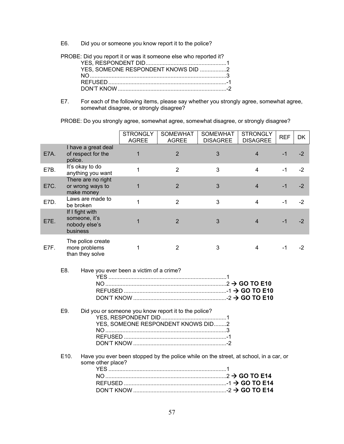E6. Did you or someone you know report it to the police?

PROBE: Did you report it or was it someone else who reported it?

| YES, SOMEONE RESPONDENT KNOWS DID 2 |  |
|-------------------------------------|--|
|                                     |  |
|                                     |  |
|                                     |  |

E7. For each of the following items, please say whether you strongly agree, somewhat agree, somewhat disagree, or strongly disagree?

PROBE: Do you strongly agree, somewhat agree, somewhat disagree, or strongly disagree?

|                                                                                                                                                     |                                                               | <b>STRONGLY</b><br><b>AGREE</b> | <b>SOMEWHAT</b><br><b>AGREE</b> | <b>SOMEWHAT</b><br><b>DISAGREE</b>                                                    | <b>STRONGLY</b><br><b>DISAGREE</b> | <b>REF</b> | DK   |
|-----------------------------------------------------------------------------------------------------------------------------------------------------|---------------------------------------------------------------|---------------------------------|---------------------------------|---------------------------------------------------------------------------------------|------------------------------------|------------|------|
| E7A.                                                                                                                                                | I have a great deal<br>of respect for the<br>police.          | 1                               | $\overline{2}$                  | 3                                                                                     | $\overline{4}$                     | $-1$       | $-2$ |
| E7B.                                                                                                                                                | It's okay to do<br>anything you want                          | $\mathbf{1}$                    | $\overline{2}$                  | 3                                                                                     | $\overline{4}$                     | $-1$       | $-2$ |
| E7C.                                                                                                                                                | There are no right<br>or wrong ways to<br>make money          | $\mathbf 1$                     | $\overline{2}$                  | 3                                                                                     | $\overline{4}$                     | $-1$       | $-2$ |
| E7D.                                                                                                                                                | Laws are made to<br>be broken                                 | 1                               | $\overline{2}$                  | 3                                                                                     | $\overline{4}$                     | $-1$       | $-2$ |
| E7E.                                                                                                                                                | If I fight with<br>someone, it's<br>nobody else's<br>business | 1                               | $\overline{2}$                  | 3                                                                                     | $\overline{4}$                     | $-1$       | $-2$ |
| E7F.                                                                                                                                                | The police create<br>more problems<br>than they solve         | $\mathbf 1$                     | $\overline{2}$                  | 3                                                                                     | $\overline{4}$                     | $-1$       | $-2$ |
| E8.<br>Have you ever been a victim of a crime?<br>E9.<br>Did you or someone you know report it to the police?<br>YES, SOMEONE RESPONDENT KNOWS DID2 |                                                               |                                 |                                 |                                                                                       |                                    |            |      |
|                                                                                                                                                     | E10.<br>some other place?                                     |                                 |                                 | Have you ever been stopped by the police while on the street, at school, in a car, or |                                    |            |      |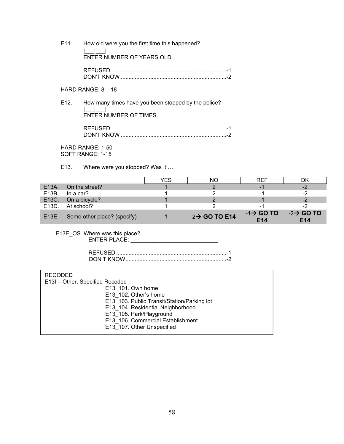E11. How old were you the first time this happened? |\_\_\_<u>\_\_\_\_\_\_\_\_</u> ENTER NUMBER OF YEARS OLD

| KIN'T KNOW |  |
|------------|--|

# HARD RANGE: 8 – 18

E12. How many times have you been stopped by the police? |\_\_\_|\_\_\_<u>|\_\_\_|\_\_</u>| ENTER NUMBER OF TIMES

| IN'I KNI |  |
|----------|--|

HARD RANGE: 1-50 SOFT RANGE: 1-15

E13. Where were you stopped? Was it …

|                    |                                   | YFS | NС                        | <b>RFF</b>                               | DK                                        |
|--------------------|-----------------------------------|-----|---------------------------|------------------------------------------|-------------------------------------------|
| E <sub>13</sub> A. | On the street?                    |     |                           | - 1                                      | -2                                        |
| E13B.              | ln a car?                         |     |                           | - 1                                      | -2                                        |
|                    | E13C. On a bicycle?               |     |                           | - 1                                      | -2                                        |
| E13D.              | At school?                        |     |                           | -1                                       | -2                                        |
|                    | E13E. Some other place? (specify) |     | $2 \rightarrow$ GO TO E14 | $-1\rightarrow$ GO TO<br>E <sub>14</sub> | $-2 \rightarrow$ GO TO<br>F <sub>14</sub> |

E13E\_OS. Where was this place? ENTER PLACE: \_\_\_\_\_\_\_\_\_\_\_\_\_\_\_\_\_\_\_\_\_\_\_\_\_\_\_\_

| DON'T KNOW |  |
|------------|--|

| <b>RECODED</b>                              |
|---------------------------------------------|
| E13f - Other, Specified Recoded             |
| E13 101. Own home                           |
| E13 102. Other's home                       |
| E13 103. Public Transit/Station/Parking lot |
| E13 104. Residential Neighborhood           |
| E13 105. Park/Playground                    |
| E13 106. Commercial Establishment           |
| E13 107. Other Unspecified                  |
|                                             |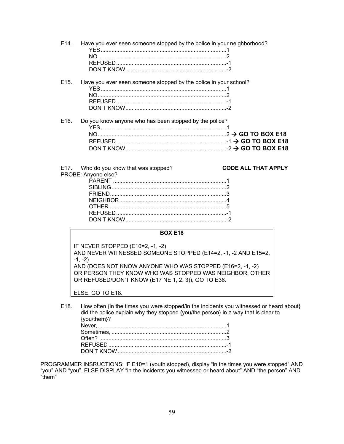| E <sub>14</sub> . | Have you ever seen someone stopped by the police in your neighborhood? |  |
|-------------------|------------------------------------------------------------------------|--|
| E <sub>15</sub> . | Have you ever seen someone stopped by the police in your school?       |  |
| E <sub>16</sub> . | Do you know anyone who has been stopped by the police?                 |  |

E17. Who do you know that was stopped? **CODE ALL THAT APPLY** PROBE: Anyone else?

#### **BOX E18**

IF NEVER STOPPED (E10=2, -1, -2) AND NEVER WITNESSED SOMEONE STOPPED (E14=2, -1, -2 AND E15=2,  $-1, -2)$ AND (DOES NOT KNOW ANYONE WHO WAS STOPPED (E16=2, -1, -2) OR PERSON THEY KNOW WHO WAS STOPPED WAS NEIGHBOR, OTHER OR REFUSED/DON'T KNOW (E17 NE 1, 2, 3)), GO TO E36.

ELSE, GO TO E18.

E18. How often {in the times you were stopped/in the incidents you witnessed or heard about} did the police explain why they stopped {you/the person} in a way that is clear to {you/them}? Never, ................................................................................... 1

PROGRAMMER INSRUCTIONS: IF E10=1 (youth stopped), display "in the times you were stopped" AND "you" AND "you". ELSE DISPLAY "in the incidents you witnessed or heard about" AND "the person" AND "them"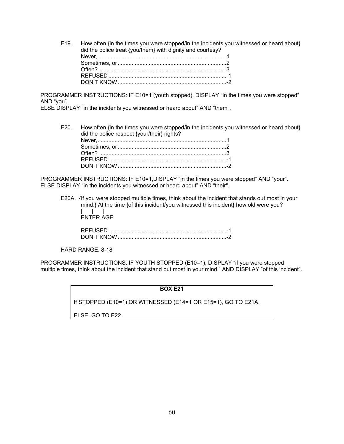E19. How often {in the times you were stopped/in the incidents you witnessed or heard about} did the police treat {you/them} with dignity and courtesy? Never, ................................................................................... 1 Sometimes, or ...................................................................... 2 Often? .................................................................................. 3 REFUSED ............................................................................ -1 DON'T KNOW ...................................................................... -2

PROGRAMMER INSTRUCTIONS: IF E10=1 (youth stopped), DISPLAY "in the times you were stopped" AND "you".

ELSE DISPLAY "in the incidents you witnessed or heard about" AND "them".

E20. How often {in the times you were stopped/in the incidents you witnessed or heard about} did the police respect {your/their} rights?<br>Never Never, ................................................................................... 1

PROGRAMMER INSTRUCTIONS: IF E10=1,DISPLAY "in the times you were stopped" AND "your". ELSE DISPLAY "in the incidents you witnessed or heard about" AND "their".

E20A. {If you were stopped multiple times, think about the incident that stands out most in your mind.} At the time {of this incident/you witnessed this incident} how old were you?  $\|u\|_{\infty}=\|u\|_{\infty}=\|u\|_{\infty}$ ENTER AGE

| ON'T KNC |  |
|----------|--|

HARD RANGE: 8-18

PROGRAMMER INSTRUCTIONS: IF YOUTH STOPPED (E10=1), DISPLAY "if you were stopped multiple times, think about the incident that stand out most in your mind." AND DISPLAY "of this incident".

**BOX E21** 

If STOPPED (E10=1) OR WITNESSED (E14=1 OR E15=1), GO TO E21A.

ELSE, GO TO E22.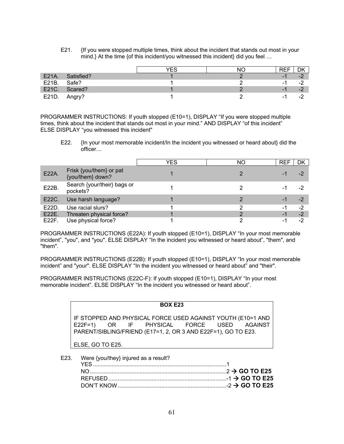E21. {If you were stopped multiple times, think about the incident that stands out most in your mind.} At the time {of this incident/you witnessed this incident} did you feel ...

|       |               | TEC | NC. | REF                   | DK                                     |
|-------|---------------|-----|-----|-----------------------|----------------------------------------|
| E21A. | Satisfied?    |     |     | -                     | $-2$                                   |
| E21B. | Safe?         |     |     | - 1                   | $\sqrt{2}$<br>$\overline{\phantom{a}}$ |
|       | E21C. Scared? |     |     | $\overline{ }$<br>- 1 | റ<br>-4                                |
| E21D. | Angry?        |     |     | - 1                   | $\overline{\phantom{a}}$               |

PROGRAMMER INSTRUCTIONS: If youth stopped (E10=1), DISPLAY "If you were stopped multiple times, think about the incident that stands out most in your mind." AND DISPLAY "of this incident" ELSE DISPLAY "you witnessed this incident"

E22. {In your most memorable incident/In the incident you witnessed or heard about} did the officer…

|       |                                             | YES | NΟ | <b>REF</b> | DK   |
|-------|---------------------------------------------|-----|----|------------|------|
| E22A. | Frisk {you/them} or pat<br>{you/them} down? |     |    |            | -2   |
| E22B. | Search {your/their} bags or<br>pockets?     |     |    |            |      |
| E22C. | Use harsh language?                         |     |    | - 1        | -2   |
| E22D. | Use racial slurs?                           |     |    | ۰.         | $-2$ |
|       | E22E. Threaten physical force?              |     |    | -1         | $-2$ |
| E22F. | Use physical force?                         |     |    | -          | $-2$ |

PROGRAMMER INSTRUCTIONS (E22A): If youth stopped (E10=1), DISPLAY "In your most memorable incident", "you", and "you". ELSE DISPLAY "In the incident you witnessed or heard about", "them", and "them".

PROGRAMMER INSTRUCTIONS (E22B): If youth stopped (E10=1), DISPLAY "In your most memorable incident" and "your". ELSE DISPLAY "In the incident you witnessed or heard about" and "their".

PROGRAMMER INSTRUCTIONS (E22C-F): If youth stopped (E10=1), DISPLAY "In your most memorable incident". ELSE DISPLAY "In the incident you witnessed or heard about".

## **BOX E23**

IF STOPPED AND PHYSICAL FORCE USED AGAINST YOUTH (E10=1 AND E22F=1) OR IF PHYSICAL FORCE USED AGAINST E22F=1) OR IF PHYSICAL FORCE USED AGAINST PARENT/SIBLING/FRIEND (E17=1, 2, OR 3 AND E22F=1), GO TO E23.

ELSE, GO TO E25.

| E23. Were $\{you/\text{they}\}$ injured as a result? |  |
|------------------------------------------------------|--|
|                                                      |  |
|                                                      |  |
|                                                      |  |
|                                                      |  |
|                                                      |  |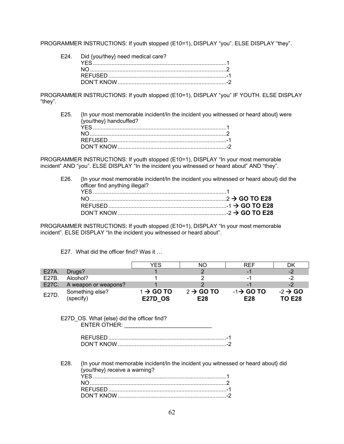PROGRAMMER INSTRUCTIONS: If youth stopped (E10=1), DISPLAY "you". ELSE DISPLAY "they".

| E24. Did {you/they} need medical care? |  |
|----------------------------------------|--|
|                                        |  |
|                                        |  |
|                                        |  |
|                                        |  |

PROGRAMMER INSTRUCTIONS: If youth stopped (E10=1), DISPLAY "you" IF YOUTH. ELSE DISPLAY "they".

E25. {In your most memorable incident/In the incident you witnessed or heard about} were {you/they} handcuffed? YES ...................................................................................... 1 NO ........................................................................................ 2 REFUSED ............................................................................ -1

DON'T KNOW ...................................................................... -2

PROGRAMMER INSTRUCTIONS: If youth stopped (E10=1), DISPLAY "In your most memorable incident" AND "you". ELSE DISPLAY "In the incident you witnessed or heard about" AND "they".

E26. {In your most memorable incident/In the incident you witnessed or heard about} did the officer find anything illegal?

PROGRAMMER INSTRUCTIONS: If youth stopped (E10=1), DISPLAY "In your most memorable incident". ELSE DISPLAY "In the incident you witnessed or heard about".

## E27. What did the officer find? Was it …

|       |                              | YES                                     | NΟ                           | REF                          | DK                                   |
|-------|------------------------------|-----------------------------------------|------------------------------|------------------------------|--------------------------------------|
| E27A. | Drugs?                       |                                         |                              |                              | $-2$                                 |
| E27B. | Alcohol?                     |                                         |                              | - 1                          | $-2$                                 |
| E27C. | A weapon or weapons?         |                                         |                              |                              | $-2$                                 |
| E27D. | Something else?<br>(specify) | $1 \rightarrow$ GO TO<br><b>E27D OS</b> | $2 \rightarrow$ GO TO<br>E28 | $-1\rightarrow$ GO TO<br>E28 | $-2 \rightarrow$ GO<br><b>TO E28</b> |

#### E27D\_OS. What {else} did the officer find? ENTER OTHER: \_\_\_\_\_\_\_\_\_\_\_\_\_\_\_\_\_\_\_\_\_\_\_\_\_\_\_\_

| UON'T KNOW |  |
|------------|--|

DON'T KNOW ...................................................................... -2

E28. {In your most memorable incident/In the incident you witnessed or heard about} did {you/they} receive a warning? YES ...................................................................................... 1 NO ........................................................................................ 2 REFUSED ............................................................................ -1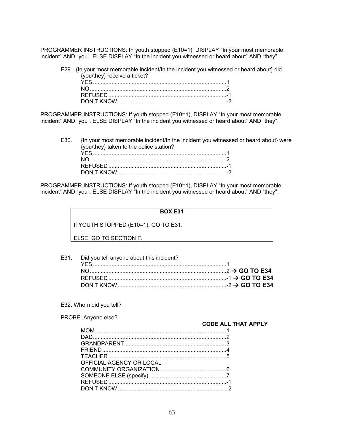PROGRAMMER INSTRUCTIONS: IF youth stopped (E10=1), DISPLAY "In your most memorable incident" AND "you". ELSE DISPLAY "In the incident you witnessed or heard about" AND "they".

E29. {In your most memorable incident/In the incident you witnessed or heard about} did {you/they} receive a ticket?

PROGRAMMER INSTRUCTIONS: If youth stopped (E10=1), DISPLAY "In your most memorable incident" AND "you". ELSE DISPLAY "In the incident you witnessed or heard about" AND "they".

E30. {In your most memorable incident/In the incident you witnessed or heard about} were {you/they} taken to the police station? YES ...................................................................................... 1 NO ........................................................................................ 2 REFUSED ............................................................................ -1

PROGRAMMER INSTRUCTIONS: If youth stopped (E10=1), DISPLAY "In your most memorable incident" AND "you". ELSE DISPLAY "In the incident you witnessed or heard about" AND "they".

DON'T KNOW ...................................................................... -2

## **BOX E31**

If YOUTH STOPPED (E10=1), GO TO E31.

ELSE, GO TO SECTION F.

- E31. Did you tell anyone about this incident? YES ...................................................................................... 1 NO ........................................................................................ 2  **GO TO E34** REFUSED ............................................................................ -1  **GO TO E34** DON'T KNOW ...................................................................... -2  **GO TO E34**
- E32. Whom did you tell?

| PROBE: Anyone else?      |                            |
|--------------------------|----------------------------|
|                          | <b>CODE ALL THAT APPLY</b> |
|                          |                            |
|                          |                            |
|                          |                            |
|                          |                            |
|                          |                            |
| OFFICIAL AGENCY OR LOCAL |                            |
|                          |                            |
|                          |                            |
|                          |                            |
|                          |                            |
|                          |                            |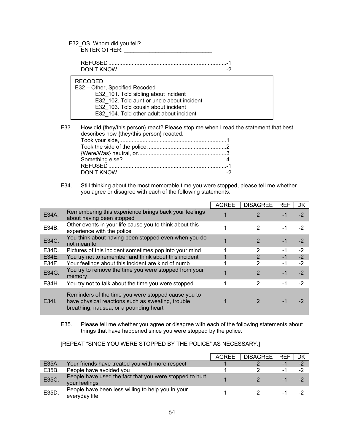## E32\_OS. Whom did you tell? ENTER OTHER: \_\_\_\_\_\_\_\_\_\_\_\_\_\_\_\_\_\_\_\_\_\_\_\_\_\_\_\_

 REFUSED ............................................................................ -1 DON'T KNOW ...................................................................... -2

RECODED

| <b>RECODED</b>                             |  |
|--------------------------------------------|--|
| E32 – Other, Specified Recoded             |  |
| E32 101. Told sibling about incident       |  |
| E32 102. Told aunt or uncle about incident |  |
| E32 103. Told cousin about incident        |  |
| E32 104. Told other adult about incident   |  |

E33. How did {they/this person} react? Please stop me when I read the statement that best describes how {they/this person} reacted.

#### E34. Still thinking about the most memorable time you were stopped, please tell me whether you agree or disagree with each of the following statements.

|       |                                                                                                                                                    | <b>AGREE</b> | <b>DISAGREE</b> | <b>REF</b> | DK   |
|-------|----------------------------------------------------------------------------------------------------------------------------------------------------|--------------|-----------------|------------|------|
| E34A. | Remembering this experience brings back your feelings<br>about having been stopped                                                                 |              | 2               | -1         | $-2$ |
| E34B. | Other events in your life cause you to think about this<br>experience with the police                                                              |              | 2               | -1         | -2   |
| E34C. | You think about having been stopped even when you do<br>not mean to                                                                                |              | $\mathcal{P}$   | $-1$       | $-2$ |
| E34D. | Pictures of this incident sometimes pop into your mind                                                                                             |              | 2               | -1         | $-2$ |
| E34E. | You try not to remember and think about this incident                                                                                              |              | $\mathcal{P}$   | $-1$       | $-2$ |
| E34F. | Your feelings about this incident are kind of numb                                                                                                 |              | 2               | $-1$       | $-2$ |
| E34G. | You try to remove the time you were stopped from your<br>memory                                                                                    |              | 2               | $-1$       | $-2$ |
| E34H. | You try not to talk about the time you were stopped                                                                                                |              | 2               | -1         | $-2$ |
| E34I. | Reminders of the time you were stopped cause you to<br>have physical reactions such as sweating, trouble<br>breathing, nausea, or a pounding heart |              |                 |            |      |

E35. Please tell me whether you agree or disagree with each of the following statements about things that have happened since you were stopped by the police.

[REPEAT "SINCE YOU WERE STOPPED BY THE POLICE" AS NECESSARY.]

|       |                                                                          | AGRFF | <b>DISAGREE</b> | <b>REF</b> | DK   |
|-------|--------------------------------------------------------------------------|-------|-----------------|------------|------|
| E35A. | Your friends have treated you with more respect                          |       |                 | - 1        | $-2$ |
| E35B. | People have avoided you                                                  |       |                 | -1         | -2   |
| E35C. | People have used the fact that you were stopped to hurt<br>your feelings |       |                 | $-1$       | $-2$ |
| E35D. | People have been less willing to help you in your<br>everyday life       |       |                 | -1         | - -  |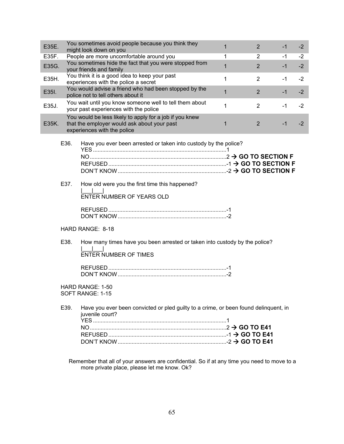| E35E. |              | You sometimes avoid people because you think they<br>might look down on you                                                                     | 1            | $\overline{2}$ | -1   | $-2$ |
|-------|--------------|-------------------------------------------------------------------------------------------------------------------------------------------------|--------------|----------------|------|------|
| E35F. |              | People are more uncomfortable around you                                                                                                        | 1            | $\overline{2}$ | -1   | $-2$ |
| E35G. |              | You sometimes hide the fact that you were stopped from<br>your friends and family                                                               | $\mathbf{1}$ | 2              | $-1$ | $-2$ |
| E35H. |              | You think it is a good idea to keep your past<br>experiences with the police a secret                                                           | 1            | 2              | -1   | $-2$ |
| E35I. |              | You would advise a friend who had been stopped by the<br>police not to tell others about it                                                     | $\mathbf{1}$ | $\overline{2}$ | $-1$ | $-2$ |
| E35J. |              | You wait until you know someone well to tell them about<br>your past experiences with the police                                                | 1            | 2              | $-1$ | $-2$ |
| E35K. |              | You would be less likely to apply for a job if you knew<br>that the employer would ask about your past<br>experiences with the police           | 1            | 2              | $-1$ | $-2$ |
|       | E36.<br>E37. | Have you ever been arrested or taken into custody by the police?<br>How old were you the first time this happened?<br>ENTER NUMBER OF YEARS OLD |              |                |      |      |
|       |              | HARD RANGE: 8-18                                                                                                                                |              |                |      |      |
|       | E38.         | How many times have you been arrested or taken into custody by the police?<br><b>ENTER NUMBER OF TIMES</b>                                      |              |                |      |      |
|       |              | HARD RANGE: 1-50<br>SOFT RANGE: 1-15                                                                                                            |              |                |      |      |
|       | E39.         | Have you ever been convicted or pled guilty to a crime, or been found delinquent, in<br>juvenile court?                                         |              |                |      |      |
|       |              |                                                                                                                                                 |              |                |      |      |
|       |              |                                                                                                                                                 |              |                |      |      |
|       |              |                                                                                                                                                 |              |                |      |      |

 Remember that all of your answers are confidential. So if at any time you need to move to a more private place, please let me know. Ok?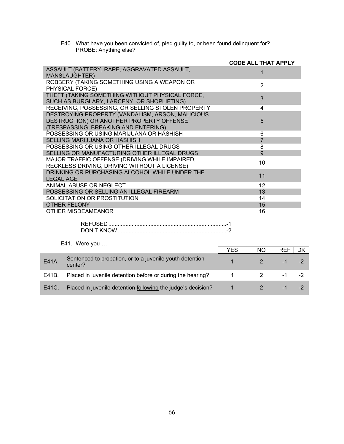| E40. What have you been convicted of, pled guilty to, or been found delinquent for? |
|-------------------------------------------------------------------------------------|
| PROBE: Anything else?                                                               |

|                                                                                                | <b>CODE ALL THAT APPLY</b> |
|------------------------------------------------------------------------------------------------|----------------------------|
| ASSAULT (BATTERY, RAPE, AGGRAVATED ASSAULT,<br>MANSLAUGHTER)                                   |                            |
| ROBBERY (TAKING SOMETHING USING A WEAPON OR<br>PHYSICAL FORCE)                                 | $\overline{2}$             |
| THEFT (TAKING SOMETHING WITHOUT PHYSICAL FORCE,<br>SUCH AS BURGLARY, LARCENY, OR SHOPLIFTING)  | 3                          |
| RECEIVING, POSSESSING, OR SELLING STOLEN PROPERTY                                              | 4                          |
| DESTROYING PROPERTY (VANDALISM, ARSON, MALICIOUS                                               |                            |
| DESTRUCTION) OR ANOTHER PROPERTY OFFENSE                                                       | 5                          |
| (TRESPASSING, BREAKING AND ENTERING)                                                           |                            |
| POSSESSING OR USING MARIJUANA OR HASHISH                                                       | 6                          |
| SELLING MARIJUANA OR HASHISH                                                                   | $\overline{7}$             |
| POSSESSING OR USING OTHER ILLEGAL DRUGS                                                        | 8                          |
| SELLING OR MANUFACTURING OTHER ILLEGAL DRUGS                                                   | 9                          |
| MAJOR TRAFFIC OFFENSE (DRIVING WHILE IMPAIRED,<br>RECKLESS DRIVING, DRIVING WITHOUT A LICENSE) | 10                         |
| DRINKING OR PURCHASING ALCOHOL WHILE UNDER THE<br><b>LEGAL AGE</b>                             | 11                         |
| ANIMAL ABUSE OR NEGLECT                                                                        | 12                         |
| POSSESSING OR SELLING AN ILLEGAL FIREARM                                                       | 13                         |
| SOLICITATION OR PROSTITUTION                                                                   | 14                         |
| <b>OTHER FELONY</b>                                                                            | 15                         |
| OTHER MISDEAMEANOR                                                                             | 16                         |
|                                                                                                |                            |

# E41. Were you …

|       |                                                                     | YES | NO. | <b>REF</b> |  |
|-------|---------------------------------------------------------------------|-----|-----|------------|--|
| E41A. | Sentenced to probation, or to a juvenile youth detention<br>center? |     |     | - 1        |  |
| E41B. | Placed in juvenile detention before or during the hearing?          |     |     | a Tanzania |  |
| E41C. | Placed in juvenile detention following the judge's decision?        |     |     | ΞT         |  |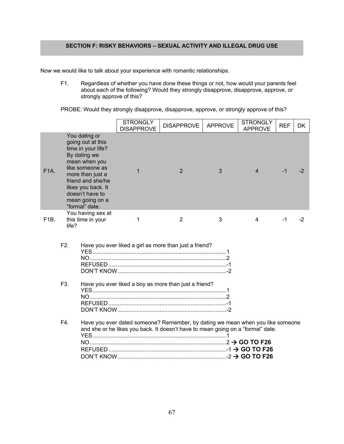# **SECTION F: RISKY BEHAVIORS – SEXUAL ACTIVITY AND ILLEGAL DRUG USE**

Now we would like to talk about your experience with romantic relationships.

F1. Regardless of whether you have done these things or not, how would your parents feel about each of the following? Would they strongly disapprove, disapprove, approve, or strongly approve of this?

PROBE: Would they strongly disapprove, disapprove, approve, or strongly approve of this?

|                   |                                      |                                                                                                                                                                                                                                     | <b>STRONGLY</b><br><b>DISAPPROVE</b> | <b>DISAPPROVE</b>                                                                                                                                                 | <b>APPROVE</b> | <b>STRONGLY</b><br><b>APPROVE</b> | <b>REF</b> | DK.  |
|-------------------|--------------------------------------|-------------------------------------------------------------------------------------------------------------------------------------------------------------------------------------------------------------------------------------|--------------------------------------|-------------------------------------------------------------------------------------------------------------------------------------------------------------------|----------------|-----------------------------------|------------|------|
| <b>F1A.</b>       |                                      | You dating or<br>going out at this<br>time in your life?<br>By dating we<br>mean when you<br>like someone as<br>more than just a<br>friend and she/he<br>likes you back. It<br>doesn't have to<br>mean going on a<br>"formal" date. | $\mathbf 1$                          | $\overline{2}$                                                                                                                                                    | 3              | 4                                 | -1         | $-2$ |
| F <sub>1</sub> B. | life?                                | You having sex at<br>this time in your                                                                                                                                                                                              | 1                                    | 2                                                                                                                                                                 | 3              | 4                                 | $-1$       | -2   |
|                   | F <sub>2</sub> .<br>F <sub>3</sub> . |                                                                                                                                                                                                                                     |                                      | Have you ever liked a girl as more than just a friend?<br>Have you ever liked a boy as more than just a friend?                                                   |                |                                   |            |      |
|                   | F4.                                  |                                                                                                                                                                                                                                     |                                      | Have you ever dated someone? Remember, by dating we mean when you like someone<br>and she or he likes you back. It doesn't have to mean going on a "formal" date. |                |                                   |            |      |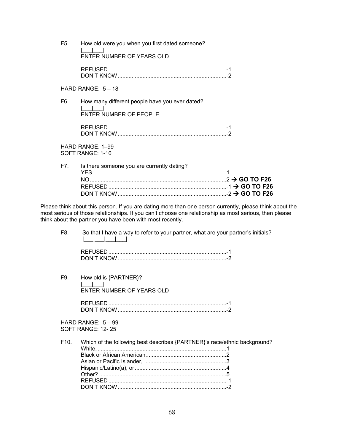| F5. | How old were you when you first dated someone?<br>ENTER NUMBER OF YEARS OLD |
|-----|-----------------------------------------------------------------------------|
|     |                                                                             |
|     |                                                                             |
|     | HARD RANGE: $5 - 18$                                                        |
| F6. | How many different people have you ever dated?                              |
|     | <b>ENTER NUMBER OF PEOPLE</b>                                               |
|     |                                                                             |
|     | HARD RANGE: 1-99<br>SOFT RANGE: 1-10                                        |
| F7. | Is there someone you are currently dating?                                  |
|     |                                                                             |
|     |                                                                             |

Please think about this person. If you are dating more than one person currently, please think about the most serious of those relationships. If you can't choose one relationship as most serious, then please think about the partner you have been with most recently.

DON'T KNOW ...................................................................... -2  **GO TO F26**

F8. So that I have a way to refer to your partner, what are your partner's initials? |\_\_\_|\_\_\_|\_\_\_|\_\_\_|

| ON'T KNO. |  |
|-----------|--|

F9. How old is {PARTNER}? |\_\_\_|\_\_\_| ENTER NUMBER OF YEARS OLD REFUSED ............................................................................ -1

DON'T KNOW ...................................................................... -2

HARD RANGE: 5 – 99 SOFT RANGE: 12- 25

F10. Which of the following best describes {PARTNER}'s race/ethnic background? White, ................................................................................... 1 Black or African American, ................................................... 2 Asian or Pacific Islander, .................................................... 3 Hispanic/Latino(a), or ........................................................... 4 Other? .................................................................................. 5 REFUSED ............................................................................ -1 DON'T KNOW ...................................................................... -2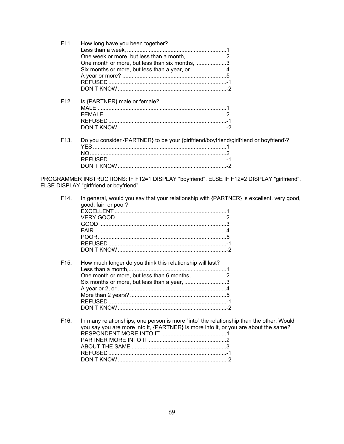| Do you consider {PARTNER} to be your {girlfriend/boyfriend/girlfriend or boyfriend}? |
|--------------------------------------------------------------------------------------|
|                                                                                      |
|                                                                                      |
|                                                                                      |
|                                                                                      |
|                                                                                      |

PROGRAMMER INSTRUCTIONS: IF F12=1 DISPLAY "boyfriend". ELSE IF F12=2 DISPLAY "girlfriend".<br>ELSE DISPLAY "girlfriend or boyfriend".

| F <sub>14</sub> . | In general, would you say that your relationship with {PARTNER} is excellent, very good,<br>good, fair, or poor?                                                               |
|-------------------|--------------------------------------------------------------------------------------------------------------------------------------------------------------------------------|
| F <sub>15</sub>   | How much longer do you think this relationship will last?<br>Six months or more, but less than a year, 3                                                                       |
| F16.              | In many relationships, one person is more "into" the relationship than the other. Would<br>you say you are more into it, {PARTNER} is more into it, or you are about the same? |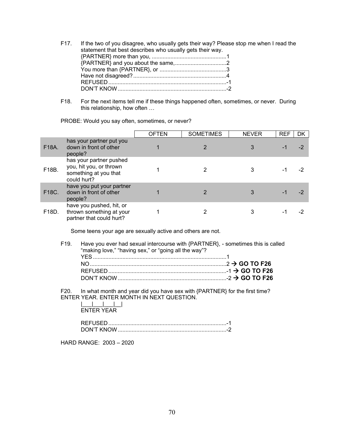- F17. If the two of you disagree, who usually gets their way? Please stop me when I read the statement that best describes who usually gets their way. {PARTNER} more than you, ................................................ 1 {PARTNER} and you about the same, ................................. 2 You more than {PARTNER}, or ........................................... 3 Have not disagreed? ............................................................ 4 REFUSED ............................................................................ -1 DON'T KNOW ...................................................................... -2
- F18. For the next items tell me if these things happened often, sometimes, or never. During this relationship, how often …

PROBE: Would you say often, sometimes, or never?

|                    |                                                                                            | <b>OFTEN</b> | <b>SOMETIMES</b> | <b>NEVER</b> | <b>REF</b> | DK |
|--------------------|--------------------------------------------------------------------------------------------|--------------|------------------|--------------|------------|----|
| F18A.              | has your partner put you<br>down in front of other<br>people?                              |              |                  |              |            |    |
| F18B.              | has your partner pushed<br>you, hit you, or thrown<br>something at you that<br>could hurt? |              |                  |              |            |    |
| F <sub>18</sub> C. | have you put your partner<br>down in front of other<br>people?                             |              |                  |              |            |    |
| F18D.              | have you pushed, hit, or<br>thrown something at your<br>partner that could hurt?           |              |                  |              |            |    |

Some teens your age are sexually active and others are not.

F19. Have you ever had sexual intercourse with {PARTNER}, - sometimes this is called "making love," "having sex," or "going all the way"? YES ...................................................................................... 1 NO ........................................................................................ 2  **GO TO F26** REFUSED ............................................................................ -1  **GO TO F26** DON'T KNOW ...................................................................... -2  **GO TO F26**

F20. In what month and year did you have sex with {PARTNER} for the first time? ENTER YEAR. ENTER MONTH IN NEXT QUESTION.

 $|_{\_}\_$ ENTER YEAR

HARD RANGE: 2003 – 2020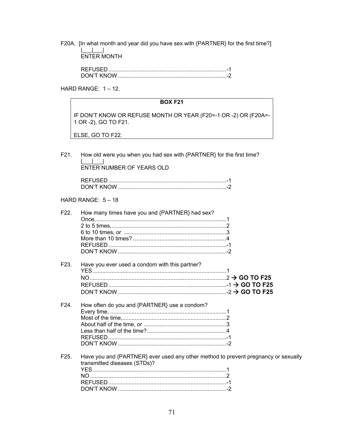F20A. [In what month and year did you have sex with {PARTNER} for the first time?]  $\begin{array}{c} \begin{array}{c} \begin{array}{c} \text{N} \\ \text{N} \end{array} \\ \text{ENTER} \end{array} \end{array}$ 

HARD RANGE:  $1 - 12$ .

|                   | <b>BOX F21</b>                                                                                                     |
|-------------------|--------------------------------------------------------------------------------------------------------------------|
|                   | IF DON'T KNOW OR REFUSE MONTH OR YEAR (F20=-1 OR -2) OR (F20A=-<br>1 OR -2), GO TO F21.                            |
|                   | ELSE, GO TO F22.                                                                                                   |
|                   |                                                                                                                    |
| F21.              | How old were you when you had sex with {PARTNER} for the first time?                                               |
|                   | ENTER NUMBER OF YEARS OLD                                                                                          |
|                   |                                                                                                                    |
|                   | HARD RANGE: $5 - 18$                                                                                               |
| F <sub>22</sub> . | How many times have you and {PARTNER} had sex?                                                                     |
| F <sub>23</sub> . | Have you ever used a condom with this partner?                                                                     |
| F24.              | How often do you and {PARTNER} use a condom?                                                                       |
| F <sub>25</sub> . | Have you and {PARTNER} ever used any other method to prevent pregnancy or sexually<br>transmitted diseases (STDs)? |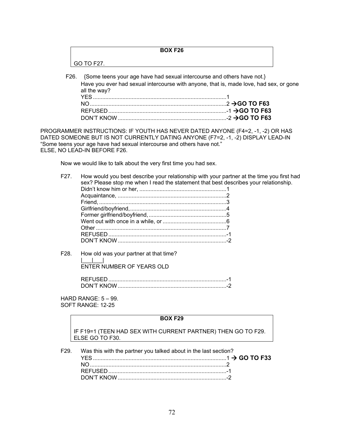|      | <b>BOX F26</b>                                                                         |  |
|------|----------------------------------------------------------------------------------------|--|
|      | GO TO F27.                                                                             |  |
| F26. | {Some teens your age have had sexual intercourse and others have not.}                 |  |
|      | Have you ever had sexual intercourse with anyone, that is, made love, had sex, or gone |  |

| all the way? |  |
|--------------|--|
|              |  |
|              |  |
|              |  |
|              |  |

PROGRAMMER INSTRUCTIONS: IF YOUTH HAS NEVER DATED ANYONE (F4=2, -1, -2) OR HAS DATED SOMEONE BUT IS NOT CURRENTLY DATING ANYONE (F7=2, -1, -2) DISPLAY LEAD-IN "Some teens your age have had sexual intercourse and others have not." ELSE, NO LEAD-IN BEFORE F26.

Now we would like to talk about the very first time you had sex.

- F27. How would you best describe your relationship with your partner at the time you first had sex? Please stop me when I read the statement that best describes your relationship. Didn't know him or her, ........................................................ 1 Acquaintance, ...................................................................... 2 Friend, .................................................................................. 3 Girlfriend/boyfriend, .............................................................. 4 Former girlfriend/boyfriend, .................................................. 5 Went out with once in a while, or ......................................... 6 Other .................................................................................... 7 REFUSED ............................................................................ -1 DON'T KNOW ...................................................................... -2
- F28. How old was your partner at that time? |\_\_\_|\_\_\_| ENTER NUMBER OF YEARS OLD

HARD RANGE: 5 – 99. SOFT RANGE: 12-25

#### **BOX F29**

IF F19=1 (TEEN HAD SEX WITH CURRENT PARTNER) THEN GO TO F29. ELSE GO TO F30.

F29. Was this with the partner you talked about in the last section? YES ...................................................................................... 1  **GO TO F33** NO ........................................................................................ 2 REFUSED ............................................................................ -1 DON'T KNOW ...................................................................... -2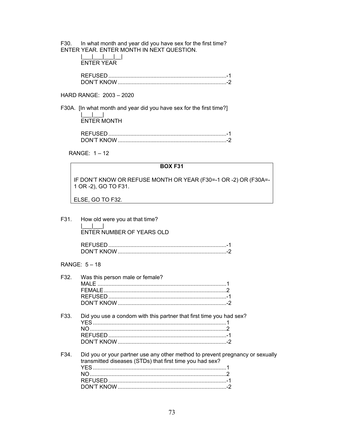F30. In what month and year did you have sex for the first time? ENTER YEAR. ENTER MONTH IN NEXT QUESTION.

| FNTFR YFAR |  |  |
|------------|--|--|

## HARD RANGE: 2003 - 2020

F30A. [In what month and year did you have sex for the first time?]  $\blacksquare$  $ENTER MOMTH$ 

RANGE: 1-12

#### **BOX F31**

IF DON'T KNOW OR REFUSE MONTH OR YEAR (F30=-1 OR -2) OR (F30A=-1 OR -2), GO TO F31.

ELSE, GO TO F32.

F31. How old were you at that time? ENTER NUMBER OF YEARS OLD

## RANGE: 5 - 18

| F32.              | Was this person male or female?                                                                                                           |
|-------------------|-------------------------------------------------------------------------------------------------------------------------------------------|
|                   |                                                                                                                                           |
|                   |                                                                                                                                           |
|                   |                                                                                                                                           |
|                   |                                                                                                                                           |
| F <sub>33</sub> . | Did you use a condom with this partner that first time you had sex?                                                                       |
|                   |                                                                                                                                           |
|                   |                                                                                                                                           |
|                   |                                                                                                                                           |
| F34.              | Did you or your partner use any other method to prevent pregnancy or sexually<br>transmitted diseases (STDs) that first time you had sex? |
|                   |                                                                                                                                           |
|                   |                                                                                                                                           |
|                   |                                                                                                                                           |
|                   |                                                                                                                                           |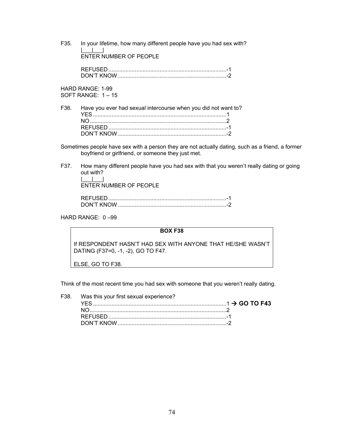F35. In your lifetime, how many different people have you had sex with?  $\|u\|_{\infty}=\|u\|_{\infty}=\|u\|_{\infty}$ ENTER NUMBER OF PEOPLE

> REFUSED ............................................................................ -1 DON'T KNOW ...................................................................... -2

HARD RANGE: 1-99 SOFT RANGE: 1 – 15

F36. Have you ever had sexual intercourse when you did not want to? YES ...................................................................................... 1 NO ........................................................................................ 2 REFUSED ............................................................................ -1 DON'T KNOW ...................................................................... -2

Sometimes people have sex with a person they are not actually dating, such as a friend, a former boyfriend or girlfriend, or someone they just met.

F37. How many different people have you had sex with that you weren't really dating or going out with?  $\|$ 

ENTER NUMBER OF PEOPLE

| חוא דיוחר |  |
|-----------|--|

HARD RANGE: 0 –99

**BOX F38** 

If RESPONDENT HASN'T HAD SEX WITH ANYONE THAT HE/SHE WASN'T DATING (F37=0, -1, -2), GO TO F47.

ELSE, GO TO F38.

Think of the most recent time you had sex with someone that you weren't really dating.

| F38. Was this your first sexual experience? |  |
|---------------------------------------------|--|
|                                             |  |
|                                             |  |
|                                             |  |
|                                             |  |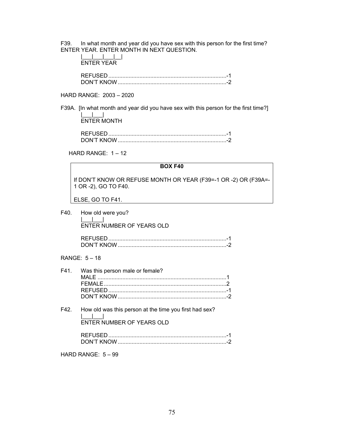F39. In what month and year did you have sex with this person for the first time? ENTER YEAR. ENTER MONTH IN NEXT QUESTION.

| <b>ENTER YEAR</b> |
|-------------------|
| DEELICEN.         |

## HARD RANGE: 2003 – 2020

F39A. [In what month and year did you have sex with this person for the first time?] |\_\_\_|\_\_\_| ENTER MONTH

| ON'T KNC |  |
|----------|--|

HARD RANGE: 1 – 12

# **BOX F40**  If DON'T KNOW OR REFUSE MONTH OR YEAR (F39=-1 OR -2) OR (F39A=- 1 OR -2), GO TO F40. ELSE, GO TO F41. F40. How old were you?  $\perp$   $\perp$  ENTER NUMBER OF YEARS OLD REFUSED ............................................................................ -1 DON'T KNOW ...................................................................... -2 RANGE: 5 – 18 F41. Was this person male or female? MALE ................................................................................... 1 FEMALE ............................................................................... 2 REFUSED ............................................................................ -1 DON'T KNOW ...................................................................... -2 F42. How old was this person at the time you first had sex? |\_\_\_|\_\_\_| ENTER NUMBER OF YEARS OLD REFUSED ............................................................................ -1

DON'T KNOW ...................................................................... -2

HARD RANGE: 5 – 99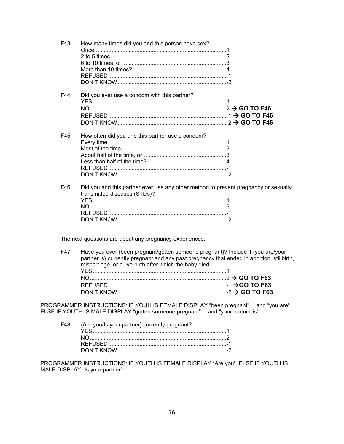| F43. | How many times did you and this person have sex?                                                                    |  |
|------|---------------------------------------------------------------------------------------------------------------------|--|
| F44. | Did you ever use a condom with this partner?                                                                        |  |
| F45. | How often did you and this partner use a condom?                                                                    |  |
| F46. | Did you and this partner ever use any other method to prevent pregnancy or sexually<br>transmitted diseases (STDs)? |  |

The next questions are about any pregnancy experiences.

| F47. Have you ever {been pregnant/gotten someone pregnant}? Include if {you are/your<br>partner is} currently pregnant and any past pregnancy that ended in abortion, stillbirth,<br>miscarriage, or a live birth after which the baby died. |  |
|----------------------------------------------------------------------------------------------------------------------------------------------------------------------------------------------------------------------------------------------|--|
|                                                                                                                                                                                                                                              |  |
|                                                                                                                                                                                                                                              |  |
|                                                                                                                                                                                                                                              |  |
|                                                                                                                                                                                                                                              |  |

PROGRAMMER INSTRUCTIONS: IF YOUH IS FEMALE DISPLAY "been pregnant"… and "you are". ELSE IF YOUTH IS MALE DISPLAY "gotten someone pregnant"… and "your partner is".

| F48. {Are you/ls your partner} currently pregnant? |  |
|----------------------------------------------------|--|
|                                                    |  |
|                                                    |  |
|                                                    |  |
|                                                    |  |

PROGRAMMER INSTRUCTIONS: IF YOUTH IS FEMALE DISPLAY "Are you". ELSE IF YOUTH IS MALE DISPLAY "Is your partner".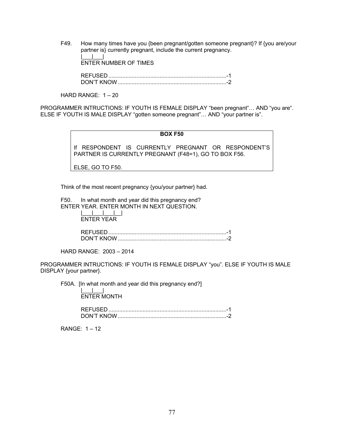F49. How many times have you {been pregnant/gotten someone pregnant}? If {you are/your partner is} currently pregnant, include the current pregnancy. |\_\_\_|\_\_\_|

ENTER NUMBER OF TIMES

 REFUSED ............................................................................ -1 DON'T KNOW ...................................................................... -2

HARD RANGE:  $1 - 20$ 

PROGRAMMER INTRUCTIONS: IF YOUTH IS FEMALE DISPLAY "been pregnant"… AND "you are". ELSE IF YOUTH IS MALE DISPLAY "gotten someone pregnant"… AND "your partner is".

# **BOX F50**

If RESPONDENT IS CURRENTLY PREGNANT OR RESPONDENT'S PARTNER IS CURRENTLY PREGNANT (F48=1), GO TO BOX F56.

ELSE, GO TO F50.

Think of the most recent pregnancy {you/your partner} had.

F50. In what month and year did this pregnancy end? ENTER YEAR. ENTER MONTH IN NEXT QUESTION.

 $||\cdot||_2 = ||\cdot||_2 = ||\cdot||_2 = ||\cdot||_2 = ||\cdot||_2 = ||\cdot||_2 = ||\cdot||_2 = ||\cdot||_2 = ||\cdot||_2 = ||\cdot||_2 = ||\cdot||_2 = ||\cdot||_2 = ||\cdot||_2 = ||\cdot||_2 = ||\cdot||_2 = ||\cdot||_2 = ||\cdot||_2 = ||\cdot||_2 = ||\cdot||_2 = ||\cdot||_2 = ||\cdot||_2 = ||\cdot||_2 = ||\cdot||_2 = ||\cdot||_2 = ||\cdot||_2 = ||\cdot||_2 = ||\cdot||_2 = ||\cdot||_2 = ||\cdot||_2 = ||\cdot||_2 = ||\cdot||_2 = ||\cdot$ ENTER YEAR

> REFUSED ............................................................................ -1 DON'T KNOW ...................................................................... -2

HARD RANGE: 2003 – 2014

PROGRAMMER INTRUCTIONS: IF YOUTH IS FEMALE DISPLAY "you". ELSE IF YOUTH IS MALE DISPLAY {your partner}.

F50A. [In what month and year did this pregnancy end?] |\_\_\_|\_\_\_|

ENTER MONTH

 REFUSED ............................................................................ -1 DON'T KNOW ...................................................................... -2

RANGE: 1 – 12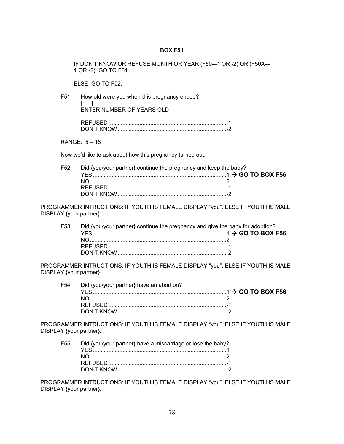IF DON'T KNOW OR REFUSE MONTH OR YEAR (F50=-1 OR -2) OR (F50A=- 1 OR -2), GO TO F51.

ELSE, GO TO F52.

F51. How old were you when this pregnancy ended?  $\Box$ 

ENTER NUMBER OF YEARS OLD

| <b>DON'T KNOW</b> |  |
|-------------------|--|

RANGE: 5 – 18

Now we'd like to ask about how this pregnancy turned out.

| F52. Did {you/your partner} continue the pregnancy and keep the baby? |  |
|-----------------------------------------------------------------------|--|
|                                                                       |  |
|                                                                       |  |
|                                                                       |  |
|                                                                       |  |

PROGRAMMER INTRUCTIONS: IF YOUTH IS FEMALE DISPLAY "you". ELSE IF YOUTH IS MALE DISPLAY {your partner}.

|  | F53. Did {you/your partner} continue the pregnancy and give the baby for adoption? |
|--|------------------------------------------------------------------------------------|
|  |                                                                                    |
|  |                                                                                    |
|  |                                                                                    |
|  |                                                                                    |

PROGRAMMER INTRUCTIONS: IF YOUTH IS FEMALE DISPLAY "you". ELSE IF YOUTH IS MALE DISPLAY {your partner}.

| F54. Did {you/your partner} have an abortion? |  |
|-----------------------------------------------|--|
|                                               |  |
|                                               |  |
|                                               |  |
|                                               |  |

PROGRAMMER INTRUCTIONS: IF YOUTH IS FEMALE DISPLAY "you". ELSE IF YOUTH IS MALE DISPLAY {your partner}.

| F55. Did {you/your partner} have a miscarriage or lose the baby? |  |
|------------------------------------------------------------------|--|
|                                                                  |  |
|                                                                  |  |
|                                                                  |  |
|                                                                  |  |
|                                                                  |  |

PROGRAMMER INTRUCTIONS: IF YOUTH IS FEMALE DISPLAY "you". ELSE IF YOUTH IS MALE DISPLAY {your partner}.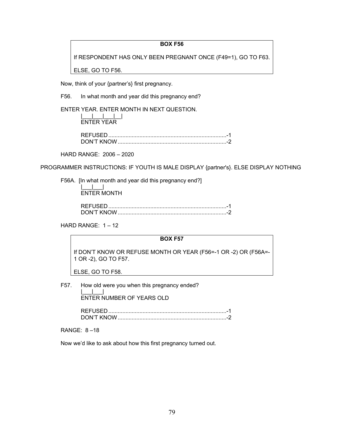If RESPONDENT HAS ONLY BEEN PREGNANT ONCE (F49=1), GO TO F63.

ELSE, GO TO F56.

Now, think of your {partner's} first pregnancy.

F56. In what month and year did this pregnancy end?

ENTER YEAR. ENTER MONTH IN NEXT QUESTION.

 |\_\_\_|\_\_\_|\_\_\_|\_\_| ENTER YEAR

 REFUSED ............................................................................ -1 DON'T KNOW ...................................................................... -2

HARD RANGE: 2006 – 2020

PROGRAMMER INSTRUCTIONS: IF YOUTH IS MALE DISPLAY {partner's}. ELSE DISPLAY NOTHING

F56A. [In what month and year did this pregnancy end?]

 |\_\_\_|\_\_\_| ENTER MONTH

| אורוא דימרזרי. |  |
|----------------|--|

HARD RANGE: 1 – 12

## **BOX F57**

If DON'T KNOW OR REFUSE MONTH OR YEAR (F56=-1 OR -2) OR (F56A=- 1 OR -2), GO TO F57.

ELSE, GO TO F58.

F57. How old were you when this pregnancy ended? |\_\_\_|\_\_\_|

ENTER NUMBER OF YEARS OLD

 REFUSED ............................................................................ -1 DON'T KNOW ...................................................................... -2

RANGE: 8 –18

Now we'd like to ask about how this first pregnancy turned out.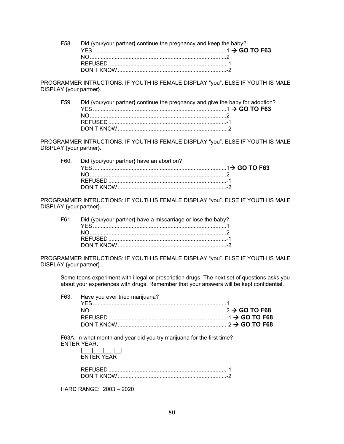F58. Did {you/your partner} continue the pregnancy and keep the baby? YES ...................................................................................... 1  **GO TO F63** NO ........................................................................................ 2 REFUSED ............................................................................ -1 DON'T KNOW ...................................................................... -2

PROGRAMMER INTRUCTIONS: IF YOUTH IS FEMALE DISPLAY "you". ELSE IF YOUTH IS MALE DISPLAY {your partner}.

F59. Did {you/your partner} continue the pregnancy and give the baby for adoption? YES ...................................................................................... 1  **GO TO F63** NO ........................................................................................ 2 REFUSED ............................................................................ -1 DON'T KNOW ...................................................................... -2

PROGRAMMER INTRUCTIONS: IF YOUTH IS FEMALE DISPLAY "you". ELSE IF YOUTH IS MALE DISPLAY {your partner}.

F60. Did {you/your partner} have an abortion? YES ...................................................................................... 1 **GO TO F63** NO ........................................................................................ 2 REFUSED ............................................................................ -1 DON'T KNOW ...................................................................... -2

PROGRAMMER INTRUCTIONS: IF YOUTH IS FEMALE DISPLAY "you". ELSE IF YOUTH IS MALE DISPLAY {your partner}.

F61. Did {you/your partner} have a miscarriage or lose the baby? YES ...................................................................................... 1 NO ........................................................................................ 2 REFUSED ............................................................................ -1 DON'T KNOW ...................................................................... -2

PROGRAMMER INTRUCTIONS: IF YOUTH IS FEMALE DISPLAY "you". ELSE IF YOUTH IS MALE DISPLAY {your partner}.

Some teens experiment with illegal or prescription drugs. The next set of questions asks you about your experiences with drugs. Remember that your answers will be kept confidential.

| F63. Have you ever tried marijuana? |
|-------------------------------------|
|                                     |
|                                     |

F63A. In what month and year did you try marijuana for the first time? ENTER YEAR.

HARD RANGE: 2003 – 2020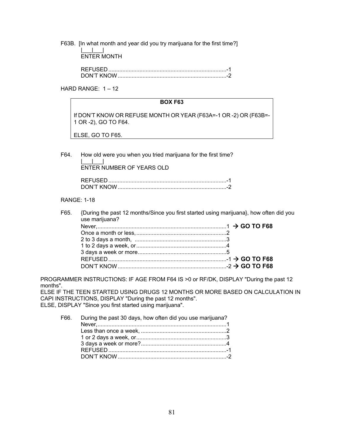F63B. [In what month and year did you try marijuana for the first time?]  $\|u\|_{\infty}=\|u\|_{\infty}=\|u\|_{\infty}$ ENTER MONTH

| DON'T KNOW |  |
|------------|--|

HARD RANGE: 1 – 12

## **BOX F63**

If DON'T KNOW OR REFUSE MONTH OR YEAR (F63A=-1 OR -2) OR (F63B=- 1 OR -2), GO TO F64.

ELSE, GO TO F65.

F64. How old were you when you tried marijuana for the first time? |\_\_\_|\_\_\_<u>|\_\_</u>\_|\_\_\_| ENTER NUMBER OF YEARS OLD

| חמא דימחח |  |
|-----------|--|

# RANGE: 1-18

F65. {During the past 12 months/Since you first started using marijuana}, how often did you use marijuana?

PROGRAMMER INSTRUCTIONS: IF AGE FROM F64 IS >0 or RF/DK, DISPLAY "During the past 12 months".

ELSE IF THE TEEN STARTED USING DRUGS 12 MONTHS OR MORE BASED ON CALCULATION IN CAPI INSTRUCTIONS, DISPLAY "During the past 12 months". ELSE, DISPLAY "Since you first started using marijuana".

| F66. During the past 30 days, how often did you use marijuana? |  |
|----------------------------------------------------------------|--|
|                                                                |  |
|                                                                |  |
|                                                                |  |
|                                                                |  |
|                                                                |  |
|                                                                |  |
|                                                                |  |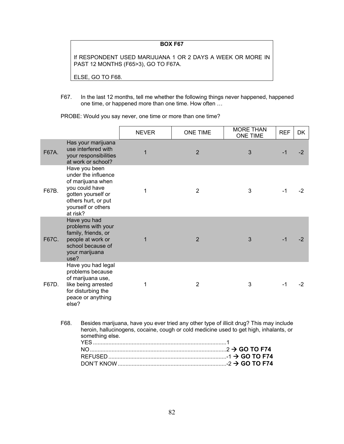If RESPONDENT USED MARIJUANA 1 OR 2 DAYS A WEEK OR MORE IN PAST 12 MONTHS (F65>3), GO TO F67A.

ELSE, GO TO F68.

F67. In the last 12 months, tell me whether the following things never happened, happened one time, or happened more than one time. How often …

PROBE: Would you say never, one time or more than one time?

|       |                                                                                                                                                                                           | <b>NEVER</b> | <b>ONE TIME</b> | <b>MORE THAN</b><br><b>ONE TIME</b> | <b>REF</b> | DK   |
|-------|-------------------------------------------------------------------------------------------------------------------------------------------------------------------------------------------|--------------|-----------------|-------------------------------------|------------|------|
| F67A. | Has your marijuana<br>use interfered with<br>your responsibilities<br>at work or school?                                                                                                  | 1            | $\overline{2}$  | 3                                   | $-1$       | $-2$ |
| F67B. | Have you been<br>under the influence<br>of marijuana when<br>you could have<br>gotten yourself or<br>others hurt, or put<br>yourself or others<br>at risk?                                | 1            | $\overline{2}$  | 3                                   | -1         | $-2$ |
| F67C. | Have you had<br>problems with your<br>family, friends, or<br>people at work or<br>school because of<br>your marijuana<br>use?                                                             | 1            | $\overline{2}$  | 3                                   | $-1$       | -2   |
| F67D. | Have you had legal<br>problems because<br>of marijuana use,<br>like being arrested<br>for disturbing the<br>peace or anything<br>else?                                                    | 1            | $\overline{2}$  | 3                                   | $-1$       | $-2$ |
|       | F68.<br>Besides marijuana, have you ever tried any other type of illicit drug? This may include<br>heroin, hallucinogens, cocaine, cough or cold medicine used to get high, inhalants, or |              |                 |                                     |            |      |

| something else. |  |
|-----------------|--|
|                 |  |
|                 |  |
|                 |  |
|                 |  |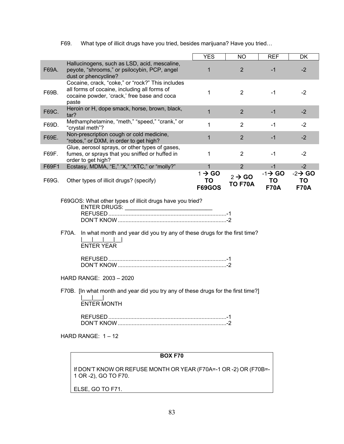|                                                                                                                                                                                                                                                                                                                                                                                                                                                      | <b>YES</b>                                | <b>NO</b>                            | <b>REF</b>                               | DK                                       |
|------------------------------------------------------------------------------------------------------------------------------------------------------------------------------------------------------------------------------------------------------------------------------------------------------------------------------------------------------------------------------------------------------------------------------------------------------|-------------------------------------------|--------------------------------------|------------------------------------------|------------------------------------------|
| Hallucinogens, such as LSD, acid, mescaline,<br>F69A.<br>peyote, "shrooms," or psilocybin, PCP, angel<br>dust or phencycline?                                                                                                                                                                                                                                                                                                                        | 1                                         | $\overline{2}$                       | $-1$                                     | $-2$                                     |
| Cocaine, crack, "coke," or "rock?" This includes<br>all forms of cocaine, including all forms of<br>F69B.<br>cocaine powder, 'crack,' free base and coca<br>paste                                                                                                                                                                                                                                                                                    | 1                                         | $\overline{2}$                       | $-1$                                     | $-2$                                     |
| Heroin or H, dope smack, horse, brown, black,<br>F69C.<br>tar?                                                                                                                                                                                                                                                                                                                                                                                       | $\mathbf{1}$                              | $\overline{2}$                       | $-1$                                     | $-2$                                     |
| Methamphetamine, "meth," "speed," "crank," or<br>F69D.<br>"crystal meth"?                                                                                                                                                                                                                                                                                                                                                                            | $\mathbf{1}$                              | 2                                    | $-1$                                     | $-2$                                     |
| Non-prescription cough or cold medicine,<br>F69E.<br>"robos," or DXM, in order to get high?                                                                                                                                                                                                                                                                                                                                                          | $\mathbf{1}$                              | $\overline{2}$                       | $-1$                                     | $-2$                                     |
| Glue, aerosol sprays, or other types of gases,<br>fumes, or sprays that you sniffed or huffed in<br>F69F.<br>order to get high?                                                                                                                                                                                                                                                                                                                      | 1                                         | $\overline{2}$                       | $-1$                                     | $-2$                                     |
| Ecstasy, MDMA, "E," "X," "XTC," or "molly?"<br>F69F1                                                                                                                                                                                                                                                                                                                                                                                                 | $\mathbf 1$                               | 2                                    | $-1$                                     | $-2$                                     |
| F69G.<br>Other types of illicit drugs? (specify)                                                                                                                                                                                                                                                                                                                                                                                                     | $1 \rightarrow$ GO<br>TO<br><b>F69GOS</b> | $2 \rightarrow$ GO<br><b>TO F70A</b> | $-1 \rightarrow$ GO<br>TO<br><b>F70A</b> | $-2 \rightarrow$ GO<br>TO<br><b>F70A</b> |
| F69GOS: What other types of illicit drugs have you tried?<br>ENTER DRUGS: ENTERTAINMENT CONTROLLER TO A STATE OF THE STATE OF THE STATE OF THE STATE OF THE STATE OF THE ST<br>In what month and year did you try any of these drugs for the first time?<br>F70A.<br><b>ENTER YEAR</b><br>HARD RANGE: 2003 - 2020<br>F70B. [In what month and year did you try any of these drugs for the first time?]<br><b>ENTER MONTH</b><br>HARD RANGE: $1 - 12$ |                                           |                                      |                                          |                                          |

F69. What type of illicit drugs have you tried, besides marijuana? Have you tried…

# **BOX F70**

If DON'T KNOW OR REFUSE MONTH OR YEAR (F70A=-1 OR -2) OR (F70B=- 1 OR -2), GO TO F70.

ELSE, GO TO F71.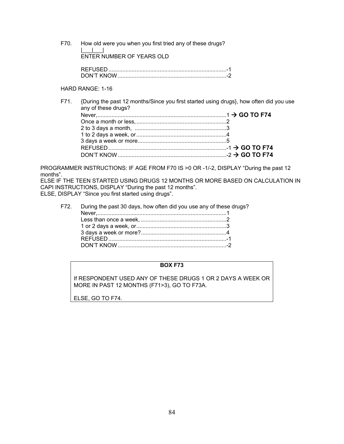F70. How old were you when you first tried any of these drugs?  $\|u\|_{\infty}=\|u\|_{\infty}=\|u\|_{\infty}$ ENTER NUMBER OF YEARS OLD

| DON'T KNOW |
|------------|

# HARD RANGE: 1-16

F71. {During the past 12 months/Since you first started using drugs}, how often did you use any of these drugs? Never, ................................................................................... 1  **GO TO F74** Once a month or less, .......................................................... 2 2 to 3 days a month, ........................................................... 3 1 to 2 days a week, or .......................................................... 4 3 days a week or more ......................................................... 5 REFUSED ............................................................................ -1  **GO TO F74** DON'T KNOW ...................................................................... -2  **GO TO F74** 

PROGRAMMER INSTRUCTIONS: IF AGE FROM F70 IS >0 OR -1/-2, DISPLAY "During the past 12 months".

ELSE IF THE TEEN STARTED USING DRUGS 12 MONTHS OR MORE BASED ON CALCULATION IN CAPI INSTRUCTIONS, DISPLAY "During the past 12 months". ELSE, DISPLAY "Since you first started using drugs".

| F72. During the past 30 days, how often did you use any of these drugs? |  |
|-------------------------------------------------------------------------|--|
|                                                                         |  |
|                                                                         |  |
|                                                                         |  |
|                                                                         |  |
|                                                                         |  |
| DON'T KNOW                                                              |  |

# **BOX F73**

If RESPONDENT USED ANY OF THESE DRUGS 1 OR 2 DAYS A WEEK OR MORE IN PAST 12 MONTHS (F71>3), GO TO F73A.

ELSE, GO TO F74.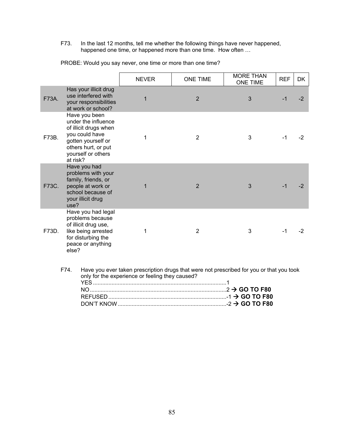F73. In the last 12 months, tell me whether the following things have never happened, happened one time, or happened more than one time. How often …

|       |                                                                                                                                                                        | <b>NEVER</b> | <b>ONE TIME</b> | <b>MORE THAN</b><br><b>ONE TIME</b> | <b>REF</b> | <b>DK</b> |
|-------|------------------------------------------------------------------------------------------------------------------------------------------------------------------------|--------------|-----------------|-------------------------------------|------------|-----------|
| F73A. | Has your illicit drug<br>use interfered with<br>your responsibilities<br>at work or school?                                                                            | 1            | $\overline{2}$  | 3                                   | $-1$       | $-2$      |
| F73B. | Have you been<br>under the influence<br>of illicit drugs when<br>you could have<br>gotten yourself or<br>others hurt, or put<br>yourself or others<br>at risk?         | 1            | $\overline{2}$  | 3                                   | $-1$       | $-2$      |
| F73C. | Have you had<br>problems with your<br>family, friends, or<br>people at work or<br>school because of<br>your illicit drug<br>use?                                       | 1            | $\overline{2}$  | 3                                   | $-1$       | $-2$      |
| F73D. | Have you had legal<br>problems because<br>of illicit drug use,<br>like being arrested<br>for disturbing the<br>peace or anything<br>else?                              | 1            | $\overline{2}$  | 3                                   | $-1$       | $-2$      |
|       | F74.<br>Have you ever taken prescription drugs that were not prescribed for you or that you took<br>only for the experience or feeling they caused?<br><b>YFS</b><br>1 |              |                 |                                     |            |           |

PROBE: Would you say never, one time or more than one time?

| F74. Have you ever taken prescription drugs that were not prescribed for you or that you too<br>only for the experience or feeling they caused? |  |
|-------------------------------------------------------------------------------------------------------------------------------------------------|--|
|                                                                                                                                                 |  |
|                                                                                                                                                 |  |
|                                                                                                                                                 |  |
|                                                                                                                                                 |  |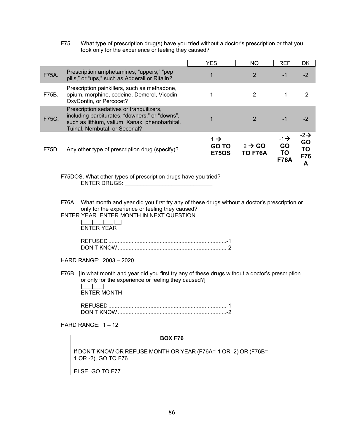F75. What type of prescription drug(s) have you tried without a doctor's prescription or that you took only for the experience or feeling they caused?

|       |                                                                                                                                                                               | <b>YES</b>                                      | <b>NO</b>                            | <b>REF</b>                                 | DK                                      |
|-------|-------------------------------------------------------------------------------------------------------------------------------------------------------------------------------|-------------------------------------------------|--------------------------------------|--------------------------------------------|-----------------------------------------|
| F75A. | Prescription amphetamines, "uppers," "pep<br>pills," or "ups," such as Adderall or Ritalin?                                                                                   | 1                                               | 2                                    | $-1$                                       | $-2$                                    |
| F75B. | Prescription painkillers, such as methadone,<br>opium, morphine, codeine, Demerol, Vicodin,<br>OxyContin, or Percocet?                                                        |                                                 | 2                                    | -1                                         | -2                                      |
| F75C. | Prescription sedatives or tranquilizers,<br>including barbiturates, "downers," or "downs",<br>such as lithium, valium, Xanax, phenobarbital,<br>Tuinal, Nembutal, or Seconal? |                                                 |                                      | -1                                         | -2                                      |
| F75D. | Any other type of prescription drug (specify)?                                                                                                                                | $1 \rightarrow$<br><b>GO TO</b><br><b>E75OS</b> | $2 \rightarrow$ GO<br><b>TO F76A</b> | $-1\rightarrow$<br>GO<br>TO<br><b>F76A</b> | $-2\rightarrow$<br>GO<br>ΤO<br>F76<br>А |

F75DOS. What other types of prescription drugs have you tried? ENTER DRUGS: \_\_\_\_\_\_\_\_\_\_\_\_\_\_\_\_\_\_\_\_\_\_\_\_\_\_\_\_

- F76A. What month and year did you first try any of these drugs without a doctor's prescription or only for the experience or feeling they caused?
- ENTER YEAR. ENTER MONTH IN NEXT QUESTION.

 $|_{-1}$   $|_{-1}$   $|_{-1}$   $|_{-1}$ ENTER YEAR

| <b>TON'T KNI</b> |  |
|------------------|--|

HARD RANGE: 2003 – 2020

F76B. [In what month and year did you first try any of these drugs without a doctor's prescription or only for the experience or feeling they caused?]

 |\_\_\_|\_\_\_| ENTER MONTH

 REFUSED ............................................................................ -1 DON'T KNOW ...................................................................... -2

HARD RANGE: 1 – 12

## **BOX F76**

If DON'T KNOW OR REFUSE MONTH OR YEAR (F76A=-1 OR -2) OR (F76B=- 1 OR -2), GO TO F76.

ELSE, GO TO F77.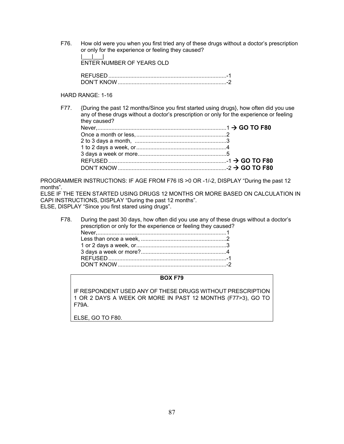F76. How old were you when you first tried any of these drugs without a doctor's prescription or only for the experience or feeling they caused?

 $\|u\|_{\infty}=\|u\|_{\infty}=\|u\|_{\infty}$ ENTER NUMBER OF YEARS OLD

| <u>DON'T KNOL</u> |  |
|-------------------|--|

# HARD RANGE: 1-16

F77. {During the past 12 months/Since you first started using drugs}, how often did you use any of these drugs without a doctor's prescription or only for the experience or feeling they caused?

PROGRAMMER INSTRUCTIONS: IF AGE FROM F76 IS >0 OR -1/-2, DISPLAY "During the past 12 months".

ELSE IF THE TEEN STARTED USING DRUGS 12 MONTHS OR MORE BASED ON CALCULATION IN CAPI INSTRUCTIONS, DISPLAY "During the past 12 months". ELSE, DISPLAY "Since you first stared using drugs".

F78. During the past 30 days, how often did you use any of these drugs without a doctor's prescription or only for the experience or feeling they caused? Never, ................................................................................... 1 Less than once a week, ....................................................... 2 1 or 2 days a week, or .......................................................... 3 3 days a week or more? ....................................................... 4 REFUSED ............................................................................ -1 DON'T KNOW ...................................................................... -2

# **BOX F79**

IF RESPONDENT USED ANY OF THESE DRUGS WITHOUT PRESCRIPTION 1 OR 2 DAYS A WEEK OR MORE IN PAST 12 MONTHS (F77>3), GO TO F79A.

ELSE, GO TO F80.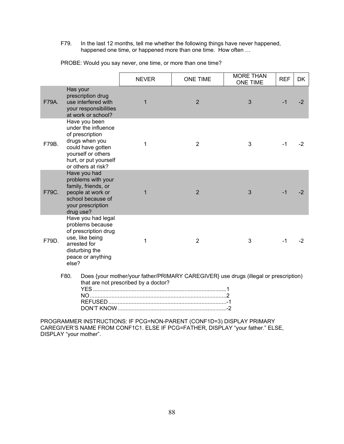F79. In the last 12 months, tell me whether the following things have never happened, happened one time, or happened more than one time. How often ...

|       |                                                                                                                                                                     | <b>NEVER</b>                         | <b>ONE TIME</b>                                                                      | <b>MORE THAN</b><br><b>ONE TIME</b> | <b>REF</b> | <b>DK</b> |
|-------|---------------------------------------------------------------------------------------------------------------------------------------------------------------------|--------------------------------------|--------------------------------------------------------------------------------------|-------------------------------------|------------|-----------|
| F79A. | Has your<br>prescription drug<br>use interfered with<br>your responsibilities<br>at work or school?                                                                 | $\mathbf{1}$                         | 2                                                                                    | 3                                   | $-1$       | $-2$      |
| F79B. | Have you been<br>under the influence<br>of prescription<br>drugs when you<br>could have gotten<br>yourself or others<br>hurt, or put yourself<br>or others at risk? | 1                                    | 2                                                                                    | 3                                   | $-1$       | $-2$      |
| F79C. | Have you had<br>problems with your<br>family, friends, or<br>people at work or<br>school because of<br>your prescription<br>drug use?                               | 1                                    | $\overline{2}$                                                                       | 3                                   | $-1$       | $-2$      |
| F79D. | Have you had legal<br>problems because<br>of prescription drug<br>use, like being<br>arrested for<br>disturbing the<br>peace or anything<br>else?                   | 1                                    | $\overline{2}$                                                                       | 3                                   | $-1$       | $-2$      |
|       | F80.                                                                                                                                                                | that are not prescribed by a doctor? | Does {your mother/your father/PRIMARY CAREGIVER} use drugs (illegal or prescription) |                                     |            |           |

PROBE: Would you say never, one time, or more than one time?

PROGRAMMER INSTRUCTIONS: IF PCG=NON-PARENT (CONF1D=3) DISPLAY PRIMARY CAREGIVER'S NAME FROM CONF1C1. ELSE IF PCG=FATHER, DISPLAY "your father." ELSE, DISPLAY "your mother".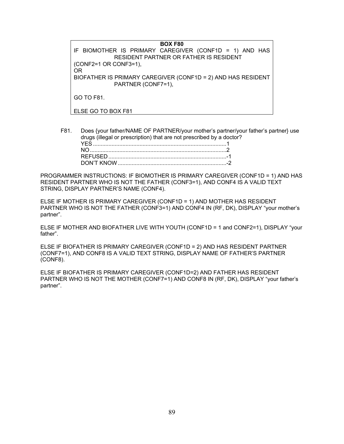**BOX F80**  IF BIOMOTHER IS PRIMARY CAREGIVER (CONF1D = 1) AND HAS RESIDENT PARTNER OR FATHER IS RESIDENT (CONF2=1 OR CONF3=1), OR BIOFATHER IS PRIMARY CAREGIVER (CONF1D = 2) AND HAS RESIDENT PARTNER (CONF7=1), GO TO F81. ELSE GO TO BOX F81

F81. Does {your father/NAME OF PARTNER/your mother's partner/your father's partner} use drugs (illegal or prescription) that are not prescribed by a doctor? YES ...................................................................................... 1 NO ........................................................................................ 2 REFUSED ............................................................................ -1 DON'T KNOW ...................................................................... -2

PROGRAMMER INSTRUCTIONS: IF BIOMOTHER IS PRIMARY CAREGIVER (CONF1D = 1) AND HAS RESIDENT PARTNER WHO IS NOT THE FATHER (CONF3=1), AND CONF4 IS A VALID TEXT STRING, DISPLAY PARTNER'S NAME (CONF4).

ELSE IF MOTHER IS PRIMARY CAREGIVER (CONF1D = 1) AND MOTHER HAS RESIDENT PARTNER WHO IS NOT THE FATHER (CONF3=1) AND CONF4 IN (RF, DK), DISPLAY "your mother's partner".

ELSE IF MOTHER AND BIOFATHER LIVE WITH YOUTH (CONF1D = 1 and CONF2=1), DISPLAY "your father".

ELSE IF BIOFATHER IS PRIMARY CAREGIVER (CONF1D = 2) AND HAS RESIDENT PARTNER (CONF7=1), AND CONF8 IS A VALID TEXT STRING, DISPLAY NAME OF FATHER'S PARTNER (CONF8).

ELSE IF BIOFATHER IS PRIMARY CAREGIVER (CONF1D=2) AND FATHER HAS RESIDENT PARTNER WHO IS NOT THE MOTHER (CONF7=1) AND CONF8 IN (RF, DK), DISPLAY "your father's partner".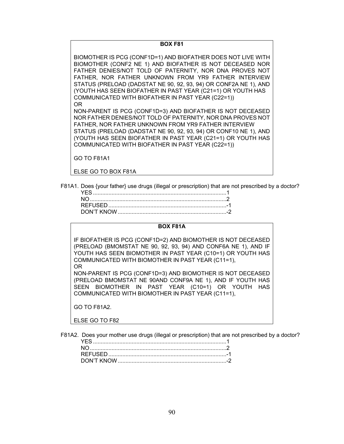BIOMOTHER IS PCG (CONF1D=1) AND BIOFATHER DOES NOT LIVE WITH BIOMOTHER (CONF2 NE 1) AND BIOFATHER IS NOT DECEASED NOR FATHER DENIES/NOT TOLD OF PATERNITY, NOR DNA PROVES NOT FATHER, NOR FATHER UNKNOWN FROM YR9 FATHER INTERVIEW STATUS (PRELOAD (DADSTAT NE 90, 92, 93, 94) OR CONF2A NE 1), AND (YOUTH HAS SEEN BIOFATHER IN PAST YEAR (C21=1) OR YOUTH HAS COMMUNICATED WITH BIOFATHER IN PAST YEAR (C22=1)) OR

NON-PARENT IS PCG (CONF1D=3) AND BIOFATHER IS NOT DECEASED NOR FATHER DENIES/NOT TOLD OF PATERNITY, NOR DNA PROVES NOT FATHER, NOR FATHER UNKNOWN FROM YR9 FATHER INTERVIEW STATUS (PRELOAD (DADSTAT NE 90, 92, 93, 94) OR CONF10 NE 1), AND (YOUTH HAS SEEN BIOFATHER IN PAST YEAR (C21=1) OR YOUTH HAS COMMUNICATED WITH BIOFATHER IN PAST YEAR (C22=1))

GO TO F81A1

ELSE GO TO BOX F81A

F81A1. Does {your father} use drugs (illegal or prescription) that are not prescribed by a doctor?

#### **BOX F81A**

IF BIOFATHER IS PCG (CONF1D=2) AND BIOMOTHER IS NOT DECEASED (PRELOAD (BMOMSTAT NE 90, 92, 93, 94) AND CONF6A NE 1), AND IF YOUTH HAS SEEN BIOMOTHER IN PAST YEAR (C10=1) OR YOUTH HAS COMMUNICATED WITH BIOMOTHER IN PAST YEAR (C11=1), OR

NON-PARENT IS PCG (CONF1D=3) AND BIOMOTHER IS NOT DECEASED (PRELOAD BMOMSTAT NE 90AND CONF9A NE 1), AND IF YOUTH HAS SEEN BIOMOTHER IN PAST YEAR (C10=1) OR YOUTH HAS COMMUNICATED WITH BIOMOTHER IN PAST YEAR (C11=1),

GO TO F81A2.

ELSE GO TO F82

F81A2. Does your mother use drugs (illegal or prescription) that are not prescribed by a doctor?